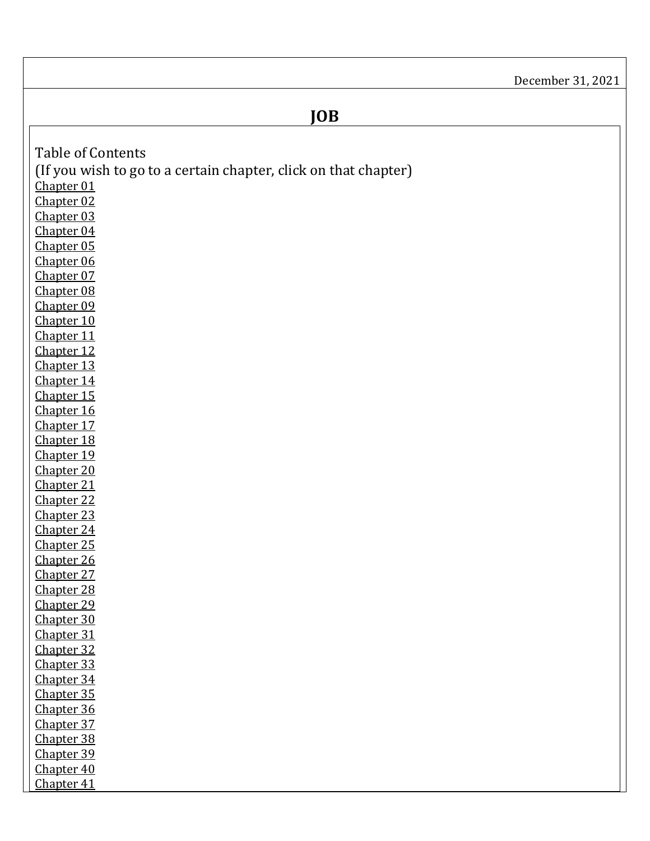<span id="page-0-40"></span><span id="page-0-39"></span><span id="page-0-38"></span><span id="page-0-37"></span><span id="page-0-36"></span><span id="page-0-35"></span><span id="page-0-34"></span><span id="page-0-33"></span><span id="page-0-32"></span><span id="page-0-31"></span><span id="page-0-30"></span><span id="page-0-29"></span><span id="page-0-28"></span><span id="page-0-27"></span><span id="page-0-26"></span><span id="page-0-25"></span><span id="page-0-24"></span><span id="page-0-23"></span><span id="page-0-22"></span><span id="page-0-21"></span><span id="page-0-20"></span><span id="page-0-19"></span><span id="page-0-18"></span><span id="page-0-17"></span><span id="page-0-16"></span><span id="page-0-15"></span><span id="page-0-14"></span><span id="page-0-13"></span><span id="page-0-12"></span><span id="page-0-11"></span><span id="page-0-10"></span><span id="page-0-9"></span><span id="page-0-8"></span><span id="page-0-7"></span><span id="page-0-6"></span><span id="page-0-5"></span><span id="page-0-4"></span><span id="page-0-3"></span><span id="page-0-2"></span><span id="page-0-1"></span><span id="page-0-0"></span>

|                                                                 | December 31, 2021 |
|-----------------------------------------------------------------|-------------------|
| <b>JOB</b>                                                      |                   |
|                                                                 |                   |
|                                                                 |                   |
| <b>Table of Contents</b>                                        |                   |
| (If you wish to go to a certain chapter, click on that chapter) |                   |
| Chapter 01                                                      |                   |
| Chapter 02                                                      |                   |
| Chapter 03                                                      |                   |
| Chapter 04                                                      |                   |
| Chapter 05                                                      |                   |
| Chapter 06<br>Chapter 07                                        |                   |
| Chapter 08                                                      |                   |
| Chapter 09                                                      |                   |
| Chapter 10                                                      |                   |
| Chapter 11                                                      |                   |
| Chapter 12                                                      |                   |
| Chapter 13                                                      |                   |
| Chapter 14                                                      |                   |
| Chapter 15                                                      |                   |
| Chapter 16                                                      |                   |
| Chapter 17                                                      |                   |
| Chapter 18                                                      |                   |
| Chapter 19                                                      |                   |
| Chapter 20                                                      |                   |
| Chapter 21                                                      |                   |
| Chapter 22                                                      |                   |
| Chapter 23                                                      |                   |
| Chapter 24                                                      |                   |
| Chapter 25                                                      |                   |
| Chapter 26                                                      |                   |
| Chapter 27                                                      |                   |
| Chapter 28                                                      |                   |
| Chapter 29                                                      |                   |
| Chapter 30                                                      |                   |
| Chapter 31<br>Chapter 32                                        |                   |
| Chapter 33                                                      |                   |
| Chapter 34                                                      |                   |
| Chapter 35                                                      |                   |
| Chapter 36                                                      |                   |
| Chapter 37                                                      |                   |
| Chapter 38                                                      |                   |
| Chapter 39                                                      |                   |
| Chapter 40                                                      |                   |
| Chapter 41                                                      |                   |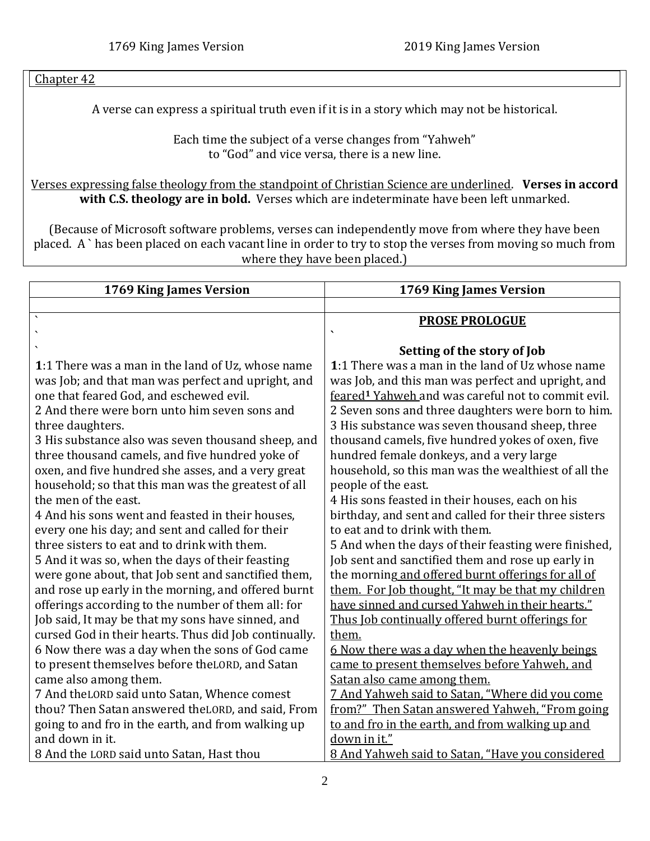## <span id="page-1-1"></span>[Chapter 42](#page-60-0)

A verse can express a spiritual truth even if it is in a story which may not be historical.

Each time the subject of a verse changes from "Yahweh" to "God" and vice versa, there is a new line.

Verses expressing false theology from the standpoint of Christian Science are underlined. **Verses in accord with C.S. theology are in bold.** Verses which are indeterminate have been left unmarked.

(Because of Microsoft software problems, verses can independently move from where they have been placed. A ` has been placed on each vacant line in order to try to stop the verses from moving so much from where they have been placed.)

<span id="page-1-0"></span>

| 1769 King James Version                               | 1769 King James Version                                        |
|-------------------------------------------------------|----------------------------------------------------------------|
|                                                       |                                                                |
|                                                       | <b>PROSE PROLOGUE</b>                                          |
|                                                       |                                                                |
|                                                       | Setting of the story of Job                                    |
| 1:1 There was a man in the land of Uz, whose name     | 1:1 There was a man in the land of Uz whose name               |
| was Job; and that man was perfect and upright, and    | was Job, and this man was perfect and upright, and             |
| one that feared God, and eschewed evil.               | feared <sup>1</sup> Yahweh and was careful not to commit evil. |
| 2 And there were born unto him seven sons and         | 2 Seven sons and three daughters were born to him.             |
| three daughters.                                      | 3 His substance was seven thousand sheep, three                |
| 3 His substance also was seven thousand sheep, and    | thousand camels, five hundred yokes of oxen, five              |
| three thousand camels, and five hundred yoke of       | hundred female donkeys, and a very large                       |
| oxen, and five hundred she asses, and a very great    | household, so this man was the wealthiest of all the           |
| household; so that this man was the greatest of all   | people of the east.                                            |
| the men of the east.                                  | 4 His sons feasted in their houses, each on his                |
| 4 And his sons went and feasted in their houses,      | birthday, and sent and called for their three sisters          |
| every one his day; and sent and called for their      | to eat and to drink with them.                                 |
| three sisters to eat and to drink with them.          | 5 And when the days of their feasting were finished,           |
| 5 And it was so, when the days of their feasting      | Job sent and sanctified them and rose up early in              |
| were gone about, that Job sent and sanctified them,   | the morning and offered burnt offerings for all of             |
| and rose up early in the morning, and offered burnt   | them. For Job thought, "It may be that my children             |
| offerings according to the number of them all: for    | have sinned and cursed Yahweh in their hearts."                |
| Job said, It may be that my sons have sinned, and     | Thus Job continually offered burnt offerings for               |
| cursed God in their hearts. Thus did Job continually. | them.                                                          |
| 6 Now there was a day when the sons of God came       | <u>6 Now there was a day when the heavenly beings</u>          |
| to present themselves before the LORD, and Satan      | came to present themselves before Yahweh, and                  |
| came also among them.                                 | Satan also came among them.                                    |
| 7 And the LORD said unto Satan, Whence comest         | 7 And Yahweh said to Satan, "Where did you come                |
| thou? Then Satan answered theLORD, and said, From     | from?" Then Satan answered Yahweh, "From going                 |
| going to and fro in the earth, and from walking up    | to and fro in the earth, and from walking up and               |
| and down in it.                                       | down in it."                                                   |
| 8 And the LORD said unto Satan, Hast thou             | 8 And Yahweh said to Satan, "Have you considered               |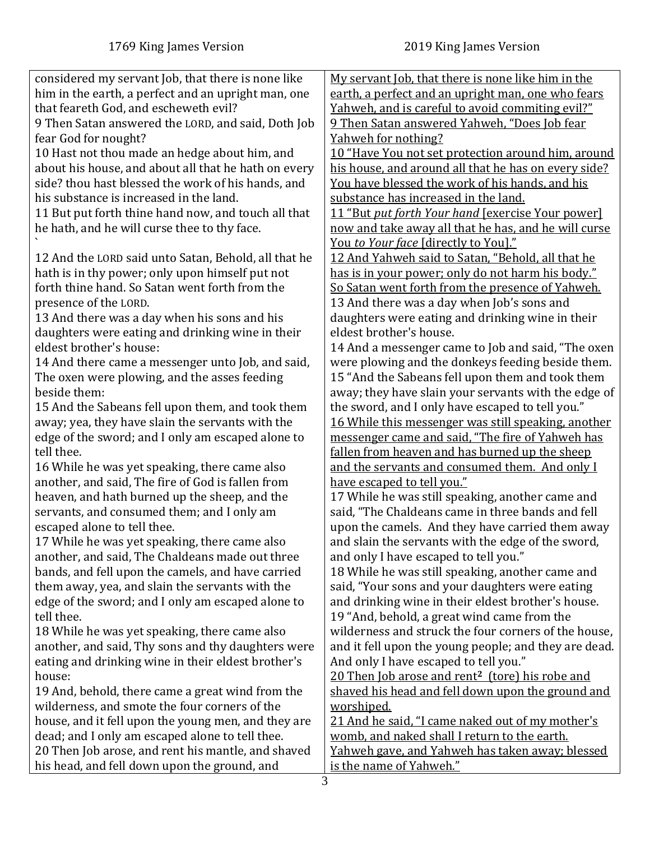| considered my servant Job, that there is none like   | My servant Job, that there is none like him in the                                               |
|------------------------------------------------------|--------------------------------------------------------------------------------------------------|
| him in the earth, a perfect and an upright man, one  | earth, a perfect and an upright man, one who fears                                               |
| that feareth God, and escheweth evil?                | Yahweh, and is careful to avoid commiting evil?"                                                 |
| 9 Then Satan answered the LORD, and said, Doth Job   | 9 Then Satan answered Yahweh, "Does Job fear                                                     |
| fear God for nought?                                 | Yahweh for nothing?                                                                              |
| 10 Hast not thou made an hedge about him, and        | 10 "Have You not set protection around him, around                                               |
| about his house, and about all that he hath on every | his house, and around all that he has on every side?                                             |
| side? thou hast blessed the work of his hands, and   | You have blessed the work of his hands, and his                                                  |
| his substance is increased in the land.              | substance has increased in the land.                                                             |
| 11 But put forth thine hand now, and touch all that  | 11 "But put forth Your hand [exercise Your power]                                                |
| he hath, and he will curse thee to thy face.         | now and take away all that he has, and he will curse                                             |
|                                                      | You to Your face [directly to You]."                                                             |
| 12 And the LORD said unto Satan, Behold, all that he | 12 And Yahweh said to Satan, "Behold, all that he                                                |
| hath is in thy power; only upon himself put not      | has is in your power; only do not harm his body."                                                |
| forth thine hand. So Satan went forth from the       | So Satan went forth from the presence of Yahweh.                                                 |
| presence of the LORD.                                | 13 And there was a day when Job's sons and                                                       |
| 13 And there was a day when his sons and his         | daughters were eating and drinking wine in their                                                 |
| daughters were eating and drinking wine in their     | eldest brother's house.                                                                          |
| eldest brother's house:                              | 14 And a messenger came to Job and said, "The oxen                                               |
| 14 And there came a messenger unto Job, and said,    | were plowing and the donkeys feeding beside them.                                                |
| The oxen were plowing, and the asses feeding         | 15 "And the Sabeans fell upon them and took them                                                 |
| beside them:                                         | away; they have slain your servants with the edge of                                             |
| 15 And the Sabeans fell upon them, and took them     | the sword, and I only have escaped to tell you."                                                 |
| away; yea, they have slain the servants with the     | 16 While this messenger was still speaking, another                                              |
| edge of the sword; and I only am escaped alone to    | messenger came and said, "The fire of Yahweh has                                                 |
| tell thee.                                           |                                                                                                  |
|                                                      | fallen from heaven and has burned up the sheep<br>and the servants and consumed them. And only I |
| 16 While he was yet speaking, there came also        |                                                                                                  |
| another, and said, The fire of God is fallen from    | have escaped to tell you."                                                                       |
| heaven, and hath burned up the sheep, and the        | 17 While he was still speaking, another came and                                                 |
| servants, and consumed them; and I only am           | said, "The Chaldeans came in three bands and fell                                                |
| escaped alone to tell thee.                          | upon the camels. And they have carried them away                                                 |
| 17 While he was yet speaking, there came also        | and slain the servants with the edge of the sword,                                               |
| another, and said, The Chaldeans made out three      | and only I have escaped to tell you."                                                            |
| bands, and fell upon the camels, and have carried    | 18 While he was still speaking, another came and                                                 |
| them away, yea, and slain the servants with the      | said, "Your sons and your daughters were eating                                                  |
| edge of the sword; and I only am escaped alone to    | and drinking wine in their eldest brother's house.                                               |
| tell thee.                                           | 19 "And, behold, a great wind came from the                                                      |
| 18 While he was yet speaking, there came also        | wilderness and struck the four corners of the house,                                             |
| another, and said, Thy sons and thy daughters were   | and it fell upon the young people; and they are dead.                                            |
| eating and drinking wine in their eldest brother's   | And only I have escaped to tell you."                                                            |
| house:                                               | 20 Then Job arose and rent <sup>2</sup> (tore) his robe and                                      |
| 19 And, behold, there came a great wind from the     | shaved his head and fell down upon the ground and                                                |
| wilderness, and smote the four corners of the        | worshiped.                                                                                       |
| house, and it fell upon the young men, and they are  | 21 And he said, "I came naked out of my mother's                                                 |
| dead; and I only am escaped alone to tell thee.      | womb, and naked shall I return to the earth.                                                     |
| 20 Then Job arose, and rent his mantle, and shaved   | Yahweh gave, and Yahweh has taken away; blessed                                                  |
| his head, and fell down upon the ground, and         | is the name of Yahweh."                                                                          |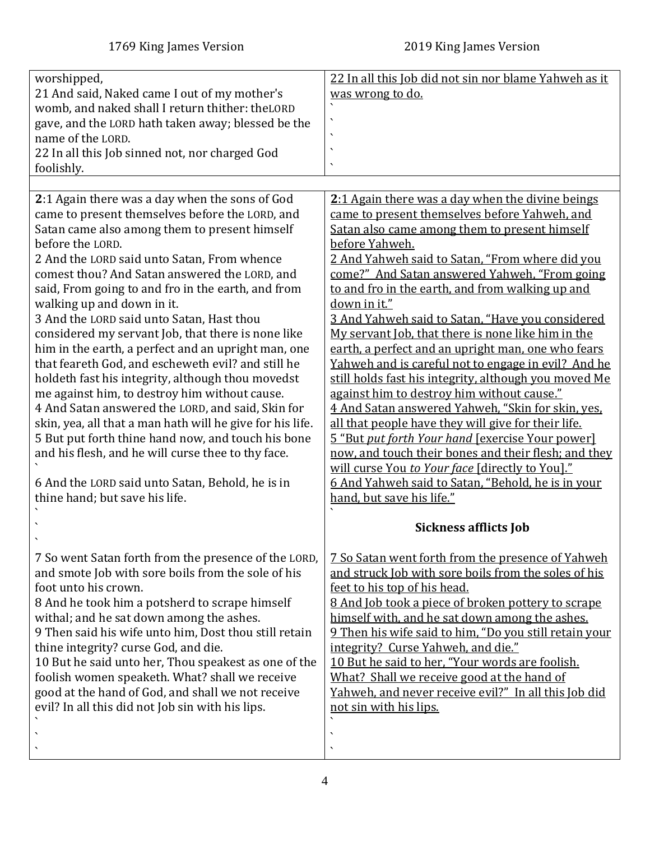<span id="page-3-0"></span>

| worshipped,<br>21 And said, Naked came I out of my mother's<br>womb, and naked shall I return thither: theLORD<br>gave, and the LORD hath taken away; blessed be the<br>name of the LORD.<br>22 In all this Job sinned not, nor charged God<br>foolishly.                                                                                                                                                                                                                                                                                                                                                                                                                                                                                                                                                                                                                                                                                                                                            | 22 In all this Job did not sin nor blame Yahweh as it<br>was wrong to do.<br>٠                                                                                                                                                                                                                                                                                                                                                                                                                                                                                                                                                                                                                                                                                                                                                                                                                                                                                                                                                           |
|------------------------------------------------------------------------------------------------------------------------------------------------------------------------------------------------------------------------------------------------------------------------------------------------------------------------------------------------------------------------------------------------------------------------------------------------------------------------------------------------------------------------------------------------------------------------------------------------------------------------------------------------------------------------------------------------------------------------------------------------------------------------------------------------------------------------------------------------------------------------------------------------------------------------------------------------------------------------------------------------------|------------------------------------------------------------------------------------------------------------------------------------------------------------------------------------------------------------------------------------------------------------------------------------------------------------------------------------------------------------------------------------------------------------------------------------------------------------------------------------------------------------------------------------------------------------------------------------------------------------------------------------------------------------------------------------------------------------------------------------------------------------------------------------------------------------------------------------------------------------------------------------------------------------------------------------------------------------------------------------------------------------------------------------------|
| 2:1 Again there was a day when the sons of God<br>came to present themselves before the LORD, and<br>Satan came also among them to present himself<br>before the LORD.<br>2 And the LORD said unto Satan, From whence<br>comest thou? And Satan answered the LORD, and<br>said, From going to and fro in the earth, and from<br>walking up and down in it.<br>3 And the LORD said unto Satan, Hast thou<br>considered my servant Job, that there is none like<br>him in the earth, a perfect and an upright man, one<br>that feareth God, and escheweth evil? and still he<br>holdeth fast his integrity, although thou movedst<br>me against him, to destroy him without cause.<br>4 And Satan answered the LORD, and said, Skin for<br>skin, yea, all that a man hath will he give for his life.<br>5 But put forth thine hand now, and touch his bone<br>and his flesh, and he will curse thee to thy face.<br>6 And the LORD said unto Satan, Behold, he is in<br>thine hand; but save his life. | 2:1 Again there was a day when the divine beings<br>came to present themselves before Yahweh, and<br>Satan also came among them to present himself<br>before Yahweh.<br>2 And Yahweh said to Satan, "From where did you<br>come?" And Satan answered Yahweh, "From going<br>to and fro in the earth, and from walking up and<br>down in it."<br>3 And Yahweh said to Satan, "Have you considered<br>My servant Job, that there is none like him in the<br>earth, a perfect and an upright man, one who fears<br>Yahweh and is careful not to engage in evil? And he<br>still holds fast his integrity, although you moved Me<br>against him to destroy him without cause."<br>4 And Satan answered Yahweh, "Skin for skin, yes,<br>all that people have they will give for their life.<br>5 "But put forth Your hand [exercise Your power]<br>now, and touch their bones and their flesh; and they<br>will curse You to Your face [directly to You]."<br>6 And Yahweh said to Satan, "Behold, he is in your<br>hand, but save his life." |
|                                                                                                                                                                                                                                                                                                                                                                                                                                                                                                                                                                                                                                                                                                                                                                                                                                                                                                                                                                                                      | <b>Sickness afflicts Job</b>                                                                                                                                                                                                                                                                                                                                                                                                                                                                                                                                                                                                                                                                                                                                                                                                                                                                                                                                                                                                             |
| 7 So went Satan forth from the presence of the LORD,<br>and smote Job with sore boils from the sole of his<br>foot unto his crown.<br>8 And he took him a potsherd to scrape himself<br>withal; and he sat down among the ashes.<br>9 Then said his wife unto him, Dost thou still retain<br>thine integrity? curse God, and die.<br>10 But he said unto her, Thou speakest as one of the<br>foolish women speaketh. What? shall we receive<br>good at the hand of God, and shall we not receive<br>evil? In all this did not Job sin with his lips.                                                                                                                                                                                                                                                                                                                                                                                                                                                 | 7 So Satan went forth from the presence of Yahweh<br>and struck Job with sore boils from the soles of his<br>feet to his top of his head.<br>8 And Job took a piece of broken pottery to scrape<br>himself with, and he sat down among the ashes.<br>9 Then his wife said to him, "Do you still retain your<br>integrity? Curse Yahweh, and die."<br>10 But he said to her, "Your words are foolish.<br>What? Shall we receive good at the hand of<br>Yahweh, and never receive evil?" In all this Job did<br>not sin with his lips.<br>$\overline{\phantom{0}}$                                                                                                                                                                                                                                                                                                                                                                                                                                                                         |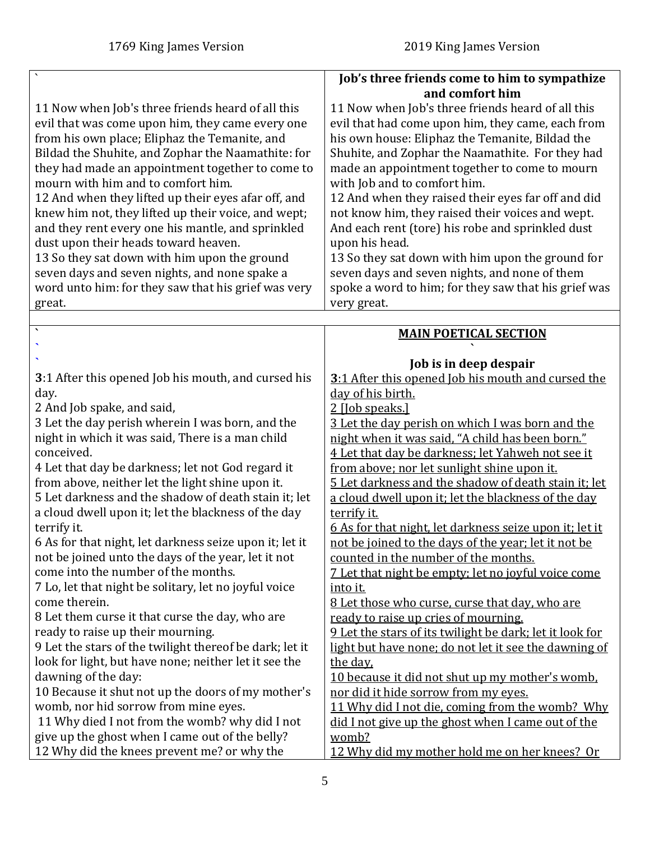<span id="page-4-0"></span>

|                                                                                                       | Job's three friends come to him to sympathize                                                       |
|-------------------------------------------------------------------------------------------------------|-----------------------------------------------------------------------------------------------------|
|                                                                                                       | and comfort him                                                                                     |
| 11 Now when Job's three friends heard of all this                                                     | 11 Now when Job's three friends heard of all this                                                   |
| evil that was come upon him, they came every one                                                      | evil that had come upon him, they came, each from                                                   |
| from his own place; Eliphaz the Temanite, and                                                         | his own house: Eliphaz the Temanite, Bildad the                                                     |
| Bildad the Shuhite, and Zophar the Naamathite: for                                                    | Shuhite, and Zophar the Naamathite. For they had                                                    |
| they had made an appointment together to come to                                                      | made an appointment together to come to mourn                                                       |
| mourn with him and to comfort him.                                                                    | with Job and to comfort him.                                                                        |
| 12 And when they lifted up their eyes afar off, and                                                   | 12 And when they raised their eyes far off and did                                                  |
| knew him not, they lifted up their voice, and wept;                                                   | not know him, they raised their voices and wept.                                                    |
| and they rent every one his mantle, and sprinkled                                                     | And each rent (tore) his robe and sprinkled dust                                                    |
| dust upon their heads toward heaven.                                                                  | upon his head.                                                                                      |
| 13 So they sat down with him upon the ground                                                          | 13 So they sat down with him upon the ground for                                                    |
| seven days and seven nights, and none spake a                                                         | seven days and seven nights, and none of them                                                       |
| word unto him: for they saw that his grief was very                                                   | spoke a word to him; for they saw that his grief was                                                |
| great.                                                                                                | very great.                                                                                         |
| $\overline{\phantom{a}}$                                                                              |                                                                                                     |
|                                                                                                       | <b>MAIN POETICAL SECTION</b>                                                                        |
|                                                                                                       |                                                                                                     |
|                                                                                                       | Job is in deep despair                                                                              |
| 3:1 After this opened Job his mouth, and cursed his                                                   | 3:1 After this opened Job his mouth and cursed the                                                  |
| day.                                                                                                  | day of his birth.                                                                                   |
| 2 And Job spake, and said,                                                                            | 2 [Job speaks.]                                                                                     |
| 3 Let the day perish wherein I was born, and the                                                      | 3 Let the day perish on which I was born and the                                                    |
| night in which it was said, There is a man child<br>conceived.                                        | night when it was said, "A child has been born."                                                    |
|                                                                                                       | 4 Let that day be darkness; let Yahweh not see it                                                   |
| 4 Let that day be darkness; let not God regard it<br>from above, neither let the light shine upon it. | from above; nor let sunlight shine upon it.<br>5 Let darkness and the shadow of death stain it; let |
| 5 Let darkness and the shadow of death stain it; let                                                  |                                                                                                     |
| a cloud dwell upon it; let the blackness of the day                                                   | a cloud dwell upon it; let the blackness of the day<br>terrify it.                                  |
| terrify it.                                                                                           | 6 As for that night, let darkness seize upon it; let it                                             |
| 6 As for that night, let darkness seize upon it; let it                                               | not be ioined to the days of the year; let it not be                                                |
| not be joined unto the days of the year, let it not                                                   | counted in the number of the months.                                                                |
| come into the number of the months.                                                                   | 7 Let that night be empty; let no joyful voice come                                                 |
| 7 Lo, let that night be solitary, let no joyful voice                                                 | <u>into it.</u>                                                                                     |
| come therein.                                                                                         | 8 Let those who curse, curse that day, who are                                                      |
| 8 Let them curse it that curse the day, who are                                                       | ready to raise up cries of mourning.                                                                |
| ready to raise up their mourning.                                                                     | 9 Let the stars of its twilight be dark; let it look for                                            |
| 9 Let the stars of the twilight thereof be dark; let it                                               | light but have none; do not let it see the dawning of                                               |
| look for light, but have none; neither let it see the                                                 | the day,                                                                                            |
| dawning of the day:                                                                                   | 10 because it did not shut up my mother's womb.                                                     |
| 10 Because it shut not up the doors of my mother's                                                    | nor did it hide sorrow from my eyes.                                                                |
| womb, nor hid sorrow from mine eyes.                                                                  | 11 Why did I not die, coming from the womb? Why                                                     |
| 11 Why died I not from the womb? why did I not                                                        | did I not give up the ghost when I came out of the                                                  |
| give up the ghost when I came out of the belly?                                                       | womb?                                                                                               |
| 12 Why did the knees prevent me? or why the                                                           | 12 Why did my mother hold me on her knees? Or                                                       |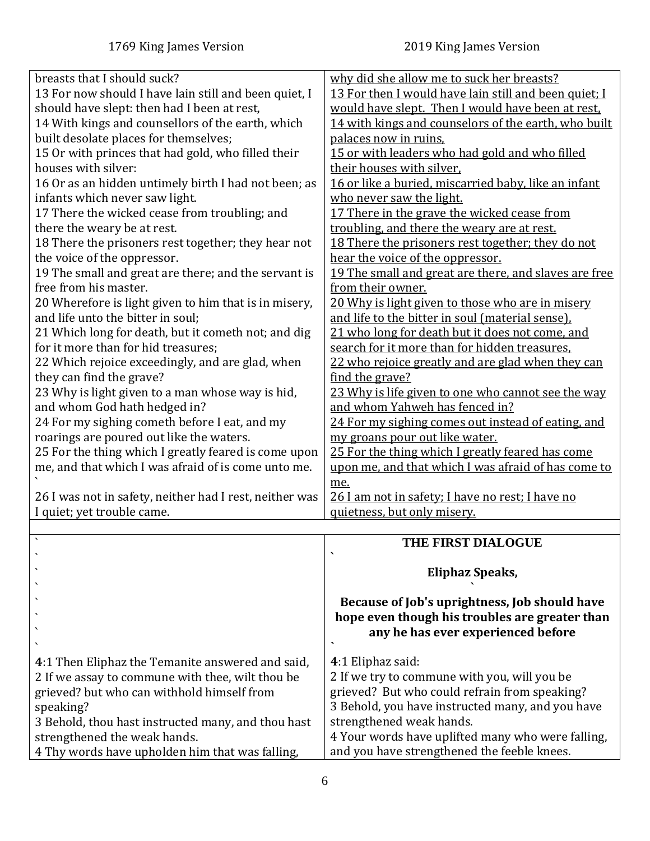| breasts that I should suck?                             | why did she allow me to suck her breasts?             |
|---------------------------------------------------------|-------------------------------------------------------|
| 13 For now should I have lain still and been quiet, I   | 13 For then I would have lain still and been quiet; I |
| should have slept: then had I been at rest,             | would have slept. Then I would have been at rest.     |
| 14 With kings and counsellors of the earth, which       | 14 with kings and counselors of the earth, who built  |
| built desolate places for themselves;                   | palaces now in ruins.                                 |
| 15 Or with princes that had gold, who filled their      | 15 or with leaders who had gold and who filled        |
| houses with silver:                                     | their houses with silver,                             |
| 16 Or as an hidden untimely birth I had not been; as    | 16 or like a buried, miscarried baby, like an infant  |
| infants which never saw light.                          | who never saw the light.                              |
| 17 There the wicked cease from troubling; and           | 17 There in the grave the wicked cease from           |
| there the weary be at rest.                             | troubling, and there the weary are at rest.           |
| 18 There the prisoners rest together; they hear not     | 18 There the prisoners rest together; they do not     |
| the voice of the oppressor.                             | hear the voice of the oppressor.                      |
| 19 The small and great are there; and the servant is    | 19 The small and great are there, and slaves are free |
| free from his master.                                   | from their owner.                                     |
| 20 Wherefore is light given to him that is in misery,   | 20 Why is light given to those who are in misery      |
| and life unto the bitter in soul;                       | and life to the bitter in soul (material sense).      |
| 21 Which long for death, but it cometh not; and dig     | 21 who long for death but it does not come, and       |
| for it more than for hid treasures;                     | search for it more than for hidden treasures.         |
| 22 Which rejoice exceedingly, and are glad, when        | 22 who rejoice greatly and are glad when they can     |
| they can find the grave?                                | find the grave?                                       |
| 23 Why is light given to a man whose way is hid,        | 23 Why is life given to one who cannot see the way    |
| and whom God hath hedged in?                            | and whom Yahweh has fenced in?                        |
| 24 For my sighing cometh before I eat, and my           | 24 For my sighing comes out instead of eating, and    |
| roarings are poured out like the waters.                | my groans pour out like water.                        |
| 25 For the thing which I greatly feared is come upon    | 25 For the thing which I greatly feared has come      |
| me, and that which I was afraid of is come unto me.     | upon me, and that which I was afraid of has come to   |
|                                                         | me.                                                   |
| 26 I was not in safety, neither had I rest, neither was | 26 I am not in safety; I have no rest; I have no      |
| I quiet; yet trouble came.                              | quietness, but only misery.                           |
|                                                         |                                                       |
| $\sim$                                                  | <b>THE FIDET DIAL OCHE</b>                            |

<span id="page-5-0"></span>

|                                                                                                                                                                 | THE FIRST DIALOGUE                                                                                                                                                     |
|-----------------------------------------------------------------------------------------------------------------------------------------------------------------|------------------------------------------------------------------------------------------------------------------------------------------------------------------------|
|                                                                                                                                                                 | Eliphaz Speaks,                                                                                                                                                        |
|                                                                                                                                                                 | Because of Job's uprightness, Job should have<br>hope even though his troubles are greater than<br>any he has ever experienced before                                  |
| 4:1 Then Eliphaz the Temanite answered and said,<br>2 If we assay to commune with thee, wilt thou be<br>grieved? but who can withhold himself from<br>speaking? | 4:1 Eliphaz said:<br>2 If we try to commune with you, will you be<br>grieved? But who could refrain from speaking?<br>3 Behold, you have instructed many, and you have |
| 3 Behold, thou hast instructed many, and thou hast<br>strengthened the weak hands.                                                                              | strengthened weak hands.<br>4 Your words have uplifted many who were falling,                                                                                          |
| 4 Thy words have upholden him that was falling,                                                                                                                 | and you have strengthened the feeble knees.                                                                                                                            |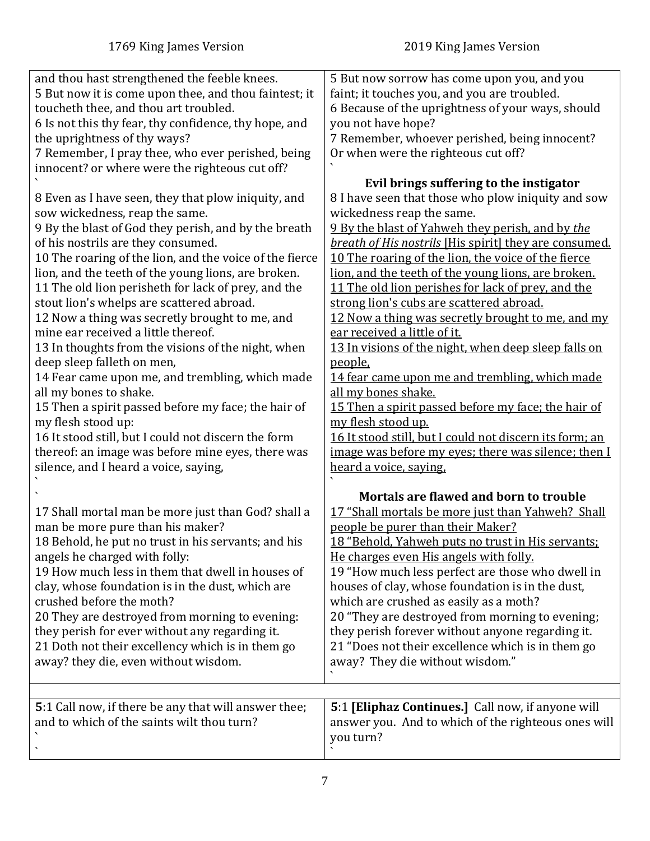<span id="page-6-0"></span>

| and thou hast strengthened the feeble knees.<br>5 But now it is come upon thee, and thou faintest; it<br>toucheth thee, and thou art troubled.<br>6 Is not this thy fear, thy confidence, thy hope, and<br>the uprightness of thy ways?<br>7 Remember, I pray thee, who ever perished, being<br>innocent? or where were the righteous cut off?<br>8 Even as I have seen, they that plow iniquity, and<br>sow wickedness, reap the same.<br>9 By the blast of God they perish, and by the breath<br>of his nostrils are they consumed.<br>10 The roaring of the lion, and the voice of the fierce<br>lion, and the teeth of the young lions, are broken.<br>11 The old lion perisheth for lack of prey, and the<br>stout lion's whelps are scattered abroad.<br>12 Now a thing was secretly brought to me, and<br>mine ear received a little thereof.<br>13 In thoughts from the visions of the night, when<br>deep sleep falleth on men,<br>14 Fear came upon me, and trembling, which made<br>all my bones to shake.<br>15 Then a spirit passed before my face; the hair of | 5 But now sorrow has come upon you, and you<br>faint; it touches you, and you are troubled.<br>6 Because of the uprightness of your ways, should<br>you not have hope?<br>7 Remember, whoever perished, being innocent?<br>Or when were the righteous cut off?<br>Evil brings suffering to the instigator<br>8 I have seen that those who plow iniquity and sow<br>wickedness reap the same.<br>9 By the blast of Yahweh they perish, and by the<br><i>breath of His nostrils</i> [His spirit] they are consumed.<br>10 The roaring of the lion, the voice of the fierce<br>lion, and the teeth of the young lions, are broken.<br>11 The old lion perishes for lack of prey, and the<br>strong lion's cubs are scattered abroad.<br>12 Now a thing was secretly brought to me, and my<br>ear received a little of it.<br>13 In visions of the night, when deep sleep falls on<br>people,<br>14 fear came upon me and trembling, which made<br>all my bones shake.<br>15 Then a spirit passed before my face; the hair of<br>my flesh stood up. |
|------------------------------------------------------------------------------------------------------------------------------------------------------------------------------------------------------------------------------------------------------------------------------------------------------------------------------------------------------------------------------------------------------------------------------------------------------------------------------------------------------------------------------------------------------------------------------------------------------------------------------------------------------------------------------------------------------------------------------------------------------------------------------------------------------------------------------------------------------------------------------------------------------------------------------------------------------------------------------------------------------------------------------------------------------------------------------|-------------------------------------------------------------------------------------------------------------------------------------------------------------------------------------------------------------------------------------------------------------------------------------------------------------------------------------------------------------------------------------------------------------------------------------------------------------------------------------------------------------------------------------------------------------------------------------------------------------------------------------------------------------------------------------------------------------------------------------------------------------------------------------------------------------------------------------------------------------------------------------------------------------------------------------------------------------------------------------------------------------------------------------------------|
| my flesh stood up:                                                                                                                                                                                                                                                                                                                                                                                                                                                                                                                                                                                                                                                                                                                                                                                                                                                                                                                                                                                                                                                           |                                                                                                                                                                                                                                                                                                                                                                                                                                                                                                                                                                                                                                                                                                                                                                                                                                                                                                                                                                                                                                                 |
| 16 It stood still, but I could not discern the form<br>thereof: an image was before mine eyes, there was                                                                                                                                                                                                                                                                                                                                                                                                                                                                                                                                                                                                                                                                                                                                                                                                                                                                                                                                                                     | 16 It stood still, but I could not discern its form; an<br>image was before my eyes; there was silence; then I                                                                                                                                                                                                                                                                                                                                                                                                                                                                                                                                                                                                                                                                                                                                                                                                                                                                                                                                  |
| silence, and I heard a voice, saying,                                                                                                                                                                                                                                                                                                                                                                                                                                                                                                                                                                                                                                                                                                                                                                                                                                                                                                                                                                                                                                        | heard a voice, saying.                                                                                                                                                                                                                                                                                                                                                                                                                                                                                                                                                                                                                                                                                                                                                                                                                                                                                                                                                                                                                          |
|                                                                                                                                                                                                                                                                                                                                                                                                                                                                                                                                                                                                                                                                                                                                                                                                                                                                                                                                                                                                                                                                              | Mortals are flawed and born to trouble                                                                                                                                                                                                                                                                                                                                                                                                                                                                                                                                                                                                                                                                                                                                                                                                                                                                                                                                                                                                          |
| 17 Shall mortal man be more just than God? shall a<br>man be more pure than his maker?<br>18 Behold, he put no trust in his servants; and his<br>angels he charged with folly:<br>19 How much less in them that dwell in houses of<br>clay, whose foundation is in the dust, which are<br>crushed before the moth?<br>20 They are destroyed from morning to evening:<br>they perish for ever without any regarding it.<br>21 Doth not their excellency which is in them go<br>away? they die, even without wisdom.                                                                                                                                                                                                                                                                                                                                                                                                                                                                                                                                                           | 17 "Shall mortals be more just than Yahweh? Shall<br>people be purer than their Maker?<br>18 "Behold, Yahweh puts no trust in His servants;<br>He charges even His angels with folly.<br>19 "How much less perfect are those who dwell in<br>houses of clay, whose foundation is in the dust,<br>which are crushed as easily as a moth?<br>20 "They are destroyed from morning to evening;<br>they perish forever without anyone regarding it.<br>21 "Does not their excellence which is in them go<br>away? They die without wisdom."                                                                                                                                                                                                                                                                                                                                                                                                                                                                                                          |
| 5:1 Call now, if there be any that will answer thee;<br>and to which of the saints wilt thou turn?                                                                                                                                                                                                                                                                                                                                                                                                                                                                                                                                                                                                                                                                                                                                                                                                                                                                                                                                                                           | 5:1 [Eliphaz Continues.] Call now, if anyone will<br>answer you. And to which of the righteous ones will<br>you turn?                                                                                                                                                                                                                                                                                                                                                                                                                                                                                                                                                                                                                                                                                                                                                                                                                                                                                                                           |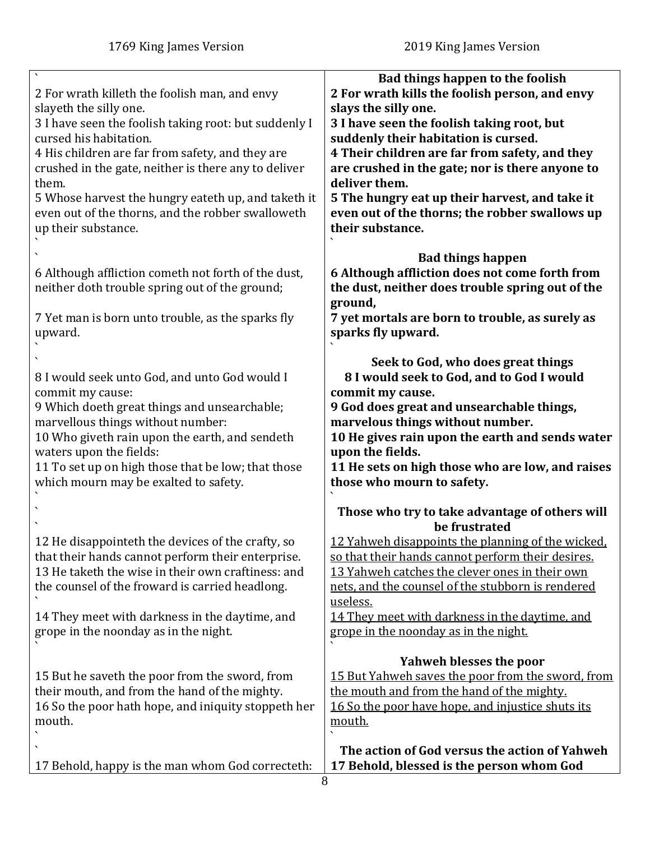| 2 For wrath killeth the foolish man, and envy<br>slayeth the silly one.<br>3 I have seen the foolish taking root: but suddenly I<br>cursed his habitation.<br>4 His children are far from safety, and they are<br>crushed in the gate, neither is there any to deliver<br>them.<br>5 Whose harvest the hungry eateth up, and taketh it<br>even out of the thorns, and the robber swalloweth<br>up their substance. | Bad things happen to the foolish<br>2 For wrath kills the foolish person, and envy<br>slays the silly one.<br>3 I have seen the foolish taking root, but<br>suddenly their habitation is cursed.<br>4 Their children are far from safety, and they<br>are crushed in the gate; nor is there anyone to<br>deliver them.<br>5 The hungry eat up their harvest, and take it<br>even out of the thorns; the robber swallows up<br>their substance. |
|--------------------------------------------------------------------------------------------------------------------------------------------------------------------------------------------------------------------------------------------------------------------------------------------------------------------------------------------------------------------------------------------------------------------|------------------------------------------------------------------------------------------------------------------------------------------------------------------------------------------------------------------------------------------------------------------------------------------------------------------------------------------------------------------------------------------------------------------------------------------------|
| 6 Although affliction cometh not forth of the dust,<br>neither doth trouble spring out of the ground;<br>7 Yet man is born unto trouble, as the sparks fly<br>upward.                                                                                                                                                                                                                                              | <b>Bad things happen</b><br>6 Although affliction does not come forth from<br>the dust, neither does trouble spring out of the<br>ground,<br>7 yet mortals are born to trouble, as surely as<br>sparks fly upward.                                                                                                                                                                                                                             |
| 8 I would seek unto God, and unto God would I<br>commit my cause:<br>9 Which doeth great things and unsearchable;<br>marvellous things without number:<br>10 Who giveth rain upon the earth, and sendeth<br>waters upon the fields:<br>11 To set up on high those that be low; that those<br>which mourn may be exalted to safety.                                                                                 | Seek to God, who does great things<br>8 I would seek to God, and to God I would<br>commit my cause.<br>9 God does great and unsearchable things,<br>marvelous things without number.<br>10 He gives rain upon the earth and sends water<br>upon the fields.<br>11 He sets on high those who are low, and raises<br>those who mourn to safety.                                                                                                  |
| 12 He disappointeth the devices of the crafty, so<br>that their hands cannot perform their enterprise.<br>13 He taketh the wise in their own craftiness: and<br>the counsel of the froward is carried headlong.<br>14 They meet with darkness in the daytime, and<br>grope in the noonday as in the night.                                                                                                         | Those who try to take advantage of others will<br>be frustrated<br>12 Yahweh disappoints the planning of the wicked,<br>so that their hands cannot perform their desires.<br>13 Yahweh catches the clever ones in their own<br>nets, and the counsel of the stubborn is rendered<br>useless.<br>14 They meet with darkness in the daytime, and<br>grope in the noonday as in the night.                                                        |
| 15 But he saveth the poor from the sword, from<br>their mouth, and from the hand of the mighty.<br>16 So the poor hath hope, and iniquity stoppeth her<br>mouth.<br>17 Behold, happy is the man whom God correcteth:                                                                                                                                                                                               | Yahweh blesses the poor<br>15 But Yahweh saves the poor from the sword, from<br>the mouth and from the hand of the mighty.<br>16 So the poor have hope, and injustice shuts its<br><u>mouth.</u><br>The action of God versus the action of Yahweh<br>17 Behold, blessed is the person whom God                                                                                                                                                 |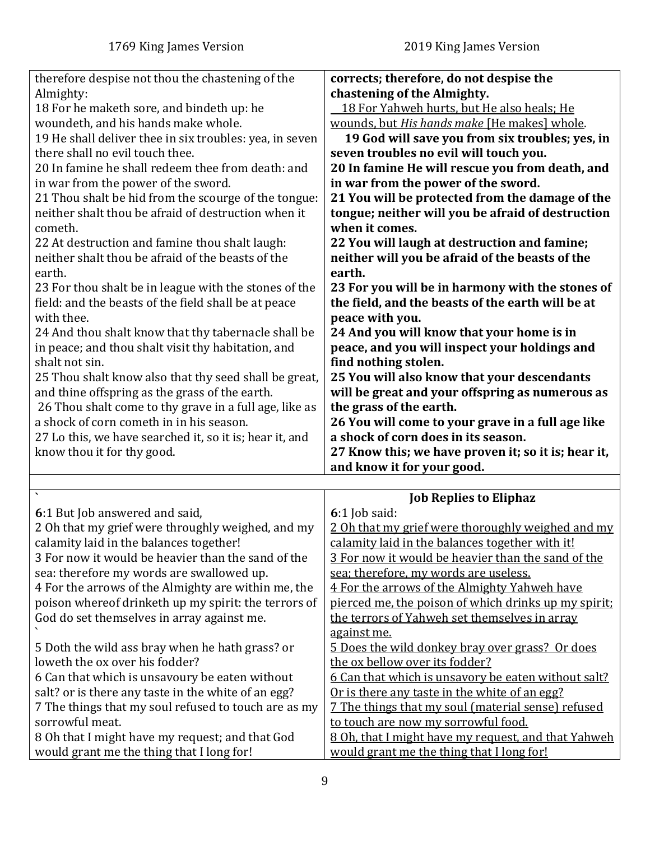<span id="page-8-0"></span>

| therefore despise not thou the chastening of the<br>Almighty:<br>18 For he maketh sore, and bindeth up: he<br>woundeth, and his hands make whole.<br>19 He shall deliver thee in six troubles: yea, in seven<br>there shall no evil touch thee.<br>20 In famine he shall redeem thee from death: and<br>in war from the power of the sword.<br>21 Thou shalt be hid from the scourge of the tongue:<br>neither shalt thou be afraid of destruction when it<br>cometh.<br>22 At destruction and famine thou shalt laugh:<br>neither shalt thou be afraid of the beasts of the<br>earth.<br>23 For thou shalt be in league with the stones of the<br>field: and the beasts of the field shall be at peace<br>with thee.<br>24 And thou shalt know that thy tabernacle shall be<br>in peace; and thou shalt visit thy habitation, and<br>shalt not sin.<br>25 Thou shalt know also that thy seed shall be great,<br>and thine offspring as the grass of the earth.<br>26 Thou shalt come to thy grave in a full age, like as<br>a shock of corn cometh in in his season.<br>27 Lo this, we have searched it, so it is; hear it, and<br>know thou it for thy good. | corrects; therefore, do not despise the<br>chastening of the Almighty.<br>18 For Yahweh hurts, but He also heals; He<br>wounds, but His hands make [He makes] whole.<br>19 God will save you from six troubles; yes, in<br>seven troubles no evil will touch you.<br>20 In famine He will rescue you from death, and<br>in war from the power of the sword.<br>21 You will be protected from the damage of the<br>tongue; neither will you be afraid of destruction<br>when it comes.<br>22 You will laugh at destruction and famine;<br>neither will you be afraid of the beasts of the<br>earth.<br>23 For you will be in harmony with the stones of<br>the field, and the beasts of the earth will be at<br>peace with you.<br>24 And you will know that your home is in<br>peace, and you will inspect your holdings and<br>find nothing stolen.<br>25 You will also know that your descendants<br>will be great and your offspring as numerous as<br>the grass of the earth.<br>26 You will come to your grave in a full age like<br>a shock of corn does in its season.<br>27 Know this; we have proven it; so it is; hear it,<br>and know it for your good. |
|----------------------------------------------------------------------------------------------------------------------------------------------------------------------------------------------------------------------------------------------------------------------------------------------------------------------------------------------------------------------------------------------------------------------------------------------------------------------------------------------------------------------------------------------------------------------------------------------------------------------------------------------------------------------------------------------------------------------------------------------------------------------------------------------------------------------------------------------------------------------------------------------------------------------------------------------------------------------------------------------------------------------------------------------------------------------------------------------------------------------------------------------------------------|--------------------------------------------------------------------------------------------------------------------------------------------------------------------------------------------------------------------------------------------------------------------------------------------------------------------------------------------------------------------------------------------------------------------------------------------------------------------------------------------------------------------------------------------------------------------------------------------------------------------------------------------------------------------------------------------------------------------------------------------------------------------------------------------------------------------------------------------------------------------------------------------------------------------------------------------------------------------------------------------------------------------------------------------------------------------------------------------------------------------------------------------------------------------|
|                                                                                                                                                                                                                                                                                                                                                                                                                                                                                                                                                                                                                                                                                                                                                                                                                                                                                                                                                                                                                                                                                                                                                                |                                                                                                                                                                                                                                                                                                                                                                                                                                                                                                                                                                                                                                                                                                                                                                                                                                                                                                                                                                                                                                                                                                                                                                    |
|                                                                                                                                                                                                                                                                                                                                                                                                                                                                                                                                                                                                                                                                                                                                                                                                                                                                                                                                                                                                                                                                                                                                                                | <b>Job Replies to Eliphaz</b>                                                                                                                                                                                                                                                                                                                                                                                                                                                                                                                                                                                                                                                                                                                                                                                                                                                                                                                                                                                                                                                                                                                                      |
| 6:1 But Job answered and said,<br>2 Oh that my grief were throughly weighed, and my<br>calamity laid in the balances together!<br>3 For now it would be heavier than the sand of the<br>sea: therefore my words are swallowed up.<br>4 For the arrows of the Almighty are within me, the<br>poison whereof drinketh up my spirit: the terrors of<br>God do set themselves in array against me.<br>5 Doth the wild ass bray when he hath grass? or                                                                                                                                                                                                                                                                                                                                                                                                                                                                                                                                                                                                                                                                                                              | 6:1 Job said:<br>2 Oh that my grief were thoroughly weighed and my<br><u>calamity laid in the balances together with it!</u><br>3 For now it would be heavier than the sand of the<br>sea; therefore, my words are useless.<br>4 For the arrows of the Almighty Yahweh have<br>pierced me, the poison of which drinks up my spirit;<br>the terrors of Yahweh set themselves in array<br>against me.<br>5 Does the wild donkey bray over grass? Or does                                                                                                                                                                                                                                                                                                                                                                                                                                                                                                                                                                                                                                                                                                             |
| loweth the ox over his fodder?<br>6 Can that which is unsavoury be eaten without<br>salt? or is there any taste in the white of an egg?<br>7 The things that my soul refused to touch are as my<br>sorrowful meat.<br>8 Oh that I might have my request; and that God<br>would grant me the thing that I long for!                                                                                                                                                                                                                                                                                                                                                                                                                                                                                                                                                                                                                                                                                                                                                                                                                                             | the ox bellow over its fodder?<br><u>6 Can that which is unsavory be eaten without salt?</u><br>Or is there any taste in the white of an egg?<br>7 The things that my soul (material sense) refused<br>to touch are now my sorrowful food.<br>8 Oh, that I might have my request, and that Yahweh<br>would grant me the thing that I long for!                                                                                                                                                                                                                                                                                                                                                                                                                                                                                                                                                                                                                                                                                                                                                                                                                     |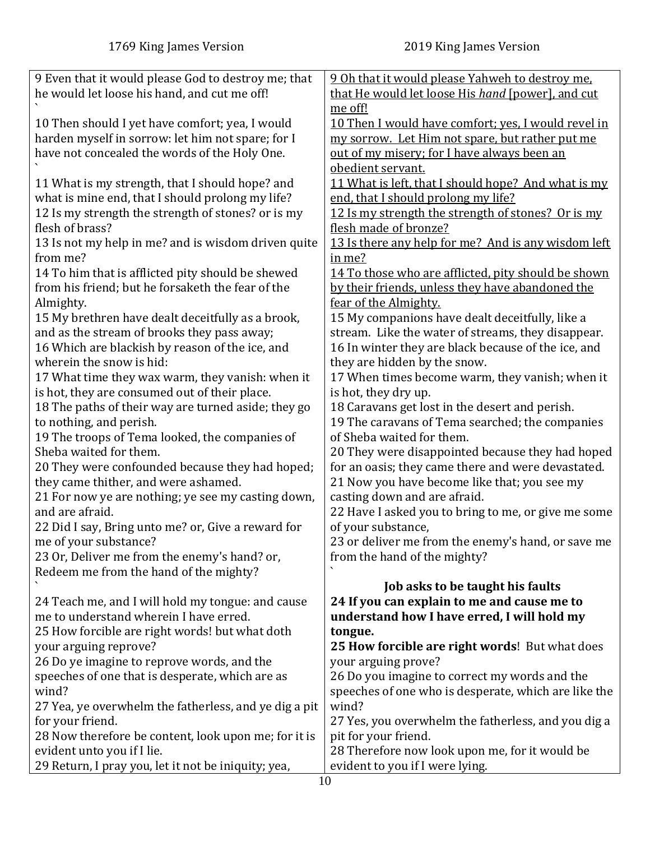| 9 Even that it would please God to destroy me; that   | 9 Oh that it would please Yahweh to destroy me.      |
|-------------------------------------------------------|------------------------------------------------------|
| he would let loose his hand, and cut me off!          | that He would let loose His hand [power], and cut    |
|                                                       | me off!                                              |
| 10 Then should I yet have comfort; yea, I would       | 10 Then I would have comfort; yes, I would revel in  |
| harden myself in sorrow: let him not spare; for I     | my sorrow. Let Him not spare, but rather put me      |
| have not concealed the words of the Holy One.         | out of my misery; for I have always been an          |
|                                                       | obedient servant.                                    |
| 11 What is my strength, that I should hope? and       | 11 What is left, that I should hope? And what is my  |
|                                                       | end, that I should prolong my life?                  |
| what is mine end, that I should prolong my life?      |                                                      |
| 12 Is my strength the strength of stones? or is my    | 12 Is my strength the strength of stones? Or is my   |
| flesh of brass?                                       | flesh made of bronze?                                |
| 13 Is not my help in me? and is wisdom driven quite   | 13 Is there any help for me? And is any wisdom left  |
| from me?                                              | in me?                                               |
| 14 To him that is afflicted pity should be shewed     | 14 To those who are afflicted, pity should be shown  |
| from his friend; but he forsaketh the fear of the     | by their friends, unless they have abandoned the     |
| Almighty.                                             | fear of the Almighty.                                |
| 15 My brethren have dealt deceitfully as a brook,     | 15 My companions have dealt deceitfully, like a      |
| and as the stream of brooks they pass away;           | stream. Like the water of streams, they disappear.   |
| 16 Which are blackish by reason of the ice, and       | 16 In winter they are black because of the ice, and  |
| wherein the snow is hid:                              | they are hidden by the snow.                         |
| 17 What time they wax warm, they vanish: when it      | 17 When times become warm, they vanish; when it      |
| is hot, they are consumed out of their place.         | is hot, they dry up.                                 |
| 18 The paths of their way are turned aside; they go   | 18 Caravans get lost in the desert and perish.       |
| to nothing, and perish.                               | 19 The caravans of Tema searched; the companies      |
| 19 The troops of Tema looked, the companies of        | of Sheba waited for them.                            |
| Sheba waited for them.                                | 20 They were disappointed because they had hoped     |
|                                                       | for an oasis; they came there and were devastated.   |
| 20 They were confounded because they had hoped;       |                                                      |
| they came thither, and were ashamed.                  | 21 Now you have become like that; you see my         |
| 21 For now ye are nothing; ye see my casting down,    | casting down and are afraid.                         |
| and are afraid.                                       | 22 Have I asked you to bring to me, or give me some  |
| 22 Did I say, Bring unto me? or, Give a reward for    | of your substance,                                   |
| me of your substance?                                 | 23 or deliver me from the enemy's hand, or save me   |
| 23 Or, Deliver me from the enemy's hand? or,          | from the hand of the mighty?                         |
| Redeem me from the hand of the mighty?                |                                                      |
|                                                       | Job asks to be taught his faults                     |
| 24 Teach me, and I will hold my tongue: and cause     | 24 If you can explain to me and cause me to          |
| me to understand wherein I have erred.                | understand how I have erred, I will hold my          |
| 25 How forcible are right words! but what doth        | tongue.                                              |
| your arguing reprove?                                 | 25 How forcible are right words! But what does       |
| 26 Do ye imagine to reprove words, and the            | your arguing prove?                                  |
| speeches of one that is desperate, which are as       | 26 Do you imagine to correct my words and the        |
| wind?                                                 | speeches of one who is desperate, which are like the |
| 27 Yea, ye overwhelm the fatherless, and ye dig a pit | wind?                                                |
| for your friend.                                      | 27 Yes, you overwhelm the fatherless, and you dig a  |
| 28 Now therefore be content, look upon me; for it is  | pit for your friend.                                 |
| evident unto you if I lie.                            | 28 Therefore now look upon me, for it would be       |
|                                                       |                                                      |
| 29 Return, I pray you, let it not be iniquity; yea,   | evident to you if I were lying.                      |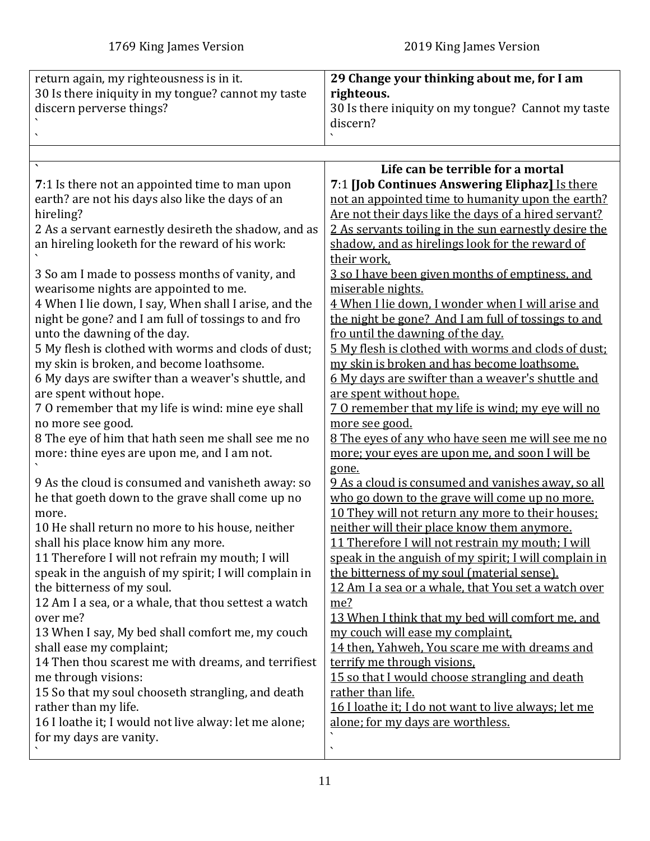<span id="page-10-0"></span>

| return again, my righteousness is in it.<br>30 Is there iniquity in my tongue? cannot my taste<br>discern perverse things? | 29 Change your thinking about me, for I am<br>righteous.<br>30 Is there iniquity on my tongue? Cannot my taste |
|----------------------------------------------------------------------------------------------------------------------------|----------------------------------------------------------------------------------------------------------------|
|                                                                                                                            | discern?                                                                                                       |
|                                                                                                                            |                                                                                                                |
|                                                                                                                            | Life can be terrible for a mortal                                                                              |
| 7:1 Is there not an appointed time to man upon                                                                             | 7:1 [Job Continues Answering Eliphaz] Is there                                                                 |
| earth? are not his days also like the days of an                                                                           | not an appointed time to humanity upon the earth?                                                              |
| hireling?<br>2 As a servant earnestly desireth the shadow, and as                                                          | Are not their days like the days of a hired servant?<br>2 As servants toiling in the sun earnestly desire the  |
| an hireling looketh for the reward of his work:                                                                            | shadow, and as hirelings look for the reward of                                                                |
|                                                                                                                            | their work,                                                                                                    |
| 3 So am I made to possess months of vanity, and<br>wearisome nights are appointed to me.                                   | 3 so I have been given months of emptiness, and<br>miserable nights.                                           |
| 4 When I lie down, I say, When shall I arise, and the                                                                      | 4 When I lie down, I wonder when I will arise and                                                              |
| night be gone? and I am full of tossings to and fro                                                                        | the night be gone? And I am full of tossings to and                                                            |
| unto the dawning of the day.                                                                                               | fro until the dawning of the day.                                                                              |
| 5 My flesh is clothed with worms and clods of dust;                                                                        | 5 My flesh is clothed with worms and clods of dust:                                                            |
| my skin is broken, and become loathsome.                                                                                   | my skin is broken and has become loathsome.                                                                    |
| 6 My days are swifter than a weaver's shuttle, and                                                                         | 6 My days are swifter than a weaver's shuttle and                                                              |
| are spent without hope.                                                                                                    | are spent without hope.                                                                                        |
| 7 O remember that my life is wind: mine eye shall                                                                          | 70 remember that my life is wind; my eye will no                                                               |
| no more see good.                                                                                                          | more see good.                                                                                                 |
| 8 The eye of him that hath seen me shall see me no                                                                         | 8 The eyes of any who have seen me will see me no                                                              |
| more: thine eyes are upon me, and I am not.                                                                                | more; your eyes are upon me, and soon I will be<br>gone.                                                       |
| 9 As the cloud is consumed and vanisheth away: so                                                                          | 9 As a cloud is consumed and vanishes away, so all                                                             |
| he that goeth down to the grave shall come up no                                                                           | who go down to the grave will come up no more.                                                                 |
| more.                                                                                                                      | 10 They will not return any more to their houses:                                                              |
| 10 He shall return no more to his house, neither                                                                           | neither will their place know them anymore.                                                                    |
| shall his place know him any more.                                                                                         | 11 Therefore I will not restrain my mouth; I will                                                              |
| 11 Therefore I will not refrain my mouth; I will                                                                           | speak in the anguish of my spirit; I will complain in                                                          |
| speak in the anguish of my spirit; I will complain in                                                                      | the bitterness of my soul (material sense).                                                                    |
| the bitterness of my soul.<br>12 Am I a sea, or a whale, that thou settest a watch                                         | 12 Am I a sea or a whale, that You set a watch over<br>me?                                                     |
| over me?                                                                                                                   | 13 When I think that my bed will comfort me, and                                                               |
| 13 When I say, My bed shall comfort me, my couch                                                                           | my couch will ease my complaint,                                                                               |
| shall ease my complaint;                                                                                                   | 14 then, Yahweh, You scare me with dreams and                                                                  |
| 14 Then thou scarest me with dreams, and terrifiest                                                                        | terrify me through visions.                                                                                    |
| me through visions:                                                                                                        | 15 so that I would choose strangling and death                                                                 |
| 15 So that my soul chooseth strangling, and death                                                                          | rather than life.                                                                                              |
| rather than my life.                                                                                                       | 16 I loathe it; I do not want to live always; let me                                                           |
| 16 I loathe it; I would not live alway: let me alone;                                                                      | alone; for my days are worthless.                                                                              |
| for my days are vanity.                                                                                                    | $\overline{\phantom{0}}$                                                                                       |
|                                                                                                                            |                                                                                                                |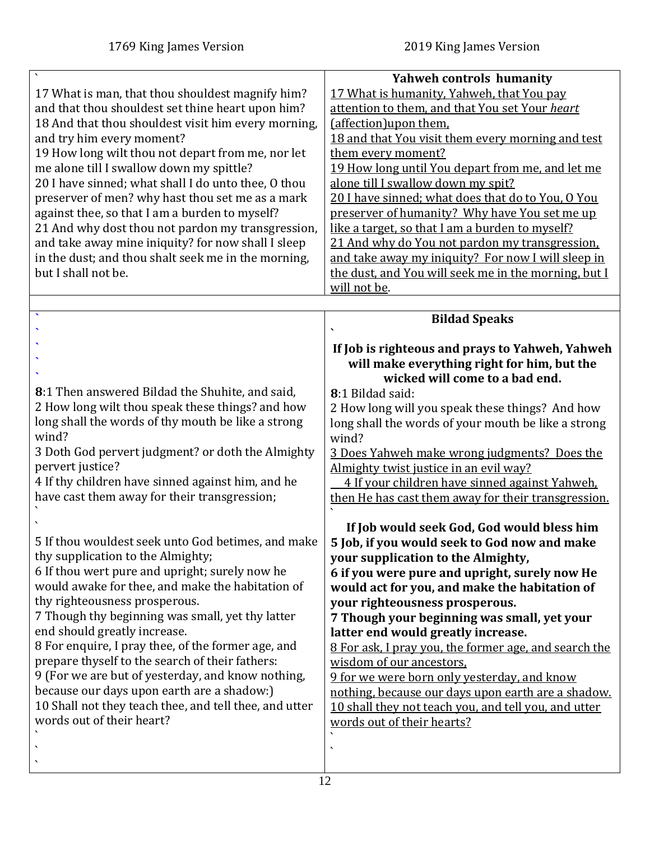`

<span id="page-11-0"></span>

| 17 What is man, that thou shouldest magnify him?<br>and that thou shouldest set thine heart upon him?<br>18 And that thou shouldest visit him every morning,<br>and try him every moment?<br>19 How long wilt thou not depart from me, nor let<br>me alone till I swallow down my spittle?<br>20 I have sinned; what shall I do unto thee, O thou<br>preserver of men? why hast thou set me as a mark<br>against thee, so that I am a burden to myself?<br>21 And why dost thou not pardon my transgression,<br>and take away mine iniquity? for now shall I sleep<br>in the dust; and thou shalt seek me in the morning,<br>but I shall not be. | <b>Yahweh controls humanity</b><br>17 What is humanity, Yahweh, that You pay<br>attention to them, and that You set Your heart<br>(affection) upon them.<br>18 and that You visit them every morning and test<br>them every moment?<br>19 How long until You depart from me, and let me<br>alone till I swallow down my spit?<br>20 I have sinned; what does that do to You, O You<br>preserver of humanity? Why have You set me up<br>like a target, so that I am a burden to myself?<br>21 And why do You not pardon my transgression.<br>and take away my iniquity? For now I will sleep in<br>the dust, and You will seek me in the morning, but I<br>will not be.                                                                                                                            |
|--------------------------------------------------------------------------------------------------------------------------------------------------------------------------------------------------------------------------------------------------------------------------------------------------------------------------------------------------------------------------------------------------------------------------------------------------------------------------------------------------------------------------------------------------------------------------------------------------------------------------------------------------|---------------------------------------------------------------------------------------------------------------------------------------------------------------------------------------------------------------------------------------------------------------------------------------------------------------------------------------------------------------------------------------------------------------------------------------------------------------------------------------------------------------------------------------------------------------------------------------------------------------------------------------------------------------------------------------------------------------------------------------------------------------------------------------------------|
|                                                                                                                                                                                                                                                                                                                                                                                                                                                                                                                                                                                                                                                  | <b>Bildad Speaks</b>                                                                                                                                                                                                                                                                                                                                                                                                                                                                                                                                                                                                                                                                                                                                                                              |
|                                                                                                                                                                                                                                                                                                                                                                                                                                                                                                                                                                                                                                                  |                                                                                                                                                                                                                                                                                                                                                                                                                                                                                                                                                                                                                                                                                                                                                                                                   |
| 8:1 Then answered Bildad the Shuhite, and said,<br>2 How long wilt thou speak these things? and how<br>long shall the words of thy mouth be like a strong<br>wind?<br>3 Doth God pervert judgment? or doth the Almighty<br>pervert justice?<br>4 If thy children have sinned against him, and he<br>have cast them away for their transgression;<br>5 If thou wouldest seek unto God betimes, and make<br>thy supplication to the Almighty;<br>6 If thou wert pure and upright; surely now he<br>would awake for thee, and make the habitation of<br>thy righteousness prosperous.<br>7 Though thy beginning was small, yet thy latter           | If Job is righteous and prays to Yahweh, Yahweh<br>will make everything right for him, but the<br>wicked will come to a bad end.<br>8:1 Bildad said:<br>2 How long will you speak these things? And how<br>long shall the words of your mouth be like a strong<br>wind?<br>3 Does Yahweh make wrong judgments? Does the<br>Almighty twist justice in an evil way?<br>4 If your children have sinned against Yahweh.<br>then He has cast them away for their transgression.<br>If Job would seek God, God would bless him<br>5 Job, if you would seek to God now and make<br>your supplication to the Almighty,<br>6 if you were pure and upright, surely now He<br>would act for you, and make the habitation of<br>your righteousness prosperous.<br>7 Though your beginning was small, yet your |
| end should greatly increase.<br>8 For enquire, I pray thee, of the former age, and<br>prepare thyself to the search of their fathers:<br>9 (For we are but of yesterday, and know nothing,<br>because our days upon earth are a shadow:)<br>10 Shall not they teach thee, and tell thee, and utter<br>words out of their heart?                                                                                                                                                                                                                                                                                                                  | latter end would greatly increase.<br>8 For ask, I pray you, the former age, and search the<br>wisdom of our ancestors,<br>9 for we were born only yesterday, and know<br>nothing, because our days upon earth are a shadow.<br>10 shall they not teach you, and tell you, and utter<br>words out of their hearts?<br>$\boldsymbol{\mathcal{L}}$                                                                                                                                                                                                                                                                                                                                                                                                                                                  |

 $\frac{1}{12}$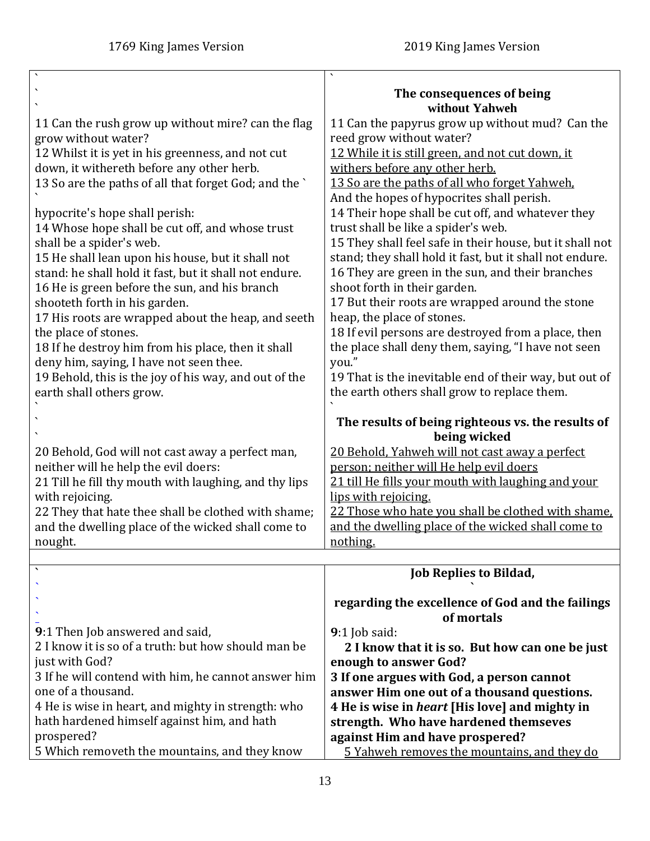<span id="page-12-0"></span>

| $\overline{\phantom{a}}$                               |                                                          |
|--------------------------------------------------------|----------------------------------------------------------|
|                                                        |                                                          |
|                                                        | The consequences of being                                |
|                                                        | without Yahweh                                           |
|                                                        |                                                          |
| 11 Can the rush grow up without mire? can the flag     | 11 Can the papyrus grow up without mud? Can the          |
| grow without water?                                    | reed grow without water?                                 |
| 12 Whilst it is yet in his greenness, and not cut      | 12 While it is still green, and not cut down, it         |
| down, it withereth before any other herb.              | withers before any other herb.                           |
|                                                        |                                                          |
| 13 So are the paths of all that forget God; and the `  | 13 So are the paths of all who forget Yahweh.            |
|                                                        | And the hopes of hypocrites shall perish.                |
| hypocrite's hope shall perish:                         | 14 Their hope shall be cut off, and whatever they        |
| 14 Whose hope shall be cut off, and whose trust        | trust shall be like a spider's web.                      |
|                                                        |                                                          |
| shall be a spider's web.                               | 15 They shall feel safe in their house, but it shall not |
| 15 He shall lean upon his house, but it shall not      | stand; they shall hold it fast, but it shall not endure. |
| stand: he shall hold it fast, but it shall not endure. | 16 They are green in the sun, and their branches         |
| 16 He is green before the sun, and his branch          | shoot forth in their garden.                             |
|                                                        |                                                          |
| shooteth forth in his garden.                          | 17 But their roots are wrapped around the stone          |
| 17 His roots are wrapped about the heap, and seeth     | heap, the place of stones.                               |
| the place of stones.                                   | 18 If evil persons are destroyed from a place, then      |
| 18 If he destroy him from his place, then it shall     | the place shall deny them, saying, "I have not seen      |
|                                                        |                                                          |
| deny him, saying, I have not seen thee.                | you."                                                    |
| 19 Behold, this is the joy of his way, and out of the  | 19 That is the inevitable end of their way, but out of   |
| earth shall others grow.                               | the earth others shall grow to replace them.             |
|                                                        |                                                          |
|                                                        |                                                          |
|                                                        | The results of being righteous vs. the results of        |
|                                                        | being wicked                                             |
| 20 Behold, God will not cast away a perfect man,       | 20 Behold, Yahweh will not cast away a perfect           |
|                                                        |                                                          |
|                                                        |                                                          |
| neither will he help the evil doers:                   | person; neither will He help evil doers                  |
| 21 Till he fill thy mouth with laughing, and thy lips  | 21 till He fills your mouth with laughing and your       |
| with rejoicing.                                        | lips with rejoicing.                                     |
| 22 They that hate thee shall be clothed with shame;    | 22 Those who hate you shall be clothed with shame.       |
|                                                        |                                                          |
| and the dwelling place of the wicked shall come to     | and the dwelling place of the wicked shall come to       |
| nought.                                                | nothing.                                                 |
|                                                        |                                                          |
|                                                        | <b>Job Replies to Bildad,</b>                            |
|                                                        |                                                          |
|                                                        | regarding the excellence of God and the failings         |
|                                                        | of mortals                                               |
|                                                        |                                                          |
| 9:1 Then Job answered and said,                        | $9:1$ Job said:                                          |
| 2 I know it is so of a truth: but how should man be    | 2 I know that it is so. But how can one be just          |
| just with God?                                         | enough to answer God?                                    |
| 3 If he will contend with him, he cannot answer him    | 3 If one argues with God, a person cannot                |
| one of a thousand.                                     |                                                          |
|                                                        | answer Him one out of a thousand questions.              |
| 4 He is wise in heart, and mighty in strength: who     | 4 He is wise in <i>heart</i> [His love] and mighty in    |
| hath hardened himself against him, and hath            | strength. Who have hardened themseves                    |
| prospered?                                             | against Him and have prospered?                          |
| 5 Which removeth the mountains, and they know          | 5 Yahweh removes the mountains, and they do              |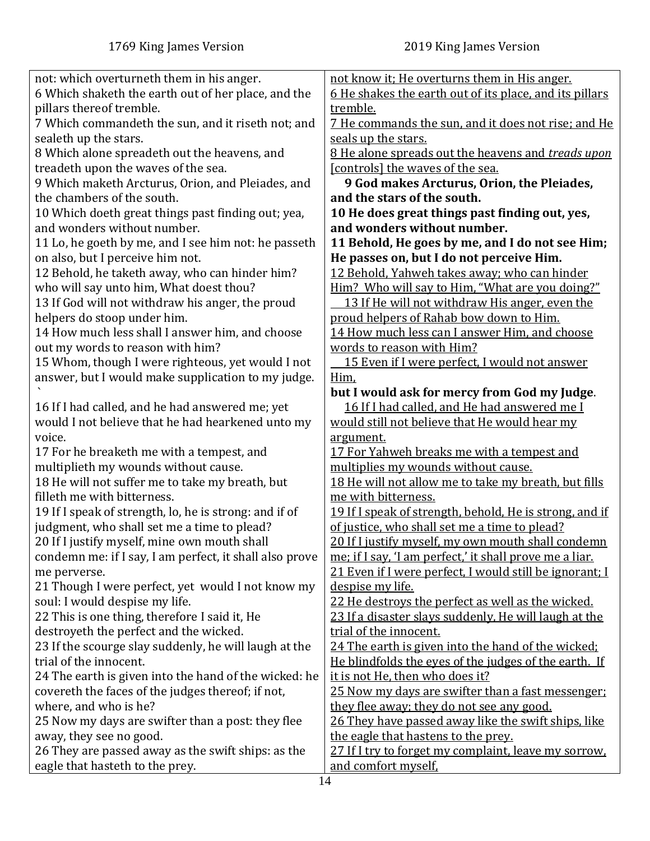| not: which overturneth them in his anger.                                      | not know it; He overturns them in His anger.                                                |
|--------------------------------------------------------------------------------|---------------------------------------------------------------------------------------------|
| 6 Which shaketh the earth out of her place, and the                            | <u>6 He shakes the earth out of its place, and its pillars</u>                              |
| pillars thereof tremble.<br>7 Which commandeth the sun, and it riseth not; and | tremble.<br><u>7 He commands the sun, and it does not rise; and He</u>                      |
| sealeth up the stars.                                                          | seals up the stars.                                                                         |
| 8 Which alone spreadeth out the heavens, and                                   | 8 He alone spreads out the heavens and treads upon                                          |
| treadeth upon the waves of the sea.                                            | [controls] the waves of the sea.                                                            |
| 9 Which maketh Arcturus, Orion, and Pleiades, and                              | 9 God makes Arcturus, Orion, the Pleiades,                                                  |
| the chambers of the south.                                                     | and the stars of the south.                                                                 |
| 10 Which doeth great things past finding out; yea,                             | 10 He does great things past finding out, yes,                                              |
| and wonders without number.                                                    | and wonders without number.                                                                 |
| 11 Lo, he goeth by me, and I see him not: he passeth                           | 11 Behold, He goes by me, and I do not see Him;                                             |
| on also, but I perceive him not.                                               | He passes on, but I do not perceive Him.                                                    |
| 12 Behold, he taketh away, who can hinder him?                                 | 12 Behold, Yahweh takes away; who can hinder                                                |
| who will say unto him, What doest thou?                                        | Him? Who will say to Him, "What are you doing?"                                             |
| 13 If God will not withdraw his anger, the proud                               | 13 If He will not withdraw His anger, even the                                              |
| helpers do stoop under him.                                                    | proud helpers of Rahab bow down to Him.                                                     |
| 14 How much less shall I answer him, and choose                                | 14 How much less can I answer Him, and choose                                               |
| out my words to reason with him?                                               | words to reason with Him?                                                                   |
| 15 Whom, though I were righteous, yet would I not                              | 15 Even if I were perfect, I would not answer                                               |
| answer, but I would make supplication to my judge.                             | Him,                                                                                        |
|                                                                                | but I would ask for mercy from God my Judge.                                                |
| 16 If I had called, and he had answered me; yet                                | 16 If I had called, and He had answered me I                                                |
| would I not believe that he had hearkened unto my<br>voice.                    | would still not believe that He would hear my                                               |
| 17 For he breaketh me with a tempest, and                                      | argument.<br>17 For Yahweh breaks me with a tempest and                                     |
| multiplieth my wounds without cause.                                           | multiplies my wounds without cause.                                                         |
| 18 He will not suffer me to take my breath, but                                | 18 He will not allow me to take my breath, but fills                                        |
| filleth me with bitterness.                                                    | me with bitterness.                                                                         |
| 19 If I speak of strength, lo, he is strong: and if of                         | 19 If I speak of strength, behold, He is strong, and if                                     |
| judgment, who shall set me a time to plead?                                    | of justice, who shall set me a time to plead?                                               |
| 20 If I justify myself, mine own mouth shall                                   | 20 If I justify myself, my own mouth shall condemn                                          |
| condemn me: if I say, I am perfect, it shall also prove                        | me; if I say, 'I am perfect,' it shall prove me a liar.                                     |
| me perverse.                                                                   | 21 Even if I were perfect, I would still be ignorant; I                                     |
| 21 Though I were perfect, yet would I not know my                              | despise my life.                                                                            |
| soul: I would despise my life.                                                 | 22 He destroys the perfect as well as the wicked.                                           |
| 22 This is one thing, therefore I said it, He                                  | 23 If a disaster slays suddenly, He will laugh at the                                       |
| destroyeth the perfect and the wicked.                                         | trial of the innocent.                                                                      |
| 23 If the scourge slay suddenly, he will laugh at the                          | 24 The earth is given into the hand of the wicked:                                          |
| trial of the innocent.                                                         | He blindfolds the eyes of the judges of the earth. If                                       |
| 24 The earth is given into the hand of the wicked: he                          | it is not He, then who does it?                                                             |
| covereth the faces of the judges thereof; if not,                              | 25 Now my days are swifter than a fast messenger:                                           |
| where, and who is he?                                                          | they flee away; they do not see any good.                                                   |
| 25 Now my days are swifter than a post: they flee                              | 26 They have passed away like the swift ships, like                                         |
| away, they see no good.<br>26 They are passed away as the swift ships: as the  | the eagle that hastens to the prey.<br>27 If I try to forget my complaint, leave my sorrow. |
| eagle that hasteth to the prey.                                                | and comfort myself,                                                                         |
|                                                                                |                                                                                             |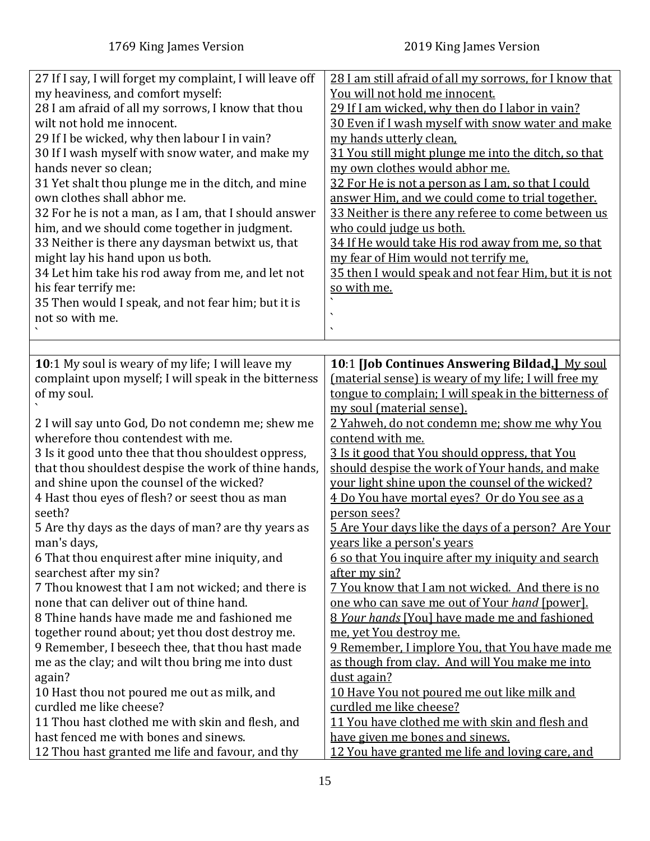<span id="page-14-0"></span>

| 27 If I say, I will forget my complaint, I will leave off | 28 I am still afraid of all my sorrows, for I know that   |
|-----------------------------------------------------------|-----------------------------------------------------------|
| my heaviness, and comfort myself:                         | You will not hold me innocent.                            |
| 28 I am afraid of all my sorrows, I know that thou        | 29 If I am wicked, why then do I labor in vain?           |
| wilt not hold me innocent.                                | 30 Even if I wash myself with snow water and make         |
| 29 If I be wicked, why then labour I in vain?             | my hands utterly clean,                                   |
| 30 If I wash myself with snow water, and make my          | 31 You still might plunge me into the ditch, so that      |
| hands never so clean;                                     | my own clothes would abhor me.                            |
| 31 Yet shalt thou plunge me in the ditch, and mine        | 32 For He is not a person as I am, so that I could        |
| own clothes shall abhor me.                               | answer Him, and we could come to trial together.          |
|                                                           |                                                           |
| 32 For he is not a man, as I am, that I should answer     | 33 Neither is there any referee to come between us        |
| him, and we should come together in judgment.             | who could judge us both.                                  |
| 33 Neither is there any daysman betwixt us, that          | 34 If He would take His rod away from me, so that         |
| might lay his hand upon us both.                          | my fear of Him would not terrify me.                      |
| 34 Let him take his rod away from me, and let not         | 35 then I would speak and not fear Him, but it is not     |
| his fear terrify me:                                      | so with me.                                               |
| 35 Then would I speak, and not fear him; but it is        |                                                           |
| not so with me.                                           |                                                           |
|                                                           | $\boldsymbol{\mathcal{L}}$                                |
|                                                           |                                                           |
| 10:1 My soul is weary of my life; I will leave my         | 10:1 [Job Continues Answering Bildad.] My soul            |
| complaint upon myself; I will speak in the bitterness     | (material sense) is weary of my life; I will free my      |
| of my soul.                                               | tongue to complain; I will speak in the bitterness of     |
|                                                           | my soul (material sense).                                 |
| 2 I will say unto God, Do not condemn me; shew me         | 2 Yahweh, do not condemn me; show me why You              |
| wherefore thou contendest with me.                        | contend with me.                                          |
| 3 Is it good unto thee that thou shouldest oppress,       | 3 Is it good that You should oppress, that You            |
| that thou shouldest despise the work of thine hands,      | should despise the work of Your hands, and make           |
| and shine upon the counsel of the wicked?                 | your light shine upon the counsel of the wicked?          |
| 4 Hast thou eyes of flesh? or seest thou as man           | 4 Do You have mortal eyes? Or do You see as a             |
| seeth?                                                    | person sees?                                              |
| 5 Are thy days as the days of man? are thy years as       | 5 Are Your days like the days of a person? Are Your       |
| man's days,                                               | <u>years like a person's years</u>                        |
| 6 That thou enquirest after mine iniquity, and            | <u>6 so that You inquire after my iniquity and search</u> |
| searchest after my sin?                                   | after my sin?                                             |
| 7 Thou knowest that I am not wicked; and there is         | 7 You know that I am not wicked. And there is no          |
| none that can deliver out of thine hand.                  | one who can save me out of Your hand [power].             |
| 8 Thine hands have made me and fashioned me               | 8 Your hands [You] have made me and fashioned             |
| together round about; yet thou dost destroy me.           | me, yet You destroy me.                                   |
| 9 Remember, I beseech thee, that thou hast made           | 9 Remember, I implore You, that You have made me          |
| me as the clay; and wilt thou bring me into dust          | as though from clay. And will You make me into            |
|                                                           | dust again?                                               |
| again?                                                    |                                                           |
| 10 Hast thou not poured me out as milk, and               | 10 Have You not poured me out like milk and               |
| curdled me like cheese?                                   | curdled me like cheese?                                   |
| 11 Thou hast clothed me with skin and flesh, and          | 11 You have clothed me with skin and flesh and            |
| hast fenced me with bones and sinews.                     | have given me bones and sinews.                           |
| 12 Thou hast granted me life and favour, and thy          | 12 You have granted me life and loving care, and          |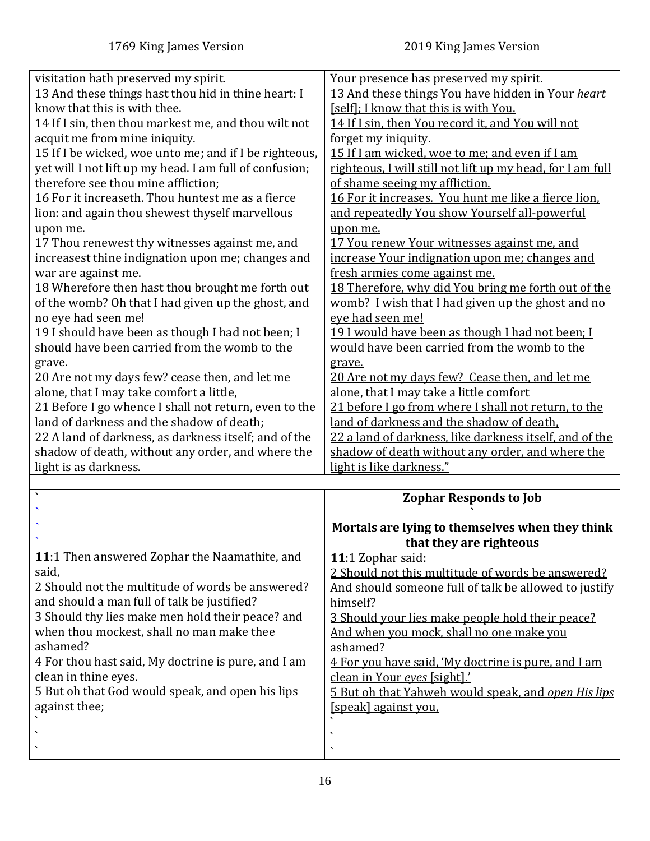<span id="page-15-0"></span>

| visitation hath preserved my spirit.<br>13 And these things hast thou hid in thine heart: I<br>know that this is with thee.<br>14 If I sin, then thou markest me, and thou wilt not<br>acquit me from mine iniquity.<br>15 If I be wicked, woe unto me; and if I be righteous,<br>yet will I not lift up my head. I am full of confusion;<br>therefore see thou mine affliction;<br>16 For it increaseth. Thou huntest me as a fierce<br>lion: and again thou shewest thyself marvellous<br>upon me.<br>17 Thou renewest thy witnesses against me, and<br>increasest thine indignation upon me; changes and<br>war are against me.<br>18 Wherefore then hast thou brought me forth out<br>of the womb? Oh that I had given up the ghost, and<br>no eye had seen me!<br>19 I should have been as though I had not been; I<br>should have been carried from the womb to the<br>grave.<br>20 Are not my days few? cease then, and let me<br>alone, that I may take comfort a little,<br>21 Before I go whence I shall not return, even to the<br>land of darkness and the shadow of death;<br>22 A land of darkness, as darkness itself; and of the<br>shadow of death, without any order, and where the | Your presence has preserved my spirit.<br>13 And these things You have hidden in Your heart<br>[self]; I know that this is with You.<br>14 If I sin, then You record it, and You will not<br>forget my iniquity.<br>15 If I am wicked, woe to me; and even if I am<br>righteous, I will still not lift up my head, for I am full<br>of shame seeing my affliction.<br>16 For it increases. You hunt me like a fierce lion.<br>and repeatedly You show Yourself all-powerful<br>upon me.<br>17 You renew Your witnesses against me, and<br>increase Your indignation upon me; changes and<br>fresh armies come against me.<br>18 Therefore, why did You bring me forth out of the<br>womb? I wish that I had given up the ghost and no<br>eve had seen me!<br>19 I would have been as though I had not been; I<br>would have been carried from the womb to the<br>grave.<br>20 Are not my days few? Cease then, and let me<br>alone, that I may take a little comfort<br>21 before I go from where I shall not return, to the<br>land of darkness and the shadow of death.<br>22 a land of darkness, like darkness itself, and of the<br>shadow of death without any order, and where the |
|-------------------------------------------------------------------------------------------------------------------------------------------------------------------------------------------------------------------------------------------------------------------------------------------------------------------------------------------------------------------------------------------------------------------------------------------------------------------------------------------------------------------------------------------------------------------------------------------------------------------------------------------------------------------------------------------------------------------------------------------------------------------------------------------------------------------------------------------------------------------------------------------------------------------------------------------------------------------------------------------------------------------------------------------------------------------------------------------------------------------------------------------------------------------------------------------------------|------------------------------------------------------------------------------------------------------------------------------------------------------------------------------------------------------------------------------------------------------------------------------------------------------------------------------------------------------------------------------------------------------------------------------------------------------------------------------------------------------------------------------------------------------------------------------------------------------------------------------------------------------------------------------------------------------------------------------------------------------------------------------------------------------------------------------------------------------------------------------------------------------------------------------------------------------------------------------------------------------------------------------------------------------------------------------------------------------------------------------------------------------------------------------------------|
| light is as darkness.                                                                                                                                                                                                                                                                                                                                                                                                                                                                                                                                                                                                                                                                                                                                                                                                                                                                                                                                                                                                                                                                                                                                                                                 | light is like darkness."                                                                                                                                                                                                                                                                                                                                                                                                                                                                                                                                                                                                                                                                                                                                                                                                                                                                                                                                                                                                                                                                                                                                                                 |
| $\boldsymbol{\checkmark}$                                                                                                                                                                                                                                                                                                                                                                                                                                                                                                                                                                                                                                                                                                                                                                                                                                                                                                                                                                                                                                                                                                                                                                             | <b>Zophar Responds to Job</b>                                                                                                                                                                                                                                                                                                                                                                                                                                                                                                                                                                                                                                                                                                                                                                                                                                                                                                                                                                                                                                                                                                                                                            |
|                                                                                                                                                                                                                                                                                                                                                                                                                                                                                                                                                                                                                                                                                                                                                                                                                                                                                                                                                                                                                                                                                                                                                                                                       |                                                                                                                                                                                                                                                                                                                                                                                                                                                                                                                                                                                                                                                                                                                                                                                                                                                                                                                                                                                                                                                                                                                                                                                          |
| 11:1 Then answered Zophar the Naamathite, and<br>said,<br>2 Should not the multitude of words be answered?<br>and should a man full of talk be justified?<br>3 Should thy lies make men hold their peace? and<br>when thou mockest, shall no man make thee<br>ashamed?<br>4 For thou hast said, My doctrine is pure, and I am<br>clean in thine eyes.<br>5 But oh that God would speak, and open his lips<br>against thee;                                                                                                                                                                                                                                                                                                                                                                                                                                                                                                                                                                                                                                                                                                                                                                            | Mortals are lying to themselves when they think<br>that they are righteous<br>11:1 Zophar said:<br>2 Should not this multitude of words be answered?<br>And should someone full of talk be allowed to justify<br>himself?<br>3 Should your lies make people hold their peace?<br>And when you mock, shall no one make you<br>ashamed?<br>4 For you have said, 'My doctrine is pure, and I am<br>clean in Your eyes [sight].'<br>5 But oh that Yahweh would speak, and open His lips<br>[speak] against you,<br>$\boldsymbol{\mathcal{L}}$<br>$\overline{\phantom{0}}$                                                                                                                                                                                                                                                                                                                                                                                                                                                                                                                                                                                                                    |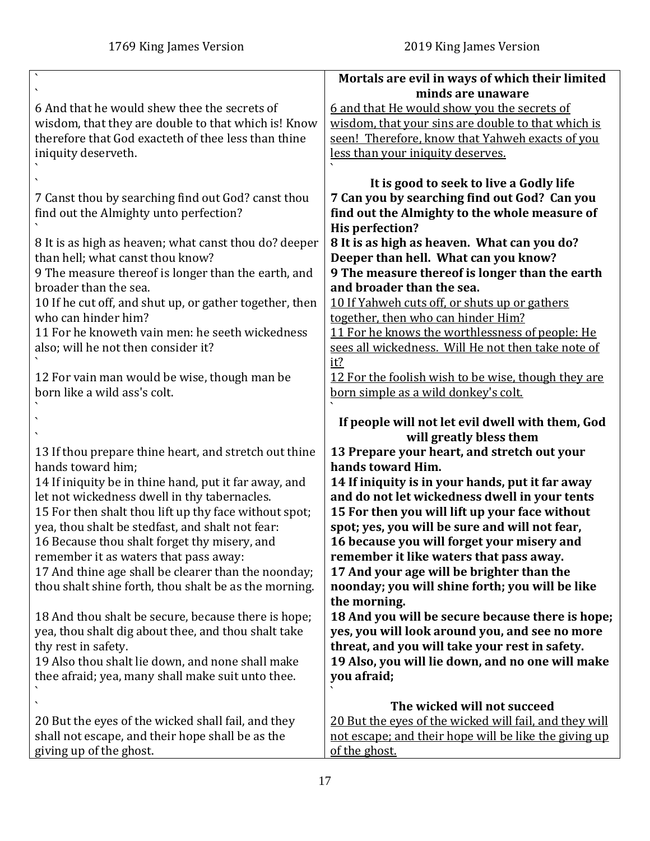|                                                                                                            | Mortals are evil in ways of which their limited<br>minds are unaware                             |
|------------------------------------------------------------------------------------------------------------|--------------------------------------------------------------------------------------------------|
| 6 And that he would shew thee the secrets of                                                               | 6 and that He would show you the secrets of                                                      |
| wisdom, that they are double to that which is! Know                                                        | wisdom, that your sins are double to that which is                                               |
| therefore that God exacteth of thee less than thine                                                        | seen! Therefore, know that Yahweh exacts of you                                                  |
| iniquity deserveth.                                                                                        | less than your iniquity deserves.                                                                |
|                                                                                                            |                                                                                                  |
|                                                                                                            | It is good to seek to live a Godly life                                                          |
| 7 Canst thou by searching find out God? canst thou                                                         | 7 Can you by searching find out God? Can you                                                     |
| find out the Almighty unto perfection?                                                                     | find out the Almighty to the whole measure of                                                    |
|                                                                                                            | <b>His perfection?</b>                                                                           |
| 8 It is as high as heaven; what canst thou do? deeper                                                      | 8 It is as high as heaven. What can you do?                                                      |
| than hell; what canst thou know?                                                                           | Deeper than hell. What can you know?                                                             |
| 9 The measure thereof is longer than the earth, and<br>broader than the sea.                               | 9 The measure thereof is longer than the earth<br>and broader than the sea.                      |
| 10 If he cut off, and shut up, or gather together, then                                                    | 10 If Yahweh cuts off, or shuts up or gathers                                                    |
| who can hinder him?                                                                                        | together, then who can hinder Him?                                                               |
| 11 For he knoweth vain men: he seeth wickedness                                                            | 11 For he knows the worthlessness of people: He                                                  |
| also; will he not then consider it?                                                                        | sees all wickedness. Will He not then take note of                                               |
|                                                                                                            | it?                                                                                              |
| 12 For vain man would be wise, though man be                                                               | 12 For the foolish wish to be wise, though they are                                              |
| born like a wild ass's colt.                                                                               | born simple as a wild donkey's colt.                                                             |
|                                                                                                            |                                                                                                  |
|                                                                                                            | If people will not let evil dwell with them, God                                                 |
|                                                                                                            | will greatly bless them<br>13 Prepare your heart, and stretch out your                           |
| 13 If thou prepare thine heart, and stretch out thine<br>hands toward him;                                 | hands toward Him.                                                                                |
| 14 If iniquity be in thine hand, put it far away, and                                                      | 14 If iniquity is in your hands, put it far away                                                 |
| let not wickedness dwell in thy tabernacles.                                                               | and do not let wickedness dwell in your tents                                                    |
| 15 For then shalt thou lift up thy face without spot;                                                      | 15 For then you will lift up your face without                                                   |
| yea, thou shalt be stedfast, and shalt not fear:                                                           | spot; yes, you will be sure and will not fear,                                                   |
| 16 Because thou shalt forget thy misery, and                                                               | 16 because you will forget your misery and                                                       |
| remember it as waters that pass away:                                                                      | remember it like waters that pass away.                                                          |
| 17 And thine age shall be clearer than the noonday;                                                        | 17 And your age will be brighter than the                                                        |
| thou shalt shine forth, thou shalt be as the morning.                                                      | noonday; you will shine forth; you will be like                                                  |
|                                                                                                            | the morning.                                                                                     |
| 18 And thou shalt be secure, because there is hope;<br>yea, thou shalt dig about thee, and thou shalt take | 18 And you will be secure because there is hope;                                                 |
| thy rest in safety.                                                                                        | yes, you will look around you, and see no more<br>threat, and you will take your rest in safety. |
| 19 Also thou shalt lie down, and none shall make                                                           | 19 Also, you will lie down, and no one will make                                                 |
| thee afraid; yea, many shall make suit unto thee.                                                          | you afraid;                                                                                      |
|                                                                                                            |                                                                                                  |
|                                                                                                            |                                                                                                  |
|                                                                                                            | The wicked will not succeed                                                                      |
| 20 But the eyes of the wicked shall fail, and they                                                         | 20 But the eyes of the wicked will fail, and they will                                           |
| shall not escape, and their hope shall be as the<br>giving up of the ghost.                                | not escape; and their hope will be like the giving up<br>of the ghost.                           |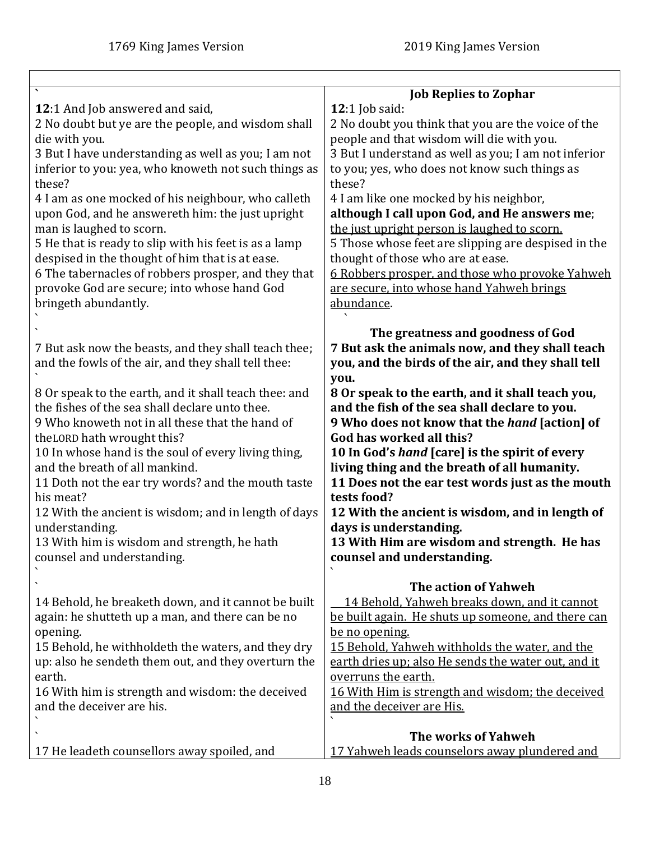<span id="page-17-0"></span>

|                                                                                       | <b>Job Replies to Zophar</b>                                                                   |
|---------------------------------------------------------------------------------------|------------------------------------------------------------------------------------------------|
| 12:1 And Job answered and said,                                                       | 12:1 Job said:                                                                                 |
| 2 No doubt but ye are the people, and wisdom shall                                    | 2 No doubt you think that you are the voice of the                                             |
| die with you.                                                                         | people and that wisdom will die with you.                                                      |
| 3 But I have understanding as well as you; I am not                                   | 3 But I understand as well as you; I am not inferior                                           |
| inferior to you: yea, who knoweth not such things as                                  | to you; yes, who does not know such things as                                                  |
| these?                                                                                | these?                                                                                         |
| 4 I am as one mocked of his neighbour, who calleth                                    | 4 I am like one mocked by his neighbor,                                                        |
| upon God, and he answereth him: the just upright<br>man is laughed to scorn.          | although I call upon God, and He answers me;<br>the just upright person is laughed to scorn.   |
| 5 He that is ready to slip with his feet is as a lamp                                 | 5 Those whose feet are slipping are despised in the                                            |
| despised in the thought of him that is at ease.                                       | thought of those who are at ease.                                                              |
| 6 The tabernacles of robbers prosper, and they that                                   | <u>6 Robbers prosper, and those who provoke Yahweh</u>                                         |
| provoke God are secure; into whose hand God                                           | are secure, into whose hand Yahweh brings                                                      |
| bringeth abundantly.                                                                  | abundance.                                                                                     |
|                                                                                       |                                                                                                |
| 7 But ask now the beasts, and they shall teach thee;                                  | The greatness and goodness of God<br>7 But ask the animals now, and they shall teach           |
| and the fowls of the air, and they shall tell thee:                                   | you, and the birds of the air, and they shall tell                                             |
|                                                                                       | you.                                                                                           |
| 8 Or speak to the earth, and it shall teach thee: and                                 | 8 Or speak to the earth, and it shall teach you,                                               |
| the fishes of the sea shall declare unto thee.                                        | and the fish of the sea shall declare to you.                                                  |
| 9 Who knoweth not in all these that the hand of                                       | 9 Who does not know that the <i>hand</i> [action] of                                           |
| the LORD hath wrought this?                                                           | God has worked all this?                                                                       |
| 10 In whose hand is the soul of every living thing,<br>and the breath of all mankind. | 10 In God's hand [care] is the spirit of every<br>living thing and the breath of all humanity. |
| 11 Doth not the ear try words? and the mouth taste                                    | 11 Does not the ear test words just as the mouth                                               |
| his meat?                                                                             | tests food?                                                                                    |
| 12 With the ancient is wisdom; and in length of days                                  | 12 With the ancient is wisdom, and in length of                                                |
| understanding.                                                                        | days is understanding.                                                                         |
| 13 With him is wisdom and strength, he hath                                           | 13 With Him are wisdom and strength. He has                                                    |
| counsel and understanding.                                                            | counsel and understanding.                                                                     |
|                                                                                       | The action of Yahweh                                                                           |
| 14 Behold, he breaketh down, and it cannot be built                                   | 14 Behold, Yahweh breaks down, and it cannot                                                   |
| again: he shutteth up a man, and there can be no                                      | be built again. He shuts up someone, and there can                                             |
| opening.                                                                              | be no opening.                                                                                 |
| 15 Behold, he withholdeth the waters, and they dry                                    | 15 Behold, Yahweh withholds the water, and the                                                 |
| up: also he sendeth them out, and they overturn the                                   | earth dries up; also He sends the water out, and it                                            |
| earth.<br>16 With him is strength and wisdom: the deceived                            | overruns the earth.<br>16 With Him is strength and wisdom; the deceived                        |
| and the deceiver are his.                                                             | and the deceiver are His.                                                                      |
|                                                                                       |                                                                                                |
|                                                                                       | The works of Yahweh                                                                            |
| 17 He leadeth counsellors away spoiled, and                                           | 17 Yahweh leads counselors away plundered and                                                  |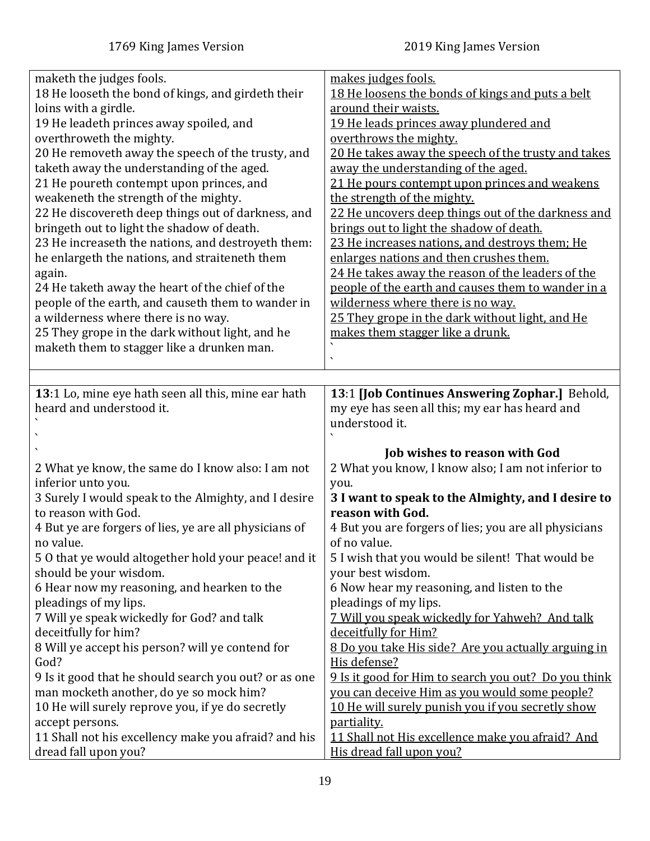<span id="page-18-0"></span>

| maketh the judges fools.                                                        | makes judges fools.                                                          |
|---------------------------------------------------------------------------------|------------------------------------------------------------------------------|
| 18 He looseth the bond of kings, and girdeth their                              | 18 He loosens the bonds of kings and puts a belt                             |
| loins with a girdle.                                                            | around their waists.                                                         |
| 19 He leadeth princes away spoiled, and                                         | 19 He leads princes away plundered and                                       |
| overthroweth the mighty.                                                        | overthrows the mighty.                                                       |
| 20 He removeth away the speech of the trusty, and                               | 20 He takes away the speech of the trusty and takes                          |
| taketh away the understanding of the aged.                                      | away the understanding of the aged.                                          |
| 21 He poureth contempt upon princes, and                                        | 21 He pours contempt upon princes and weakens                                |
| weakeneth the strength of the mighty.                                           | the strength of the mighty.                                                  |
| 22 He discovereth deep things out of darkness, and                              | 22 He uncovers deep things out of the darkness and                           |
| bringeth out to light the shadow of death.                                      | brings out to light the shadow of death.                                     |
| 23 He increaseth the nations, and destroyeth them:                              | 23 He increases nations, and destroys them; He                               |
| he enlargeth the nations, and straiteneth them                                  | enlarges nations and then crushes them.                                      |
| again.                                                                          | 24 He takes away the reason of the leaders of the                            |
| 24 He taketh away the heart of the chief of the                                 | people of the earth and causes them to wander in a                           |
| people of the earth, and causeth them to wander in                              | wilderness where there is no way.                                            |
| a wilderness where there is no way.                                             | 25 They grope in the dark without light, and He                              |
| 25 They grope in the dark without light, and he                                 | makes them stagger like a drunk.                                             |
| maketh them to stagger like a drunken man.                                      | $\bar{\phantom{a}}$                                                          |
|                                                                                 |                                                                              |
|                                                                                 |                                                                              |
| 13:1 Lo, mine eye hath seen all this, mine ear hath<br>heard and understood it. | 13:1 [Job Continues Answering Zophar.] Behold,                               |
|                                                                                 | my eye has seen all this; my ear has heard and<br>understood it.             |
|                                                                                 |                                                                              |
|                                                                                 | <b>Job wishes to reason with God</b>                                         |
| 2 What ye know, the same do I know also: I am not                               | 2 What you know, I know also; I am not inferior to                           |
| inferior unto you.                                                              | you.                                                                         |
| 3 Surely I would speak to the Almighty, and I desire                            | 3 I want to speak to the Almighty, and I desire to                           |
| to reason with God.                                                             | reason with God.                                                             |
| 4 But ye are forgers of lies, ye are all physicians of                          | 4 But you are forgers of lies; you are all physicians                        |
| no value.                                                                       | of no value.                                                                 |
| 50 that ye would altogether hold your peace! and it                             | 5 I wish that you would be silent! That would be                             |
| should be your wisdom.                                                          | your best wisdom.                                                            |
| 6 Hear now my reasoning, and hearken to the                                     | 6 Now hear my reasoning, and listen to the                                   |
| pleadings of my lips.                                                           | pleadings of my lips.                                                        |
| 7 Will ye speak wickedly for God? and talk                                      | 7 Will you speak wickedly for Yahweh? And talk                               |
| deceitfully for him?                                                            | deceitfully for Him?                                                         |
| 8 Will ye accept his person? will ye contend for                                | 8 Do you take His side? Are you actually arguing in                          |
| God?                                                                            | His defense?                                                                 |
| 9 Is it good that he should search you out? or as one                           | 9 Is it good for Him to search you out? Do you think                         |
| man mocketh another, do ye so mock him?                                         | you can deceive Him as you would some people?                                |
| 10 He will surely reprove you, if ye do secretly                                | 10 He will surely punish you if you secretly show                            |
| accept persons.                                                                 |                                                                              |
|                                                                                 | partiality.                                                                  |
| 11 Shall not his excellency make you afraid? and his<br>dread fall upon you?    | 11 Shall not His excellence make you afraid? And<br>His dread fall upon you? |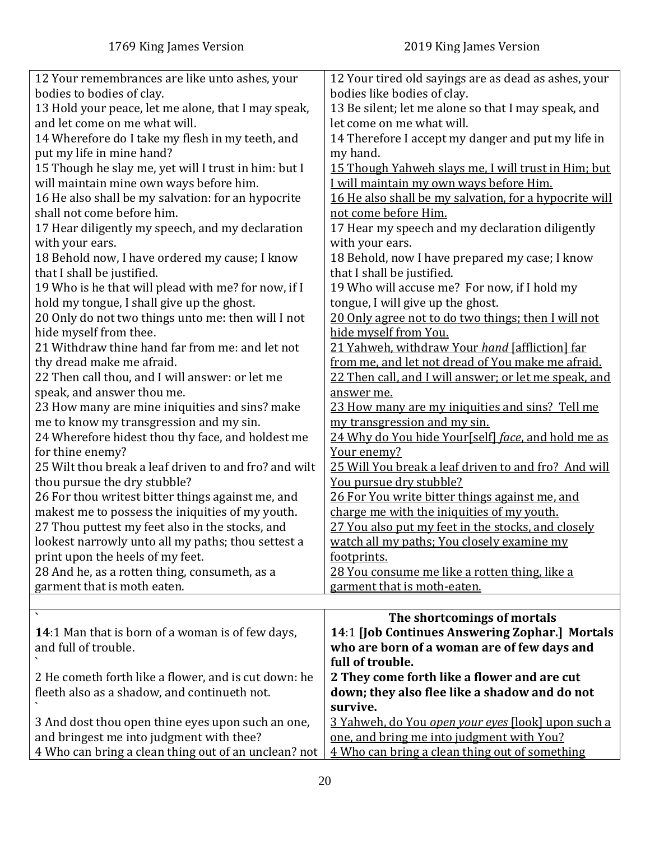<span id="page-19-0"></span>

| 12 Your remembrances are like unto ashes, your          | 12 Your tired old sayings are as dead as ashes, your      |
|---------------------------------------------------------|-----------------------------------------------------------|
| bodies to bodies of clay.                               | bodies like bodies of clay.                               |
| 13 Hold your peace, let me alone, that I may speak,     | 13 Be silent; let me alone so that I may speak, and       |
| and let come on me what will.                           | let come on me what will.                                 |
| 14 Wherefore do I take my flesh in my teeth, and        | 14 Therefore I accept my danger and put my life in        |
| put my life in mine hand?                               | my hand.                                                  |
| 15 Though he slay me, yet will I trust in him: but I    | 15 Though Yahweh slays me, I will trust in Him; but       |
| will maintain mine own ways before him.                 | I will maintain my own ways before Him.                   |
| 16 He also shall be my salvation: for an hypocrite      | 16 He also shall be my salvation, for a hypocrite will    |
| shall not come before him.                              | not come before Him.                                      |
| 17 Hear diligently my speech, and my declaration        | 17 Hear my speech and my declaration diligently           |
| with your ears.                                         | with your ears.                                           |
| 18 Behold now, I have ordered my cause; I know          | 18 Behold, now I have prepared my case; I know            |
| that I shall be justified.                              | that I shall be justified.                                |
| 19 Who is he that will plead with me? for now, if I     | 19 Who will accuse me? For now, if I hold my              |
| hold my tongue, I shall give up the ghost.              | tongue, I will give up the ghost.                         |
| 20 Only do not two things unto me: then will I not      | 20 Only agree not to do two things; then I will not       |
| hide myself from thee.                                  | hide myself from You.                                     |
| 21 Withdraw thine hand far from me: and let not         | 21 Yahweh, withdraw Your hand [affliction] far            |
| thy dread make me afraid.                               | from me, and let not dread of You make me afraid.         |
| 22 Then call thou, and I will answer: or let me         | 22 Then call, and I will answer; or let me speak, and     |
| speak, and answer thou me.                              | answer me.                                                |
| 23 How many are mine iniquities and sins? make          | 23 How many are my iniquities and sins? Tell me           |
| me to know my transgression and my sin.                 | my transgression and my sin.                              |
| 24 Wherefore hidest thou thy face, and holdest me       | 24 Why do You hide Your[self] face, and hold me as        |
| for thine enemy?                                        | Your enemy?                                               |
| 25 Wilt thou break a leaf driven to and fro? and wilt   | 25 Will You break a leaf driven to and fro? And will      |
| thou pursue the dry stubble?                            | You pursue dry stubble?                                   |
| 26 For thou writest bitter things against me, and       | 26 For You write bitter things against me, and            |
| makest me to possess the iniquities of my youth.        | charge me with the iniquities of my youth.                |
| 27 Thou puttest my feet also in the stocks, and         | 27 You also put my feet in the stocks, and closely        |
| lookest narrowly unto all my paths; thou settest a      | watch all my paths; You closely examine my                |
| print upon the heels of my feet.                        | <u>footprints.</u>                                        |
| 28 And he, as a rotten thing, consumeth, as a           | 28 You consume me like a rotten thing, like a             |
| garment that is moth eaten.                             | garment that is moth-eaten.                               |
|                                                         |                                                           |
|                                                         | The shortcomings of mortals                               |
| <b>14:1</b> Man that is born of a woman is of few days, | 14:1 [Job Continues Answering Zophar.] Mortals            |
| and full of trouble.                                    | who are born of a woman are of few days and               |
|                                                         | full of trouble.                                          |
| 2 He cometh forth like a flower, and is cut down: he    | 2 They come forth like a flower and are cut               |
| fleeth also as a shadow, and continueth not.            | down; they also flee like a shadow and do not             |
|                                                         | survive.                                                  |
| 3 And dost thou open thine eyes upon such an one,       | <u>3 Yahweh, do You open your eyes [look] upon such a</u> |
| and bringest me into judgment with thee?                | one, and bring me into judgment with You?                 |
| 4 Who can bring a clean thing out of an unclean? not    | 4 Who can bring a clean thing out of something            |
|                                                         |                                                           |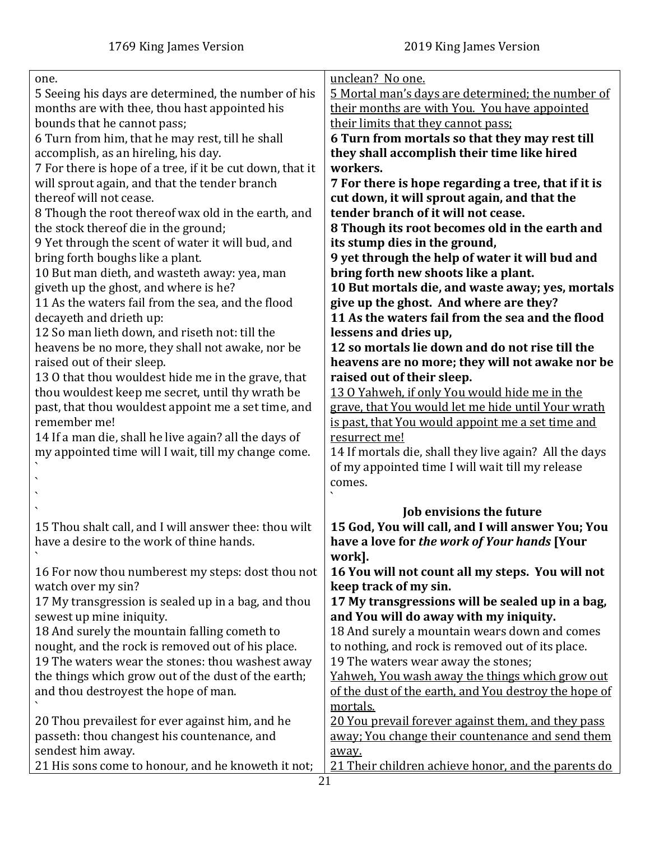| one.                                                      | unclean? No one.                                       |
|-----------------------------------------------------------|--------------------------------------------------------|
| 5 Seeing his days are determined, the number of his       | 5 Mortal man's days are determined; the number of      |
| months are with thee, thou hast appointed his             | their months are with You. You have appointed          |
| bounds that he cannot pass;                               | their limits that they cannot pass;                    |
| 6 Turn from him, that he may rest, till he shall          | 6 Turn from mortals so that they may rest till         |
| accomplish, as an hireling, his day.                      | they shall accomplish their time like hired            |
| 7 For there is hope of a tree, if it be cut down, that it | workers.                                               |
| will sprout again, and that the tender branch             | 7 For there is hope regarding a tree, that if it is    |
| thereof will not cease.                                   | cut down, it will sprout again, and that the           |
| 8 Though the root thereof wax old in the earth, and       | tender branch of it will not cease.                    |
| the stock thereof die in the ground;                      | 8 Though its root becomes old in the earth and         |
| 9 Yet through the scent of water it will bud, and         | its stump dies in the ground,                          |
| bring forth boughs like a plant.                          | 9 yet through the help of water it will bud and        |
| 10 But man dieth, and wasteth away: yea, man              | bring forth new shoots like a plant.                   |
| giveth up the ghost, and where is he?                     | 10 But mortals die, and waste away; yes, mortals       |
| 11 As the waters fail from the sea, and the flood         | give up the ghost. And where are they?                 |
| decayeth and drieth up:                                   | 11 As the waters fail from the sea and the flood       |
| 12 So man lieth down, and riseth not: till the            | lessens and dries up,                                  |
| heavens be no more, they shall not awake, nor be          | 12 so mortals lie down and do not rise till the        |
| raised out of their sleep.                                | heavens are no more; they will not awake nor be        |
| 130 that thou wouldest hide me in the grave, that         | raised out of their sleep.                             |
| thou wouldest keep me secret, until thy wrath be          | 13 0 Yahweh, if only You would hide me in the          |
| past, that thou wouldest appoint me a set time, and       | grave, that You would let me hide until Your wrath     |
| remember me!                                              | is past, that You would appoint me a set time and      |
| 14 If a man die, shall he live again? all the days of     | resurrect me!                                          |
| my appointed time will I wait, till my change come.       | 14 If mortals die, shall they live again? All the days |
|                                                           | of my appointed time I will wait till my release       |
|                                                           | comes.                                                 |
|                                                           |                                                        |
|                                                           | <b>Job envisions the future</b>                        |
| 15 Thou shalt call, and I will answer thee: thou wilt     | 15 God, You will call, and I will answer You; You      |
| have a desire to the work of thine hands.                 | have a love for the work of Your hands [Your           |
|                                                           | work].                                                 |
| 16 For now thou numberest my steps: dost thou not         | 16 You will not count all my steps. You will not       |
| watch over my sin?                                        | keep track of my sin.                                  |
| 17 My transgression is sealed up in a bag, and thou       | 17 My transgressions will be sealed up in a bag,       |
| sewest up mine iniquity.                                  | and You will do away with my iniquity.                 |
| 18 And surely the mountain falling cometh to              | 18 And surely a mountain wears down and comes          |
| nought, and the rock is removed out of his place.         | to nothing, and rock is removed out of its place.      |
| 19 The waters wear the stones: thou washest away          | 19 The waters wear away the stones;                    |
| the things which grow out of the dust of the earth;       | Yahweh, You wash away the things which grow out        |
| and thou destroyest the hope of man.                      | of the dust of the earth, and You destroy the hope of  |
|                                                           | mortals.                                               |
| 20 Thou prevailest for ever against him, and he           | 20 You prevail forever against them, and they pass     |
| passeth: thou changest his countenance, and               | away; You change their countenance and send them       |
| sendest him away.                                         | away.                                                  |
| 21 His sons come to honour, and he knoweth it not;        | 21 Their children achieve honor, and the parents do    |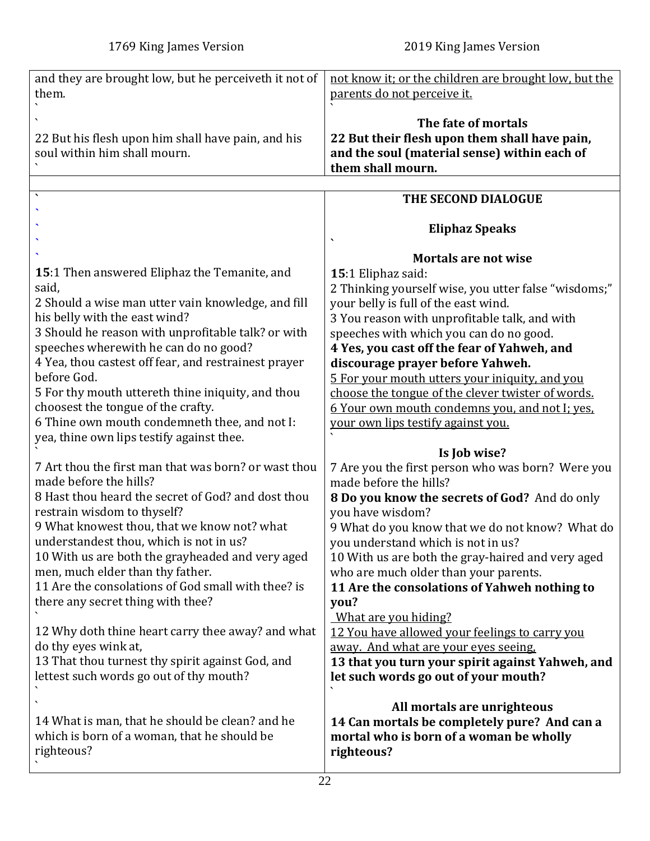<span id="page-21-0"></span>

| and they are brought low, but he perceiveth it not of | not know it; or the children are brought low, but the |
|-------------------------------------------------------|-------------------------------------------------------|
| them.                                                 | parents do not perceive it.                           |
|                                                       |                                                       |
|                                                       |                                                       |
|                                                       | The fate of mortals                                   |
| 22 But his flesh upon him shall have pain, and his    | 22 But their flesh upon them shall have pain,         |
|                                                       |                                                       |
| soul within him shall mourn.                          | and the soul (material sense) within each of          |
|                                                       | them shall mourn.                                     |
|                                                       |                                                       |
|                                                       |                                                       |
| $\bar{\mathbf{v}}$                                    | THE SECOND DIALOGUE                                   |
|                                                       |                                                       |
|                                                       |                                                       |
|                                                       | <b>Eliphaz Speaks</b>                                 |
|                                                       |                                                       |
|                                                       | <b>Mortals are not wise</b>                           |
| 15:1 Then answered Eliphaz the Temanite, and          |                                                       |
|                                                       | 15:1 Eliphaz said:                                    |
| said,                                                 | 2 Thinking yourself wise, you utter false "wisdoms;"  |
| 2 Should a wise man utter vain knowledge, and fill    | your belly is full of the east wind.                  |
|                                                       |                                                       |
| his belly with the east wind?                         | 3 You reason with unprofitable talk, and with         |
| 3 Should he reason with unprofitable talk? or with    | speeches with which you can do no good.               |
| speeches wherewith he can do no good?                 | 4 Yes, you cast off the fear of Yahweh, and           |
|                                                       |                                                       |
| 4 Yea, thou castest off fear, and restrainest prayer  | discourage prayer before Yahweh.                      |
| before God.                                           | 5 For your mouth utters your iniquity, and you        |
| 5 For thy mouth uttereth thine iniquity, and thou     | choose the tongue of the clever twister of words.     |
|                                                       |                                                       |
| choosest the tongue of the crafty.                    | 6 Your own mouth condemns you, and not I; yes,        |
| 6 Thine own mouth condemneth thee, and not I:         | your own lips testify against you.                    |
| yea, thine own lips testify against thee.             |                                                       |
|                                                       |                                                       |
|                                                       | Is Job wise?                                          |
| 7 Art thou the first man that was born? or wast thou  | 7 Are you the first person who was born? Were you     |
| made before the hills?                                | made before the hills?                                |
|                                                       |                                                       |
| 8 Hast thou heard the secret of God? and dost thou    | 8 Do you know the secrets of God? And do only         |
| restrain wisdom to thyself?                           | you have wisdom?                                      |
| 9 What knowest thou, that we know not? what           | 9 What do you know that we do not know? What do       |
|                                                       |                                                       |
| understandest thou, which is not in us?               | you understand which is not in us?                    |
| 10 With us are both the grayheaded and very aged      | 10 With us are both the gray-haired and very aged     |
| men, much elder than thy father.                      | who are much older than your parents.                 |
| 11 Are the consolations of God small with thee? is    |                                                       |
|                                                       | 11 Are the consolations of Yahweh nothing to          |
| there any secret thing with thee?                     | you?                                                  |
|                                                       | What are you hiding?                                  |
| 12 Why doth thine heart carry thee away? and what     |                                                       |
|                                                       | 12 You have allowed your feelings to carry you        |
| do thy eyes wink at,                                  | away. And what are your eyes seeing.                  |
| 13 That thou turnest thy spirit against God, and      | 13 that you turn your spirit against Yahweh, and      |
|                                                       |                                                       |
| lettest such words go out of thy mouth?               | let such words go out of your mouth?                  |
|                                                       |                                                       |
|                                                       | All mortals are unrighteous                           |
| 14 What is man, that he should be clean? and he       |                                                       |
|                                                       | 14 Can mortals be completely pure? And can a          |
| which is born of a woman, that he should be           | mortal who is born of a woman be wholly               |
| righteous?                                            | righteous?                                            |
|                                                       |                                                       |
|                                                       |                                                       |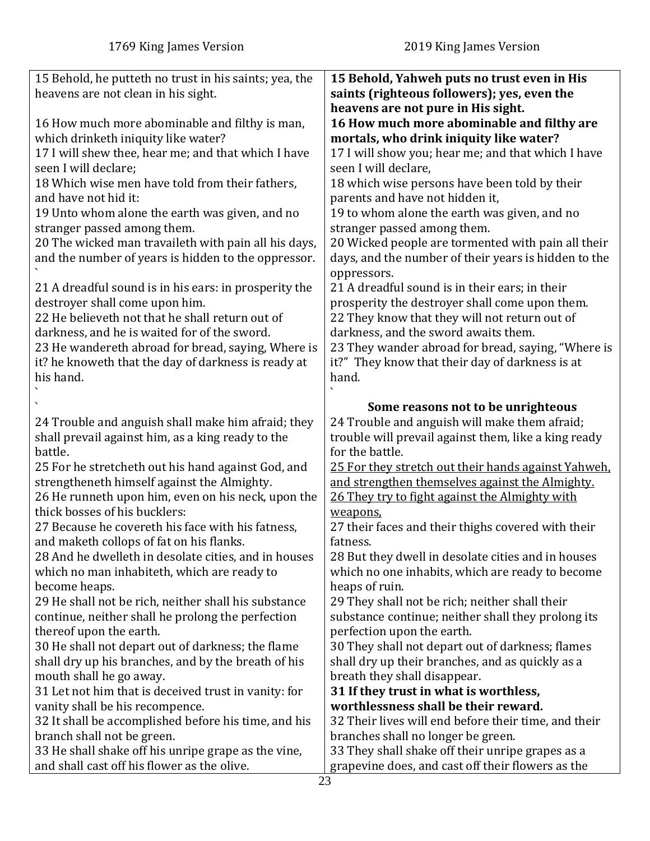| 15 Behold, he putteth no trust in his saints; yea, the  | 15 Behold, Yahweh puts no trust even in His          |
|---------------------------------------------------------|------------------------------------------------------|
| heavens are not clean in his sight.                     | saints (righteous followers); yes, even the          |
|                                                         | heavens are not pure in His sight.                   |
| 16 How much more abominable and filthy is man,          | 16 How much more abominable and filthy are           |
| which drinketh iniquity like water?                     | mortals, who drink iniquity like water?              |
| 17 I will shew thee, hear me; and that which I have     | 17 I will show you; hear me; and that which I have   |
| seen I will declare;                                    | seen I will declare,                                 |
| 18 Which wise men have told from their fathers,         | 18 which wise persons have been told by their        |
| and have not hid it:                                    | parents and have not hidden it,                      |
|                                                         |                                                      |
| 19 Unto whom alone the earth was given, and no          | 19 to whom alone the earth was given, and no         |
| stranger passed among them.                             | stranger passed among them.                          |
| 20 The wicked man travaileth with pain all his days,    | 20 Wicked people are tormented with pain all their   |
| and the number of years is hidden to the oppressor.     | days, and the number of their years is hidden to the |
|                                                         | oppressors.                                          |
| 21 A dreadful sound is in his ears: in prosperity the   | 21 A dreadful sound is in their ears; in their       |
| destroyer shall come upon him.                          | prosperity the destroyer shall come upon them.       |
| 22 He believeth not that he shall return out of         | 22 They know that they will not return out of        |
| darkness, and he is waited for of the sword.            | darkness, and the sword awaits them.                 |
| 23 He wandereth abroad for bread, saying, Where is      | 23 They wander abroad for bread, saying, "Where is   |
| it? he knoweth that the day of darkness is ready at     | it?" They know that their day of darkness is at      |
| his hand.                                               | hand.                                                |
|                                                         |                                                      |
|                                                         | Some reasons not to be unrighteous                   |
| 24 Trouble and anguish shall make him afraid; they      | 24 Trouble and anguish will make them afraid;        |
| shall prevail against him, as a king ready to the       | trouble will prevail against them, like a king ready |
|                                                         |                                                      |
| battle.                                                 | for the battle.                                      |
| 25 For he stretcheth out his hand against God, and      | 25 For they stretch out their hands against Yahweh.  |
| strengtheneth himself against the Almighty.             | and strengthen themselves against the Almighty.      |
| 26 He runneth upon him, even on his neck, upon the      | 26 They try to fight against the Almighty with       |
| thick bosses of his bucklers:                           | weapons,                                             |
| 27 Because he covereth his face with his fatness,       | 27 their faces and their thighs covered with their   |
| and maketh collops of fat on his flanks.                | fatness.                                             |
| 28 And he dwelleth in desolate cities, and in houses    | 28 But they dwell in desolate cities and in houses   |
| which no man inhabiteth, which are ready to             | which no one inhabits, which are ready to become     |
| become heaps.                                           | heaps of ruin.                                       |
| 29 He shall not be rich, neither shall his substance    | 29 They shall not be rich; neither shall their       |
| continue, neither shall he prolong the perfection       | substance continue; neither shall they prolong its   |
| thereof upon the earth.                                 | perfection upon the earth.                           |
| 30 He shall not depart out of darkness; the flame       | 30 They shall not depart out of darkness; flames     |
| shall dry up his branches, and by the breath of his     | shall dry up their branches, and as quickly as a     |
| mouth shall he go away.                                 | breath they shall disappear.                         |
| 31 Let not him that is deceived trust in vanity: for    | 31 If they trust in what is worthless,               |
| vanity shall be his recompence.                         | worthlessness shall be their reward.                 |
| 32 It shall be accomplished before his time, and his    | 32 Their lives will end before their time, and their |
| branch shall not be green.                              | branches shall no longer be green.                   |
| 33 He shall shake off his unripe grape as the vine,     | 33 They shall shake off their unripe grapes as a     |
| and shall cast off his flower as the olive.<br>$\Omega$ | grapevine does, and cast off their flowers as the    |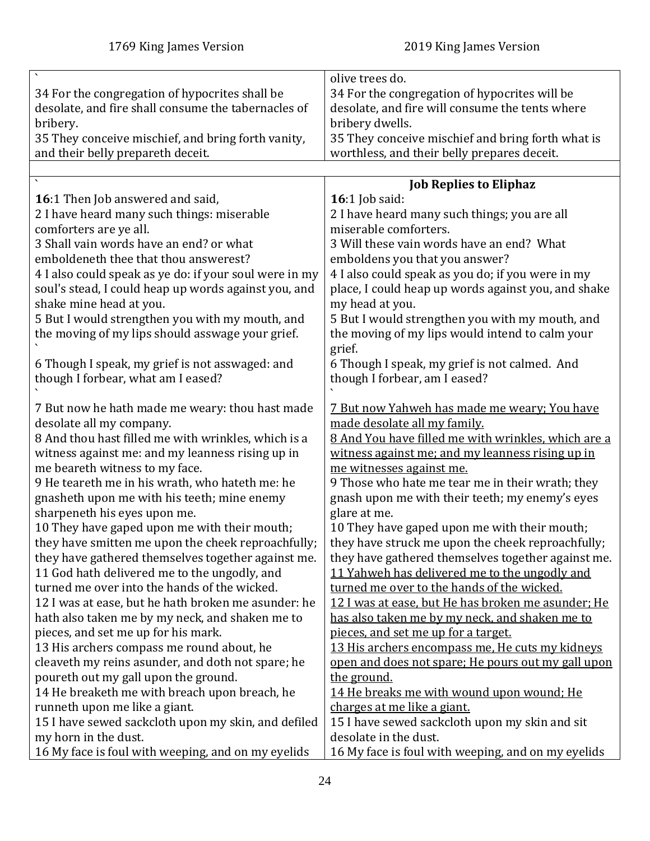<span id="page-23-0"></span>

|                                                        | olive trees do.                                     |
|--------------------------------------------------------|-----------------------------------------------------|
| 34 For the congregation of hypocrites shall be         | 34 For the congregation of hypocrites will be       |
| desolate, and fire shall consume the tabernacles of    | desolate, and fire will consume the tents where     |
| bribery.                                               | bribery dwells.                                     |
| 35 They conceive mischief, and bring forth vanity,     | 35 They conceive mischief and bring forth what is   |
| and their belly prepareth deceit.                      | worthless, and their belly prepares deceit.         |
|                                                        |                                                     |
|                                                        | <b>Job Replies to Eliphaz</b>                       |
| 16:1 Then Job answered and said,                       | 16:1 Job said:                                      |
| 2 I have heard many such things: miserable             | 2 I have heard many such things; you are all        |
| comforters are ye all.                                 | miserable comforters.                               |
| 3 Shall vain words have an end? or what                | 3 Will these vain words have an end? What           |
| emboldeneth thee that thou answerest?                  | emboldens you that you answer?                      |
| 4 I also could speak as ye do: if your soul were in my | 4 I also could speak as you do; if you were in my   |
| soul's stead, I could heap up words against you, and   | place, I could heap up words against you, and shake |
| shake mine head at you.                                | my head at you.                                     |
| 5 But I would strengthen you with my mouth, and        | 5 But I would strengthen you with my mouth, and     |
| the moving of my lips should asswage your grief.       | the moving of my lips would intend to calm your     |
|                                                        | grief.                                              |
| 6 Though I speak, my grief is not asswaged: and        | 6 Though I speak, my grief is not calmed. And       |
| though I forbear, what am I eased?                     | though I forbear, am I eased?                       |
|                                                        |                                                     |
| 7 But now he hath made me weary: thou hast made        | 7 But now Yahweh has made me weary; You have        |
| desolate all my company.                               | made desolate all my family.                        |
| 8 And thou hast filled me with wrinkles, which is a    | 8 And You have filled me with wrinkles, which are a |
| witness against me: and my leanness rising up in       | witness against me; and my leanness rising up in    |
| me beareth witness to my face.                         | me witnesses against me.                            |
| 9 He teareth me in his wrath, who hateth me: he        | 9 Those who hate me tear me in their wrath; they    |
| gnasheth upon me with his teeth; mine enemy            | gnash upon me with their teeth; my enemy's eyes     |
| sharpeneth his eyes upon me.                           | glare at me.                                        |
| 10 They have gaped upon me with their mouth;           | 10 They have gaped upon me with their mouth;        |
| they have smitten me upon the cheek reproachfully;     | they have struck me upon the cheek reproachfully;   |
| they have gathered themselves together against me.     | they have gathered themselves together against me.  |
| 11 God hath delivered me to the ungodly, and           | 11 Yahweh has delivered me to the ungodly and       |
| turned me over into the hands of the wicked.           | turned me over to the hands of the wicked.          |
| 12 I was at ease, but he hath broken me asunder: he    | 12 I was at ease, but He has broken me asunder; He  |
| hath also taken me by my neck, and shaken me to        | has also taken me by my neck, and shaken me to      |
| pieces, and set me up for his mark.                    | pieces, and set me up for a target.                 |
| 13 His archers compass me round about, he              | 13 His archers encompass me, He cuts my kidneys     |
| cleaveth my reins asunder, and doth not spare; he      | open and does not spare; He pours out my gall upon  |
| poureth out my gall upon the ground.                   | the ground.                                         |
| 14 He breaketh me with breach upon breach, he          | 14 He breaks me with wound upon wound; He           |
| runneth upon me like a giant.                          | charges at me like a giant.                         |
| 15 I have sewed sackcloth upon my skin, and defiled    | 15 I have sewed sackcloth upon my skin and sit      |
| my horn in the dust.                                   | desolate in the dust.                               |
|                                                        |                                                     |
| 16 My face is foul with weeping, and on my eyelids     | 16 My face is foul with weeping, and on my eyelids  |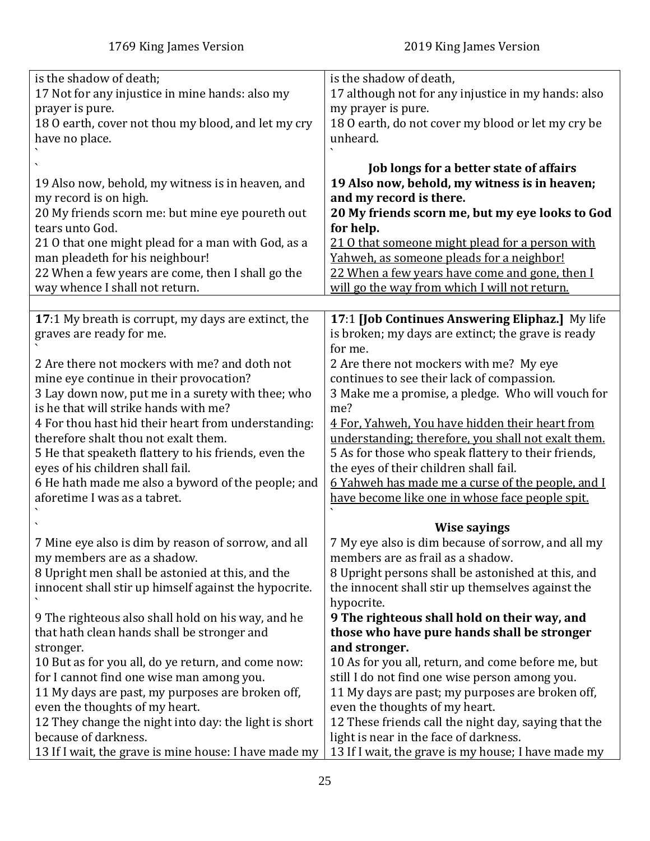<span id="page-24-0"></span>

| is the shadow of death;                               | is the shadow of death,                                  |
|-------------------------------------------------------|----------------------------------------------------------|
| 17 Not for any injustice in mine hands: also my       | 17 although not for any injustice in my hands: also      |
| prayer is pure.                                       | my prayer is pure.                                       |
| 18 0 earth, cover not thou my blood, and let my cry   | 18 0 earth, do not cover my blood or let my cry be       |
| have no place.                                        | unheard.                                                 |
|                                                       |                                                          |
|                                                       | Job longs for a better state of affairs                  |
| 19 Also now, behold, my witness is in heaven, and     | 19 Also now, behold, my witness is in heaven;            |
| my record is on high.                                 | and my record is there.                                  |
| 20 My friends scorn me: but mine eye poureth out      | 20 My friends scorn me, but my eye looks to God          |
| tears unto God.                                       | for help.                                                |
| 21 0 that one might plead for a man with God, as a    | 21 0 that someone might plead for a person with          |
| man pleadeth for his neighbour!                       | Yahweh, as someone pleads for a neighbor!                |
| 22 When a few years are come, then I shall go the     | 22 When a few years have come and gone, then I           |
| way whence I shall not return.                        | will go the way from which I will not return.            |
|                                                       |                                                          |
| 17:1 My breath is corrupt, my days are extinct, the   | 17:1 [Job Continues Answering Eliphaz.] My life          |
| graves are ready for me.                              | is broken; my days are extinct; the grave is ready       |
|                                                       | for me.                                                  |
| 2 Are there not mockers with me? and doth not         | 2 Are there not mockers with me? My eye                  |
| mine eye continue in their provocation?               | continues to see their lack of compassion.               |
| 3 Lay down now, put me in a surety with thee; who     | 3 Make me a promise, a pledge. Who will vouch for        |
| is he that will strike hands with me?                 | me?                                                      |
| 4 For thou hast hid their heart from understanding:   | 4 For, Yahweh, You have hidden their heart from          |
| therefore shalt thou not exalt them.                  | understanding; therefore, you shall not exalt them.      |
| 5 He that speaketh flattery to his friends, even the  | 5 As for those who speak flattery to their friends,      |
| eyes of his children shall fail.                      | the eyes of their children shall fail.                   |
| 6 He hath made me also a byword of the people; and    | <u>6 Yahweh has made me a curse of the people, and I</u> |
| aforetime I was as a tabret.                          | have become like one in whose face people spit.          |
|                                                       |                                                          |
|                                                       | <b>Wise sayings</b>                                      |
| 7 Mine eye also is dim by reason of sorrow, and all   | 7 My eye also is dim because of sorrow, and all my       |
| my members are as a shadow.                           | members are as frail as a shadow.                        |
| 8 Upright men shall be astonied at this, and the      | 8 Upright persons shall be astonished at this, and       |
| innocent shall stir up himself against the hypocrite. | the innocent shall stir up themselves against the        |
|                                                       | hypocrite.                                               |
| 9 The righteous also shall hold on his way, and he    | 9 The righteous shall hold on their way, and             |
| that hath clean hands shall be stronger and           | those who have pure hands shall be stronger              |
| stronger.                                             | and stronger.                                            |
| 10 But as for you all, do ye return, and come now:    | 10 As for you all, return, and come before me, but       |
| for I cannot find one wise man among you.             | still I do not find one wise person among you.           |
| 11 My days are past, my purposes are broken off,      | 11 My days are past; my purposes are broken off,         |
| even the thoughts of my heart.                        | even the thoughts of my heart.                           |
| 12 They change the night into day: the light is short | 12 These friends call the night day, saying that the     |
| because of darkness.                                  | light is near in the face of darkness.                   |
| 13 If I wait, the grave is mine house: I have made my | 13 If I wait, the grave is my house; I have made my      |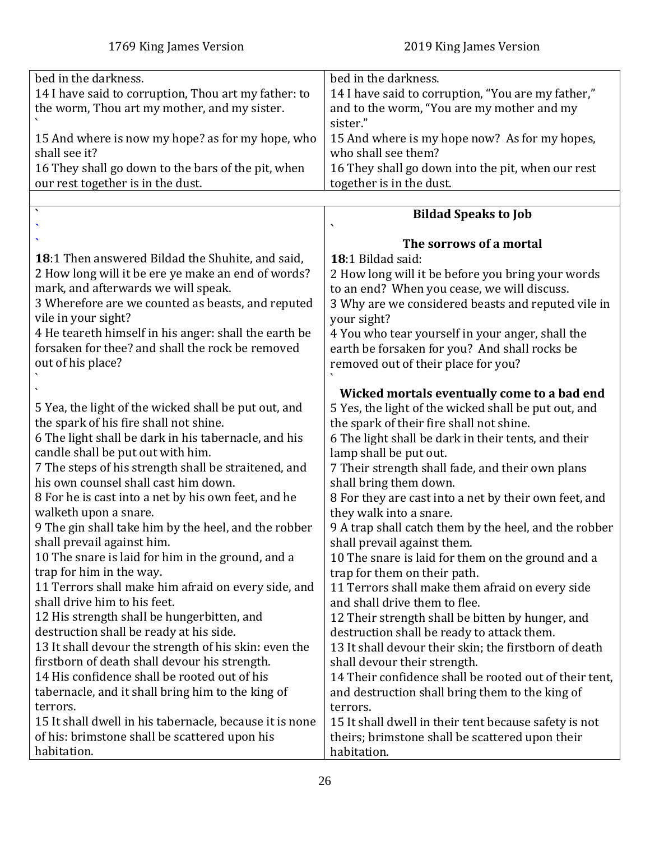<span id="page-25-0"></span>

| bed in the darkness.<br>bed in the darkness.<br>14 I have said to corruption, Thou art my father: to<br>14 I have said to corruption, "You are my father," |  |
|------------------------------------------------------------------------------------------------------------------------------------------------------------|--|
|                                                                                                                                                            |  |
|                                                                                                                                                            |  |
| and to the worm, "You are my mother and my<br>the worm, Thou art my mother, and my sister.                                                                 |  |
| sister."                                                                                                                                                   |  |
| 15 And where is now my hope? as for my hope, who<br>15 And where is my hope now? As for my hopes,                                                          |  |
| who shall see them?<br>shall see it?                                                                                                                       |  |
| 16 They shall go down to the bars of the pit, when<br>16 They shall go down into the pit, when our rest                                                    |  |
| together is in the dust.<br>our rest together is in the dust.                                                                                              |  |
|                                                                                                                                                            |  |
| <b>Bildad Speaks to Job</b>                                                                                                                                |  |
|                                                                                                                                                            |  |
| The sorrows of a mortal                                                                                                                                    |  |
| <b>18:1</b> Then answered Bildad the Shuhite, and said,<br>18:1 Bildad said:                                                                               |  |
| 2 How long will it be ere ye make an end of words?<br>2 How long will it be before you bring your words                                                    |  |
|                                                                                                                                                            |  |
| mark, and afterwards we will speak.<br>to an end? When you cease, we will discuss.                                                                         |  |
| 3 Wherefore are we counted as beasts, and reputed<br>3 Why are we considered beasts and reputed vile in                                                    |  |
| vile in your sight?<br>your sight?                                                                                                                         |  |
| 4 He teareth himself in his anger: shall the earth be<br>4 You who tear yourself in your anger, shall the                                                  |  |
| forsaken for thee? and shall the rock be removed<br>earth be forsaken for you? And shall rocks be                                                          |  |
| out of his place?<br>removed out of their place for you?                                                                                                   |  |
|                                                                                                                                                            |  |
| Wicked mortals eventually come to a bad end                                                                                                                |  |
| 5 Yea, the light of the wicked shall be put out, and<br>5 Yes, the light of the wicked shall be put out, and                                               |  |
| the spark of his fire shall not shine.<br>the spark of their fire shall not shine.                                                                         |  |
| 6 The light shall be dark in his tabernacle, and his<br>6 The light shall be dark in their tents, and their                                                |  |
| candle shall be put out with him.<br>lamp shall be put out.                                                                                                |  |
| 7 The steps of his strength shall be straitened, and<br>7 Their strength shall fade, and their own plans                                                   |  |
| his own counsel shall cast him down.<br>shall bring them down.                                                                                             |  |
| 8 For he is cast into a net by his own feet, and he<br>8 For they are cast into a net by their own feet, and                                               |  |
| walketh upon a snare.<br>they walk into a snare.                                                                                                           |  |
|                                                                                                                                                            |  |
| 9 The gin shall take him by the heel, and the robber<br>9 A trap shall catch them by the heel, and the robber                                              |  |
| shall prevail against him.<br>shall prevail against them.                                                                                                  |  |
| 10 The snare is laid for him in the ground, and a<br>10 The snare is laid for them on the ground and a                                                     |  |
| trap for him in the way.<br>trap for them on their path.                                                                                                   |  |
| 11 Terrors shall make him afraid on every side, and<br>11 Terrors shall make them afraid on every side                                                     |  |
| shall drive him to his feet.<br>and shall drive them to flee.                                                                                              |  |
| 12 His strength shall be hungerbitten, and<br>12 Their strength shall be bitten by hunger, and                                                             |  |
| destruction shall be ready at his side.<br>destruction shall be ready to attack them.                                                                      |  |
| 13 It shall devour the strength of his skin: even the<br>13 It shall devour their skin; the firstborn of death                                             |  |
| firstborn of death shall devour his strength.<br>shall devour their strength.                                                                              |  |
| 14 His confidence shall be rooted out of his<br>14 Their confidence shall be rooted out of their tent,                                                     |  |
| tabernacle, and it shall bring him to the king of<br>and destruction shall bring them to the king of                                                       |  |
| terrors.<br>terrors.                                                                                                                                       |  |
| 15 It shall dwell in his tabernacle, because it is none<br>15 It shall dwell in their tent because safety is not                                           |  |
| of his: brimstone shall be scattered upon his<br>theirs; brimstone shall be scattered upon their                                                           |  |
| habitation.<br>habitation.                                                                                                                                 |  |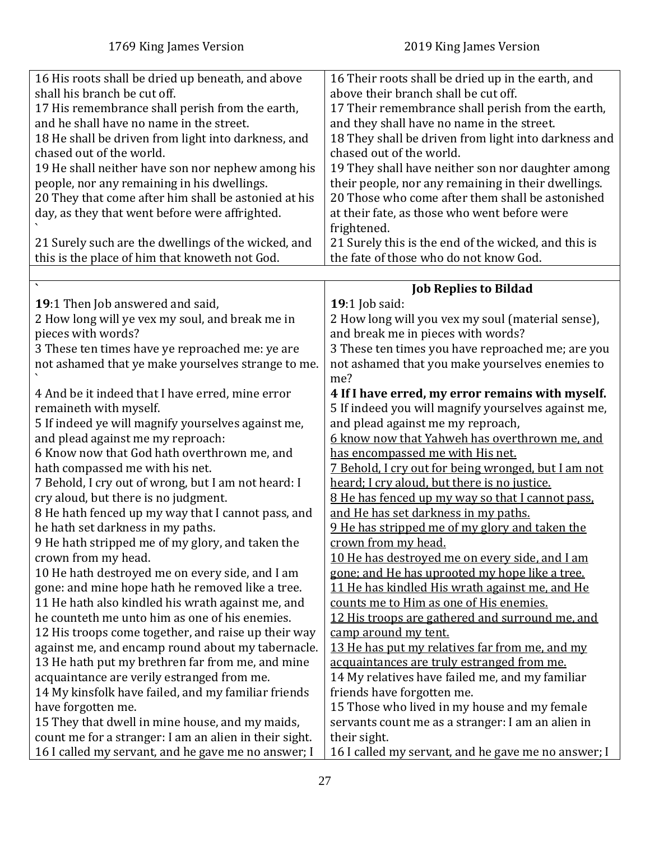<span id="page-26-0"></span>

| 16 His roots shall be dried up beneath, and above      | 16 Their roots shall be dried up in the earth, and          |
|--------------------------------------------------------|-------------------------------------------------------------|
| shall his branch be cut off.                           | above their branch shall be cut off.                        |
| 17 His remembrance shall perish from the earth,        | 17 Their remembrance shall perish from the earth,           |
| and he shall have no name in the street.               | and they shall have no name in the street.                  |
| 18 He shall be driven from light into darkness, and    | 18 They shall be driven from light into darkness and        |
| chased out of the world.                               | chased out of the world.                                    |
| 19 He shall neither have son nor nephew among his      | 19 They shall have neither son nor daughter among           |
| people, nor any remaining in his dwellings.            | their people, nor any remaining in their dwellings.         |
| 20 They that come after him shall be astonied at his   | 20 Those who come after them shall be astonished            |
| day, as they that went before were affrighted.         | at their fate, as those who went before were<br>frightened. |
| 21 Surely such are the dwellings of the wicked, and    | 21 Surely this is the end of the wicked, and this is        |
| this is the place of him that knoweth not God.         | the fate of those who do not know God.                      |
|                                                        |                                                             |
|                                                        | <b>Job Replies to Bildad</b>                                |
| 19:1 Then Job answered and said,                       | <b>19:1</b> Job said:                                       |
| 2 How long will ye vex my soul, and break me in        | 2 How long will you vex my soul (material sense),           |
| pieces with words?                                     | and break me in pieces with words?                          |
| 3 These ten times have ye reproached me: ye are        | 3 These ten times you have reproached me; are you           |
| not ashamed that ye make yourselves strange to me.     | not ashamed that you make yourselves enemies to             |
|                                                        | me?                                                         |
| 4 And be it indeed that I have erred, mine error       | 4 If I have erred, my error remains with myself.            |
| remaineth with myself.                                 | 5 If indeed you will magnify yourselves against me,         |
| 5 If indeed ye will magnify yourselves against me,     | and plead against me my reproach,                           |
| and plead against me my reproach:                      | 6 know now that Yahweh has overthrown me, and               |
| 6 Know now that God hath overthrown me, and            | has encompassed me with His net.                            |
| hath compassed me with his net.                        | <u>7 Behold, I cry out for being wronged, but I am not</u>  |
| 7 Behold, I cry out of wrong, but I am not heard: I    | heard; I cry aloud, but there is no justice.                |
| cry aloud, but there is no judgment.                   | 8 He has fenced up my way so that I cannot pass.            |
| 8 He hath fenced up my way that I cannot pass, and     | and He has set darkness in my paths.                        |
| he hath set darkness in my paths.                      | 9 He has stripped me of my glory and taken the              |
| 9 He hath stripped me of my glory, and taken the       | crown from my head.                                         |
| crown from my head.                                    | 10 He has destroyed me on every side, and I am              |
| 10 He hath destroyed me on every side, and I am        | gone; and He has uprooted my hope like a tree.              |
| gone: and mine hope hath he removed like a tree.       | 11 He has kindled His wrath against me, and He              |
| 11 He hath also kindled his wrath against me, and      | counts me to Him as one of His enemies.                     |
| he counteth me unto him as one of his enemies.         | 12 His troops are gathered and surround me, and             |
| 12 His troops come together, and raise up their way    | camp around my tent.                                        |
| against me, and encamp round about my tabernacle.      | 13 He has put my relatives far from me, and my              |
| 13 He hath put my brethren far from me, and mine       | acquaintances are truly estranged from me.                  |
| acquaintance are verily estranged from me.             | 14 My relatives have failed me, and my familiar             |
| 14 My kinsfolk have failed, and my familiar friends    | friends have forgotten me.                                  |
| have forgotten me.                                     | 15 Those who lived in my house and my female                |
| 15 They that dwell in mine house, and my maids,        | servants count me as a stranger: I am an alien in           |
| count me for a stranger: I am an alien in their sight. | their sight.                                                |
| 16 I called my servant, and he gave me no answer; I    | 16 I called my servant, and he gave me no answer; I         |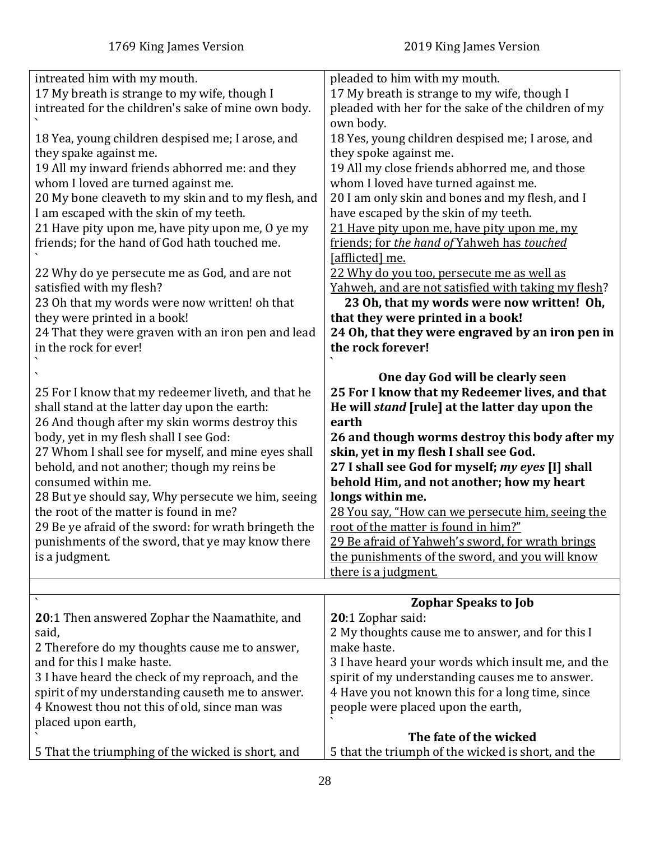<span id="page-27-0"></span>

| intreated him with my mouth.<br>17 My breath is strange to my wife, though I<br>intreated for the children's sake of mine own body.<br>18 Yea, young children despised me; I arose, and<br>they spake against me.<br>19 All my inward friends abhorred me: and they<br>whom I loved are turned against me.<br>20 My bone cleaveth to my skin and to my flesh, and<br>I am escaped with the skin of my teeth.<br>21 Have pity upon me, have pity upon me, O ye my<br>friends; for the hand of God hath touched me.<br>22 Why do ye persecute me as God, and are not<br>satisfied with my flesh?<br>23 Oh that my words were now written! oh that<br>they were printed in a book!<br>24 That they were graven with an iron pen and lead<br>in the rock for ever! | pleaded to him with my mouth.<br>17 My breath is strange to my wife, though I<br>pleaded with her for the sake of the children of my<br>own body.<br>18 Yes, young children despised me; I arose, and<br>they spoke against me.<br>19 All my close friends abhorred me, and those<br>whom I loved have turned against me.<br>20 I am only skin and bones and my flesh, and I<br>have escaped by the skin of my teeth.<br>21 Have pity upon me, have pity upon me, my<br>friends; for the hand of Yahweh has touched<br>[afflicted] me.<br>22 Why do you too, persecute me as well as<br><u>Yahweh, and are not satisfied with taking my flesh?</u><br>23 Oh, that my words were now written! Oh,<br>that they were printed in a book!<br>24 Oh, that they were engraved by an iron pen in<br>the rock forever! |
|----------------------------------------------------------------------------------------------------------------------------------------------------------------------------------------------------------------------------------------------------------------------------------------------------------------------------------------------------------------------------------------------------------------------------------------------------------------------------------------------------------------------------------------------------------------------------------------------------------------------------------------------------------------------------------------------------------------------------------------------------------------|----------------------------------------------------------------------------------------------------------------------------------------------------------------------------------------------------------------------------------------------------------------------------------------------------------------------------------------------------------------------------------------------------------------------------------------------------------------------------------------------------------------------------------------------------------------------------------------------------------------------------------------------------------------------------------------------------------------------------------------------------------------------------------------------------------------|
| 25 For I know that my redeemer liveth, and that he<br>shall stand at the latter day upon the earth:<br>26 And though after my skin worms destroy this<br>body, yet in my flesh shall I see God:<br>27 Whom I shall see for myself, and mine eyes shall<br>behold, and not another; though my reins be<br>consumed within me.<br>28 But ye should say, Why persecute we him, seeing<br>the root of the matter is found in me?<br>29 Be ye afraid of the sword: for wrath bringeth the<br>punishments of the sword, that ye may know there<br>is a judgment.                                                                                                                                                                                                     | One day God will be clearly seen<br>25 For I know that my Redeemer lives, and that<br>He will <i>stand</i> [rule] at the latter day upon the<br>earth<br>26 and though worms destroy this body after my<br>skin, yet in my flesh I shall see God.<br>27 I shall see God for myself; my eyes [I] shall<br>behold Him, and not another; how my heart<br>longs within me.<br>28 You say, "How can we persecute him, seeing the<br>root of the matter is found in him?"<br>29 Be afraid of Yahweh's sword, for wrath brings<br>the punishments of the sword, and you will know<br>there is a judgment.                                                                                                                                                                                                             |
|                                                                                                                                                                                                                                                                                                                                                                                                                                                                                                                                                                                                                                                                                                                                                                |                                                                                                                                                                                                                                                                                                                                                                                                                                                                                                                                                                                                                                                                                                                                                                                                                |
| <b>20:1 Then answered Zophar the Naamathite, and</b><br>said,<br>2 Therefore do my thoughts cause me to answer,<br>and for this I make haste.<br>3 I have heard the check of my reproach, and the<br>spirit of my understanding causeth me to answer.<br>4 Knowest thou not this of old, since man was<br>placed upon earth,                                                                                                                                                                                                                                                                                                                                                                                                                                   | <b>Zophar Speaks to Job</b><br>20:1 Zophar said:<br>2 My thoughts cause me to answer, and for this I<br>make haste.<br>3 I have heard your words which insult me, and the<br>spirit of my understanding causes me to answer.<br>4 Have you not known this for a long time, since<br>people were placed upon the earth,<br>The fate of the wicked                                                                                                                                                                                                                                                                                                                                                                                                                                                               |
| 5 That the triumphing of the wicked is short, and                                                                                                                                                                                                                                                                                                                                                                                                                                                                                                                                                                                                                                                                                                              | 5 that the triumph of the wicked is short, and the                                                                                                                                                                                                                                                                                                                                                                                                                                                                                                                                                                                                                                                                                                                                                             |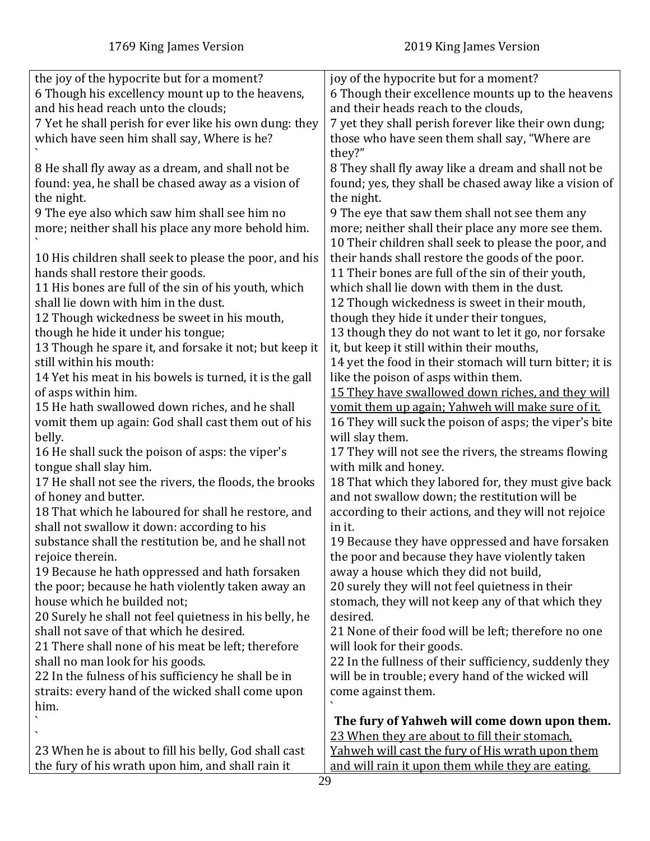| the joy of the hypocrite but for a moment?              | joy of the hypocrite but for a moment?                   |
|---------------------------------------------------------|----------------------------------------------------------|
| 6 Though his excellency mount up to the heavens,        | 6 Though their excellence mounts up to the heavens       |
|                                                         |                                                          |
| and his head reach unto the clouds;                     | and their heads reach to the clouds,                     |
| 7 Yet he shall perish for ever like his own dung: they  | 7 yet they shall perish forever like their own dung;     |
| which have seen him shall say, Where is he?             | those who have seen them shall say, "Where are           |
|                                                         |                                                          |
|                                                         | they?"                                                   |
| 8 He shall fly away as a dream, and shall not be        | 8 They shall fly away like a dream and shall not be      |
| found: yea, he shall be chased away as a vision of      | found; yes, they shall be chased away like a vision of   |
|                                                         |                                                          |
| the night.                                              | the night.                                               |
| 9 The eye also which saw him shall see him no           | 9 The eye that saw them shall not see them any           |
| more; neither shall his place any more behold him.      | more; neither shall their place any more see them.       |
|                                                         |                                                          |
|                                                         | 10 Their children shall seek to please the poor, and     |
| 10 His children shall seek to please the poor, and his  | their hands shall restore the goods of the poor.         |
| hands shall restore their goods.                        | 11 Their bones are full of the sin of their youth,       |
|                                                         |                                                          |
| 11 His bones are full of the sin of his youth, which    | which shall lie down with them in the dust.              |
| shall lie down with him in the dust.                    | 12 Though wickedness is sweet in their mouth,            |
| 12 Though wickedness be sweet in his mouth,             | though they hide it under their tongues,                 |
| though he hide it under his tongue;                     | 13 though they do not want to let it go, nor forsake     |
|                                                         |                                                          |
| 13 Though he spare it, and forsake it not; but keep it  | it, but keep it still within their mouths,               |
| still within his mouth:                                 | 14 yet the food in their stomach will turn bitter; it is |
| 14 Yet his meat in his bowels is turned, it is the gall | like the poison of asps within them.                     |
|                                                         |                                                          |
| of asps within him.                                     | 15 They have swallowed down riches, and they will        |
| 15 He hath swallowed down riches, and he shall          | vomit them up again; Yahweh will make sure of it.        |
| vomit them up again: God shall cast them out of his     | 16 They will suck the poison of asps; the viper's bite   |
| belly.                                                  | will slay them.                                          |
|                                                         |                                                          |
| 16 He shall suck the poison of asps: the viper's        | 17 They will not see the rivers, the streams flowing     |
| tongue shall slay him.                                  | with milk and honey.                                     |
| 17 He shall not see the rivers, the floods, the brooks  | 18 That which they labored for, they must give back      |
|                                                         |                                                          |
| of honey and butter.                                    | and not swallow down; the restitution will be            |
| 18 That which he laboured for shall he restore, and     | according to their actions, and they will not rejoice    |
| shall not swallow it down: according to his             | in it.                                                   |
| substance shall the restitution be, and he shall not    | 19 Because they have oppressed and have forsaken         |
|                                                         |                                                          |
| rejoice therein.                                        | the poor and because they have violently taken           |
| 19 Because he hath oppressed and hath forsaken          | away a house which they did not build,                   |
| the poor; because he hath violently taken away an       | 20 surely they will not feel quietness in their          |
|                                                         |                                                          |
| house which he builded not;                             | stomach, they will not keep any of that which they       |
| 20 Surely he shall not feel quietness in his belly, he  | desired.                                                 |
| shall not save of that which he desired.                | 21 None of their food will be left; therefore no one     |
| 21 There shall none of his meat be left; therefore      | will look for their goods.                               |
|                                                         |                                                          |
| shall no man look for his goods.                        | 22 In the fullness of their sufficiency, suddenly they   |
| 22 In the fulness of his sufficiency he shall be in     | will be in trouble; every hand of the wicked will        |
| straits: every hand of the wicked shall come upon       | come against them.                                       |
|                                                         |                                                          |
| him.                                                    |                                                          |
|                                                         | The fury of Yahweh will come down upon them.             |
|                                                         | 23 When they are about to fill their stomach.            |
| 23 When he is about to fill his belly, God shall cast   | Yahweh will cast the fury of His wrath upon them         |
|                                                         |                                                          |
| the fury of his wrath upon him, and shall rain it       | and will rain it upon them while they are eating.        |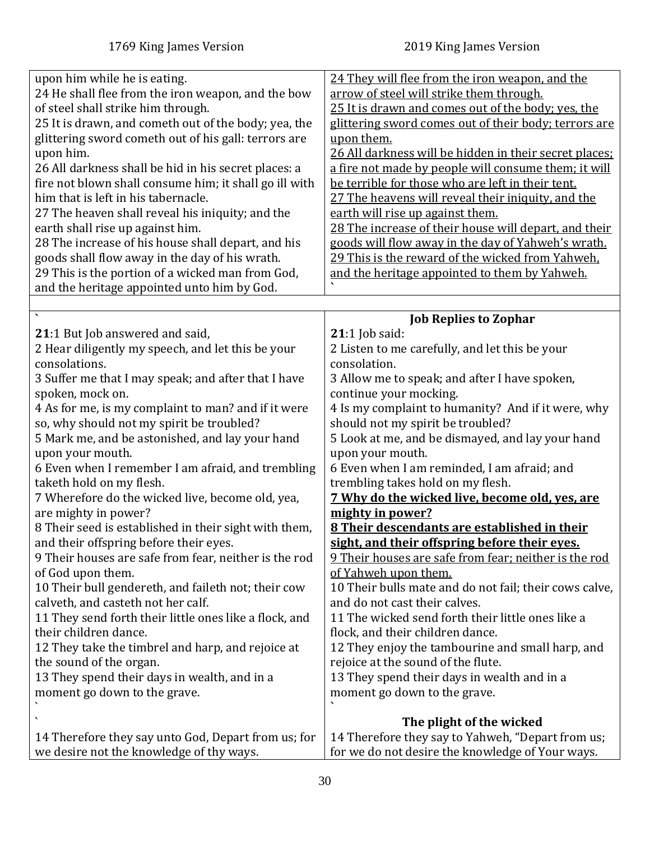<span id="page-29-0"></span>

| upon him while he is eating.<br>24 He shall flee from the iron weapon, and the bow<br>of steel shall strike him through.<br>25 It is drawn, and cometh out of the body; yea, the<br>glittering sword cometh out of his gall: terrors are<br>upon him.<br>26 All darkness shall be hid in his secret places: a<br>fire not blown shall consume him; it shall go ill with<br>him that is left in his tabernacle.<br>27 The heaven shall reveal his iniquity; and the<br>earth shall rise up against him.<br>28 The increase of his house shall depart, and his<br>goods shall flow away in the day of his wrath.<br>29 This is the portion of a wicked man from God,<br>and the heritage appointed unto him by God. | 24 They will flee from the iron weapon, and the<br>arrow of steel will strike them through.<br>25 It is drawn and comes out of the body; yes, the<br>glittering sword comes out of their body; terrors are<br>upon them.<br>26 All darkness will be hidden in their secret places;<br>a fire not made by people will consume them; it will<br>be terrible for those who are left in their tent.<br>27 The heavens will reveal their iniquity, and the<br>earth will rise up against them.<br>28 The increase of their house will depart, and their<br>goods will flow away in the day of Yahweh's wrath.<br>29 This is the reward of the wicked from Yahweh.<br>and the heritage appointed to them by Yahweh. |
|-------------------------------------------------------------------------------------------------------------------------------------------------------------------------------------------------------------------------------------------------------------------------------------------------------------------------------------------------------------------------------------------------------------------------------------------------------------------------------------------------------------------------------------------------------------------------------------------------------------------------------------------------------------------------------------------------------------------|---------------------------------------------------------------------------------------------------------------------------------------------------------------------------------------------------------------------------------------------------------------------------------------------------------------------------------------------------------------------------------------------------------------------------------------------------------------------------------------------------------------------------------------------------------------------------------------------------------------------------------------------------------------------------------------------------------------|
|                                                                                                                                                                                                                                                                                                                                                                                                                                                                                                                                                                                                                                                                                                                   | <b>Job Replies to Zophar</b>                                                                                                                                                                                                                                                                                                                                                                                                                                                                                                                                                                                                                                                                                  |
| 21:1 But Job answered and said,<br>2 Hear diligently my speech, and let this be your<br>consolations.                                                                                                                                                                                                                                                                                                                                                                                                                                                                                                                                                                                                             | $21:1$ Job said:<br>2 Listen to me carefully, and let this be your<br>consolation.                                                                                                                                                                                                                                                                                                                                                                                                                                                                                                                                                                                                                            |
| 3 Suffer me that I may speak; and after that I have                                                                                                                                                                                                                                                                                                                                                                                                                                                                                                                                                                                                                                                               | 3 Allow me to speak; and after I have spoken,                                                                                                                                                                                                                                                                                                                                                                                                                                                                                                                                                                                                                                                                 |
| spoken, mock on.                                                                                                                                                                                                                                                                                                                                                                                                                                                                                                                                                                                                                                                                                                  | continue your mocking.                                                                                                                                                                                                                                                                                                                                                                                                                                                                                                                                                                                                                                                                                        |
| 4 As for me, is my complaint to man? and if it were                                                                                                                                                                                                                                                                                                                                                                                                                                                                                                                                                                                                                                                               | 4 Is my complaint to humanity? And if it were, why                                                                                                                                                                                                                                                                                                                                                                                                                                                                                                                                                                                                                                                            |
| so, why should not my spirit be troubled?                                                                                                                                                                                                                                                                                                                                                                                                                                                                                                                                                                                                                                                                         | should not my spirit be troubled?                                                                                                                                                                                                                                                                                                                                                                                                                                                                                                                                                                                                                                                                             |
| 5 Mark me, and be astonished, and lay your hand                                                                                                                                                                                                                                                                                                                                                                                                                                                                                                                                                                                                                                                                   | 5 Look at me, and be dismayed, and lay your hand                                                                                                                                                                                                                                                                                                                                                                                                                                                                                                                                                                                                                                                              |
| upon your mouth.                                                                                                                                                                                                                                                                                                                                                                                                                                                                                                                                                                                                                                                                                                  | upon your mouth.                                                                                                                                                                                                                                                                                                                                                                                                                                                                                                                                                                                                                                                                                              |
| 6 Even when I remember I am afraid, and trembling                                                                                                                                                                                                                                                                                                                                                                                                                                                                                                                                                                                                                                                                 | 6 Even when I am reminded, I am afraid; and                                                                                                                                                                                                                                                                                                                                                                                                                                                                                                                                                                                                                                                                   |
| taketh hold on my flesh.                                                                                                                                                                                                                                                                                                                                                                                                                                                                                                                                                                                                                                                                                          | trembling takes hold on my flesh.                                                                                                                                                                                                                                                                                                                                                                                                                                                                                                                                                                                                                                                                             |
| 7 Wherefore do the wicked live, become old, yea,                                                                                                                                                                                                                                                                                                                                                                                                                                                                                                                                                                                                                                                                  | 7 Why do the wicked live, become old, yes, are                                                                                                                                                                                                                                                                                                                                                                                                                                                                                                                                                                                                                                                                |
| are mighty in power?                                                                                                                                                                                                                                                                                                                                                                                                                                                                                                                                                                                                                                                                                              | mighty in power?                                                                                                                                                                                                                                                                                                                                                                                                                                                                                                                                                                                                                                                                                              |
| 8 Their seed is established in their sight with them,                                                                                                                                                                                                                                                                                                                                                                                                                                                                                                                                                                                                                                                             | 8 Their descendants are established in their                                                                                                                                                                                                                                                                                                                                                                                                                                                                                                                                                                                                                                                                  |
| and their offspring before their eyes.                                                                                                                                                                                                                                                                                                                                                                                                                                                                                                                                                                                                                                                                            | sight, and their offspring before their eyes.                                                                                                                                                                                                                                                                                                                                                                                                                                                                                                                                                                                                                                                                 |
| 9 Their houses are safe from fear, neither is the rod                                                                                                                                                                                                                                                                                                                                                                                                                                                                                                                                                                                                                                                             | 9 Their houses are safe from fear; neither is the rod                                                                                                                                                                                                                                                                                                                                                                                                                                                                                                                                                                                                                                                         |
| of God upon them.                                                                                                                                                                                                                                                                                                                                                                                                                                                                                                                                                                                                                                                                                                 | of Yahweh upon them.                                                                                                                                                                                                                                                                                                                                                                                                                                                                                                                                                                                                                                                                                          |
| 10 Their bull gendereth, and faileth not; their cow                                                                                                                                                                                                                                                                                                                                                                                                                                                                                                                                                                                                                                                               | 10 Their bulls mate and do not fail; their cows calve,                                                                                                                                                                                                                                                                                                                                                                                                                                                                                                                                                                                                                                                        |
| calveth, and casteth not her calf.                                                                                                                                                                                                                                                                                                                                                                                                                                                                                                                                                                                                                                                                                | and do not cast their calves.                                                                                                                                                                                                                                                                                                                                                                                                                                                                                                                                                                                                                                                                                 |
| 11 They send forth their little ones like a flock, and                                                                                                                                                                                                                                                                                                                                                                                                                                                                                                                                                                                                                                                            | 11 The wicked send forth their little ones like a                                                                                                                                                                                                                                                                                                                                                                                                                                                                                                                                                                                                                                                             |
| their children dance.                                                                                                                                                                                                                                                                                                                                                                                                                                                                                                                                                                                                                                                                                             | flock, and their children dance.                                                                                                                                                                                                                                                                                                                                                                                                                                                                                                                                                                                                                                                                              |
| 12 They take the timbrel and harp, and rejoice at                                                                                                                                                                                                                                                                                                                                                                                                                                                                                                                                                                                                                                                                 | 12 They enjoy the tambourine and small harp, and                                                                                                                                                                                                                                                                                                                                                                                                                                                                                                                                                                                                                                                              |
| the sound of the organ.                                                                                                                                                                                                                                                                                                                                                                                                                                                                                                                                                                                                                                                                                           | rejoice at the sound of the flute.                                                                                                                                                                                                                                                                                                                                                                                                                                                                                                                                                                                                                                                                            |
| 13 They spend their days in wealth, and in a                                                                                                                                                                                                                                                                                                                                                                                                                                                                                                                                                                                                                                                                      | 13 They spend their days in wealth and in a                                                                                                                                                                                                                                                                                                                                                                                                                                                                                                                                                                                                                                                                   |
| moment go down to the grave.                                                                                                                                                                                                                                                                                                                                                                                                                                                                                                                                                                                                                                                                                      | moment go down to the grave.                                                                                                                                                                                                                                                                                                                                                                                                                                                                                                                                                                                                                                                                                  |
|                                                                                                                                                                                                                                                                                                                                                                                                                                                                                                                                                                                                                                                                                                                   |                                                                                                                                                                                                                                                                                                                                                                                                                                                                                                                                                                                                                                                                                                               |
|                                                                                                                                                                                                                                                                                                                                                                                                                                                                                                                                                                                                                                                                                                                   | The plight of the wicked                                                                                                                                                                                                                                                                                                                                                                                                                                                                                                                                                                                                                                                                                      |
| 14 Therefore they say unto God, Depart from us; for                                                                                                                                                                                                                                                                                                                                                                                                                                                                                                                                                                                                                                                               | 14 Therefore they say to Yahweh, "Depart from us;                                                                                                                                                                                                                                                                                                                                                                                                                                                                                                                                                                                                                                                             |
| we desire not the knowledge of thy ways.                                                                                                                                                                                                                                                                                                                                                                                                                                                                                                                                                                                                                                                                          | for we do not desire the knowledge of Your ways.                                                                                                                                                                                                                                                                                                                                                                                                                                                                                                                                                                                                                                                              |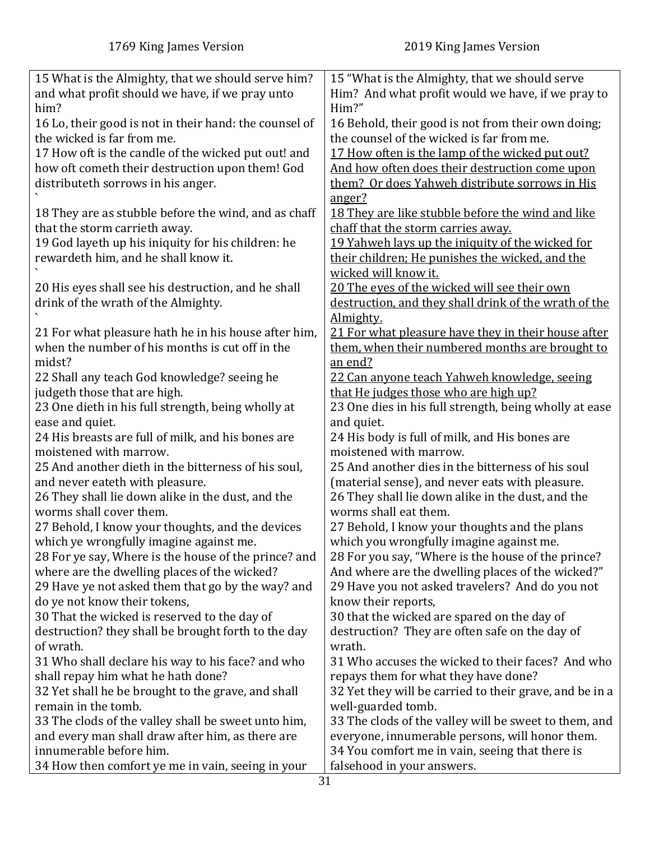| 15 What is the Almighty, that we should serve him?     | 15 "What is the Almighty, that we should serve          |
|--------------------------------------------------------|---------------------------------------------------------|
| and what profit should we have, if we pray unto        | Him? And what profit would we have, if we pray to       |
| him?                                                   | Him?"                                                   |
| 16 Lo, their good is not in their hand: the counsel of | 16 Behold, their good is not from their own doing;      |
| the wicked is far from me.                             | the counsel of the wicked is far from me.               |
| 17 How oft is the candle of the wicked put out! and    | 17 How often is the lamp of the wicked put out?         |
| how oft cometh their destruction upon them! God        | And how often does their destruction come upon          |
| distributeth sorrows in his anger.                     | them? Or does Yahweh distribute sorrows in His          |
|                                                        | anger?                                                  |
| 18 They are as stubble before the wind, and as chaff   | 18 They are like stubble before the wind and like       |
| that the storm carrieth away.                          | chaff that the storm carries away.                      |
| 19 God layeth up his iniquity for his children: he     | 19 Yahweh lays up the iniquity of the wicked for        |
| rewardeth him, and he shall know it.                   |                                                         |
|                                                        | their children; He punishes the wicked, and the         |
|                                                        | wicked will know it.                                    |
| 20 His eyes shall see his destruction, and he shall    | 20 The eyes of the wicked will see their own            |
| drink of the wrath of the Almighty.                    | destruction, and they shall drink of the wrath of the   |
|                                                        | Almighty.                                               |
| 21 For what pleasure hath he in his house after him,   | 21 For what pleasure have they in their house after     |
| when the number of his months is cut off in the        | them, when their numbered months are brought to         |
| midst?                                                 | an end?                                                 |
| 22 Shall any teach God knowledge? seeing he            | 22 Can anyone teach Yahweh knowledge, seeing            |
| judgeth those that are high.                           | that He judges those who are high up?                   |
| 23 One dieth in his full strength, being wholly at     | 23 One dies in his full strength, being wholly at ease  |
| ease and quiet.                                        | and quiet.                                              |
| 24 His breasts are full of milk, and his bones are     | 24 His body is full of milk, and His bones are          |
| moistened with marrow.                                 | moistened with marrow.                                  |
| 25 And another dieth in the bitterness of his soul,    | 25 And another dies in the bitterness of his soul       |
| and never eateth with pleasure.                        | (material sense), and never eats with pleasure.         |
| 26 They shall lie down alike in the dust, and the      | 26 They shall lie down alike in the dust, and the       |
| worms shall cover them.                                | worms shall eat them.                                   |
| 27 Behold, I know your thoughts, and the devices       | 27 Behold, I know your thoughts and the plans           |
| which ye wrongfully imagine against me.                | which you wrongfully imagine against me.                |
| 28 For ye say, Where is the house of the prince? and   | 28 For you say, "Where is the house of the prince?      |
| where are the dwelling places of the wicked?           | And where are the dwelling places of the wicked?"       |
| 29 Have ye not asked them that go by the way? and      | 29 Have you not asked travelers? And do you not         |
| do ye not know their tokens,                           | know their reports,                                     |
| 30 That the wicked is reserved to the day of           | 30 that the wicked are spared on the day of             |
| destruction? they shall be brought forth to the day    | destruction? They are often safe on the day of          |
| of wrath.                                              | wrath.                                                  |
| 31 Who shall declare his way to his face? and who      | 31 Who accuses the wicked to their faces? And who       |
| shall repay him what he hath done?                     | repays them for what they have done?                    |
| 32 Yet shall he be brought to the grave, and shall     | 32 Yet they will be carried to their grave, and be in a |
| remain in the tomb.                                    | well-guarded tomb.                                      |
| 33 The clods of the valley shall be sweet unto him,    | 33 The clods of the valley will be sweet to them, and   |
| and every man shall draw after him, as there are       | everyone, innumerable persons, will honor them.         |
| innumerable before him.                                | 34 You comfort me in vain, seeing that there is         |
| 34 How then comfort ye me in vain, seeing in your      | falsehood in your answers.                              |
|                                                        |                                                         |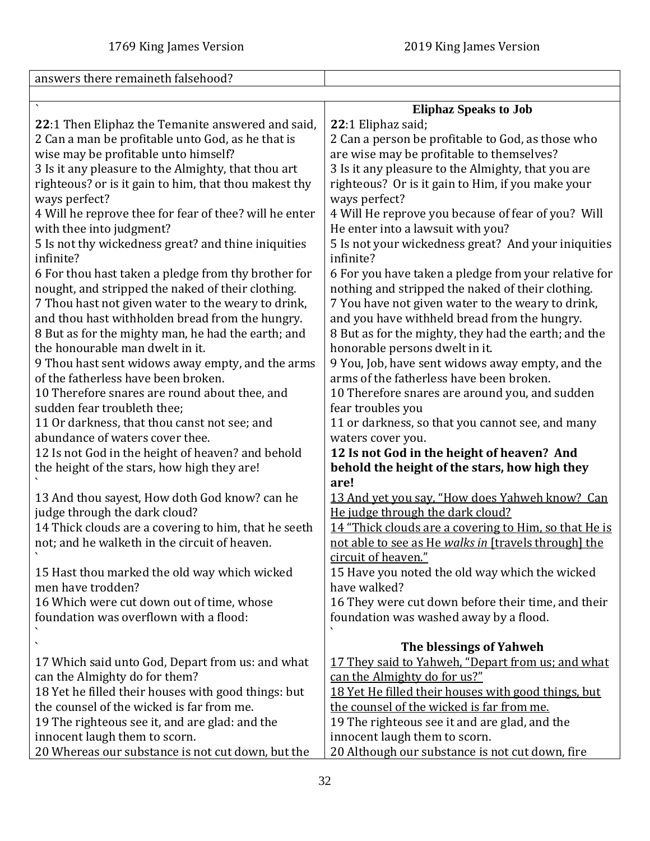<span id="page-31-0"></span>

| answers there remaineth falsehood?                     |                                                          |
|--------------------------------------------------------|----------------------------------------------------------|
|                                                        |                                                          |
|                                                        | <b>Eliphaz Speaks to Job</b>                             |
| 22:1 Then Eliphaz the Temanite answered and said,      | 22:1 Eliphaz said;                                       |
| 2 Can a man be profitable unto God, as he that is      | 2 Can a person be profitable to God, as those who        |
| wise may be profitable unto himself?                   | are wise may be profitable to themselves?                |
| 3 Is it any pleasure to the Almighty, that thou art    | 3 Is it any pleasure to the Almighty, that you are       |
| righteous? or is it gain to him, that thou makest thy  | righteous? Or is it gain to Him, if you make your        |
| ways perfect?                                          | ways perfect?                                            |
| 4 Will he reprove thee for fear of thee? will he enter | 4 Will He reprove you because of fear of you? Will       |
| with thee into judgment?                               | He enter into a lawsuit with you?                        |
| 5 Is not thy wickedness great? and thine iniquities    | 5 Is not your wickedness great? And your iniquities      |
| infinite?                                              | infinite?                                                |
| 6 For thou hast taken a pledge from thy brother for    | 6 For you have taken a pledge from your relative for     |
| nought, and stripped the naked of their clothing.      | nothing and stripped the naked of their clothing.        |
| 7 Thou hast not given water to the weary to drink,     | 7 You have not given water to the weary to drink,        |
| and thou hast withholden bread from the hungry.        | and you have withheld bread from the hungry.             |
| 8 But as for the mighty man, he had the earth; and     | 8 But as for the mighty, they had the earth; and the     |
| the honourable man dwelt in it.                        | honorable persons dwelt in it.                           |
| 9 Thou hast sent widows away empty, and the arms       | 9 You, Job, have sent widows away empty, and the         |
| of the fatherless have been broken.                    | arms of the fatherless have been broken.                 |
| 10 Therefore snares are round about thee, and          | 10 Therefore snares are around you, and sudden           |
| sudden fear troubleth thee;                            | fear troubles you                                        |
| 11 Or darkness, that thou canst not see; and           | 11 or darkness, so that you cannot see, and many         |
| abundance of waters cover thee.                        | waters cover you.                                        |
| 12 Is not God in the height of heaven? and behold      | 12 Is not God in the height of heaven? And               |
| the height of the stars, how high they are!            | behold the height of the stars, how high they            |
|                                                        | are!                                                     |
| 13 And thou sayest, How doth God know? can he          | 13 And yet you say, "How does Yahweh know? Can           |
| judge through the dark cloud?                          | He judge through the dark cloud?                         |
| 14 Thick clouds are a covering to him, that he seeth   | 14 "Thick clouds are a covering to Him, so that He is    |
| not; and he walketh in the circuit of heaven           | not able to see as He walks in [travels through] the     |
|                                                        | circuit of heaven."                                      |
| 15 Hast thou marked the old way which wicked           | 15 Have you noted the old way which the wicked           |
| men have trodden?                                      | have walked?                                             |
| 16 Which were cut down out of time, whose              | 16 They were cut down before their time, and their       |
| foundation was overflown with a flood:                 | foundation was washed away by a flood.                   |
|                                                        |                                                          |
|                                                        | The blessings of Yahweh                                  |
| 17 Which said unto God, Depart from us: and what       | <u>17 They said to Yahweh, "Depart from us; and what</u> |
| can the Almighty do for them?                          | can the Almighty do for us?"                             |
| 18 Yet he filled their houses with good things: but    | 18 Yet He filled their houses with good things, but      |
| the counsel of the wicked is far from me.              | the counsel of the wicked is far from me.                |
| 19 The righteous see it, and are glad: and the         | 19 The righteous see it and are glad, and the            |
| innocent laugh them to scorn.                          | innocent laugh them to scorn.                            |
| 20 Whereas our substance is not cut down, but the      | 20 Although our substance is not cut down, fire          |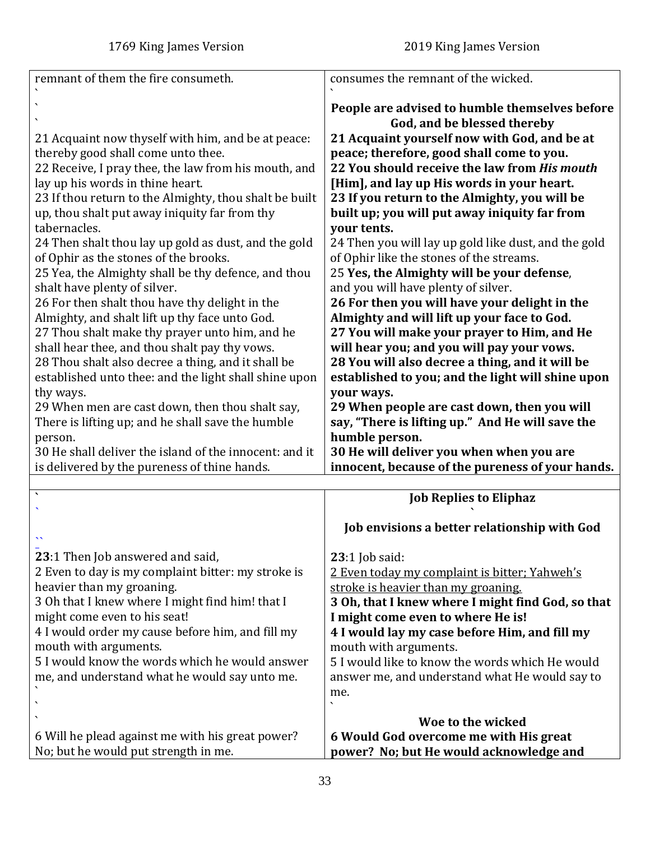<span id="page-32-0"></span>

| remnant of them the fire consumeth.                    | consumes the remnant of the wicked.                  |
|--------------------------------------------------------|------------------------------------------------------|
|                                                        |                                                      |
|                                                        | People are advised to humble themselves before       |
|                                                        | God, and be blessed thereby                          |
| 21 Acquaint now thyself with him, and be at peace:     | 21 Acquaint yourself now with God, and be at         |
| thereby good shall come unto thee.                     | peace; therefore, good shall come to you.            |
| 22 Receive, I pray thee, the law from his mouth, and   | 22 You should receive the law from His mouth         |
| lay up his words in thine heart.                       | [Him], and lay up His words in your heart.           |
| 23 If thou return to the Almighty, thou shalt be built | 23 If you return to the Almighty, you will be        |
| up, thou shalt put away iniquity far from thy          | built up; you will put away iniquity far from        |
| tabernacles.                                           | your tents.                                          |
| 24 Then shalt thou lay up gold as dust, and the gold   | 24 Then you will lay up gold like dust, and the gold |
| of Ophir as the stones of the brooks.                  | of Ophir like the stones of the streams.             |
| 25 Yea, the Almighty shall be thy defence, and thou    | 25 Yes, the Almighty will be your defense,           |
| shalt have plenty of silver.                           | and you will have plenty of silver.                  |
| 26 For then shalt thou have thy delight in the         | 26 For then you will have your delight in the        |
| Almighty, and shalt lift up thy face unto God.         | Almighty and will lift up your face to God.          |
| 27 Thou shalt make thy prayer unto him, and he         | 27 You will make your prayer to Him, and He          |
| shall hear thee, and thou shalt pay thy vows.          | will hear you; and you will pay your vows.           |
| 28 Thou shalt also decree a thing, and it shall be     | 28 You will also decree a thing, and it will be      |
| established unto thee: and the light shall shine upon  | established to you; and the light will shine upon    |
| thy ways.                                              | your ways.                                           |
| 29 When men are cast down, then thou shalt say,        | 29 When people are cast down, then you will          |
| There is lifting up; and he shall save the humble      | say, "There is lifting up." And He will save the     |
| person.                                                | humble person.                                       |
| 30 He shall deliver the island of the innocent: and it | 30 He will deliver you when when you are             |
| is delivered by the pureness of thine hands.           | innocent, because of the pureness of your hands.     |
|                                                        |                                                      |
| $\overline{\phantom{a}}$                               | <b>Job Replies to Eliphaz</b>                        |
|                                                        |                                                      |
|                                                        | Job envisions a better relationship with God         |
|                                                        |                                                      |
| 23:1 Then Job answered and said,                       | $23:1$ Job said:                                     |
| 2 Even to day is my complaint bitter: my stroke is     | 2 Even today my complaint is bitter; Yahweh's        |
| heavier than my groaning.                              | stroke is heavier than my groaning.                  |
| 3 Oh that I knew where I might find him! that I        | 3 Oh, that I knew where I might find God, so that    |
| might come even to his seat!                           | I might come even to where He is!                    |
| 4 I would order my cause before him, and fill my       | 4 I would lay my case before Him, and fill my        |
| mouth with arguments.                                  | mouth with arguments.                                |
| 5 I would know the words which he would answer         | 5 I would like to know the words which He would      |
| me, and understand what he would say unto me.          | answer me, and understand what He would say to       |
|                                                        | me.                                                  |
|                                                        |                                                      |
|                                                        | Woe to the wicked                                    |
| 6 Will he plead against me with his great power?       | 6 Would God overcome me with His great               |
| No; but he would put strength in me.                   | power? No; but He would acknowledge and              |
|                                                        |                                                      |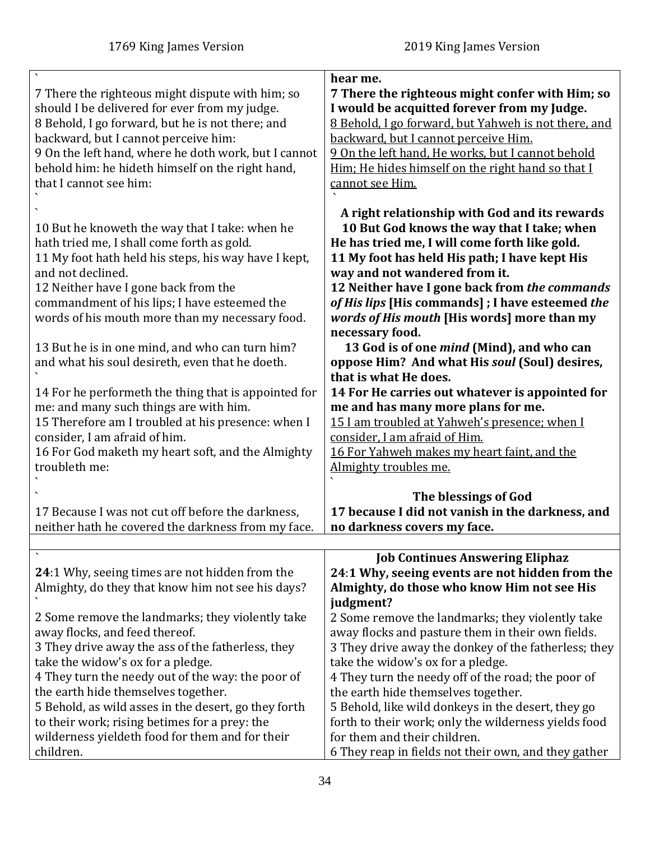<span id="page-33-0"></span>

| 7 There the righteous might dispute with him; so<br>should I be delivered for ever from my judge.<br>8 Behold, I go forward, but he is not there; and<br>backward, but I cannot perceive him:<br>9 On the left hand, where he doth work, but I cannot<br>behold him: he hideth himself on the right hand,<br>that I cannot see him:                                                                                                                                                                                                                                                                                                                                                       | hear me.<br>7 There the righteous might confer with Him; so<br>I would be acquitted forever from my Judge.<br>8 Behold, I go forward, but Yahweh is not there, and<br>backward, but I cannot perceive Him.<br>9 On the left hand, He works, but I cannot behold<br>Him; He hides himself on the right hand so that I<br>cannot see Him.                                                                                                                                                                                                                                                                                                                                                                                                                                                |
|-------------------------------------------------------------------------------------------------------------------------------------------------------------------------------------------------------------------------------------------------------------------------------------------------------------------------------------------------------------------------------------------------------------------------------------------------------------------------------------------------------------------------------------------------------------------------------------------------------------------------------------------------------------------------------------------|----------------------------------------------------------------------------------------------------------------------------------------------------------------------------------------------------------------------------------------------------------------------------------------------------------------------------------------------------------------------------------------------------------------------------------------------------------------------------------------------------------------------------------------------------------------------------------------------------------------------------------------------------------------------------------------------------------------------------------------------------------------------------------------|
| 10 But he knoweth the way that I take: when he<br>hath tried me, I shall come forth as gold.<br>11 My foot hath held his steps, his way have I kept,<br>and not declined.<br>12 Neither have I gone back from the<br>commandment of his lips; I have esteemed the<br>words of his mouth more than my necessary food.<br>13 But he is in one mind, and who can turn him?<br>and what his soul desireth, even that he doeth.<br>14 For he performeth the thing that is appointed for<br>me: and many such things are with him.<br>15 Therefore am I troubled at his presence: when I<br>consider, I am afraid of him.<br>16 For God maketh my heart soft, and the Almighty<br>troubleth me: | A right relationship with God and its rewards<br>10 But God knows the way that I take; when<br>He has tried me, I will come forth like gold.<br>11 My foot has held His path; I have kept His<br>way and not wandered from it.<br>12 Neither have I gone back from the commands<br>of His lips [His commands] ; I have esteemed the<br>words of His mouth [His words] more than my<br>necessary food.<br>13 God is of one <i>mind</i> (Mind), and who can<br>oppose Him? And what His soul (Soul) desires,<br>that is what He does.<br>14 For He carries out whatever is appointed for<br>me and has many more plans for me.<br>15 I am troubled at Yahweh's presence; when I<br>consider, I am afraid of Him.<br>16 For Yahweh makes my heart faint, and the<br>Almighty troubles me. |
| 17 Because I was not cut off before the darkness,<br>neither hath he covered the darkness from my face.                                                                                                                                                                                                                                                                                                                                                                                                                                                                                                                                                                                   | The blessings of God<br>17 because I did not vanish in the darkness, and<br>no darkness covers my face.                                                                                                                                                                                                                                                                                                                                                                                                                                                                                                                                                                                                                                                                                |
| 24:1 Why, seeing times are not hidden from the<br>Almighty, do they that know him not see his days?<br>2 Some remove the landmarks; they violently take<br>away flocks, and feed thereof.<br>3 They drive away the ass of the fatherless, they<br>take the widow's ox for a pledge.<br>4 They turn the needy out of the way: the poor of<br>the earth hide themselves together.                                                                                                                                                                                                                                                                                                           | <b>Job Continues Answering Eliphaz</b><br>24:1 Why, seeing events are not hidden from the<br>Almighty, do those who know Him not see His<br>judgment?<br>2 Some remove the landmarks; they violently take<br>away flocks and pasture them in their own fields.<br>3 They drive away the donkey of the fatherless; they<br>take the widow's ox for a pledge.<br>4 They turn the needy off of the road; the poor of<br>the earth hide themselves together.                                                                                                                                                                                                                                                                                                                               |
| 5 Behold, as wild asses in the desert, go they forth<br>to their work; rising betimes for a prey: the<br>wilderness yieldeth food for them and for their<br>children.                                                                                                                                                                                                                                                                                                                                                                                                                                                                                                                     | 5 Behold, like wild donkeys in the desert, they go<br>forth to their work; only the wilderness yields food<br>for them and their children.<br>6 They reap in fields not their own, and they gather                                                                                                                                                                                                                                                                                                                                                                                                                                                                                                                                                                                     |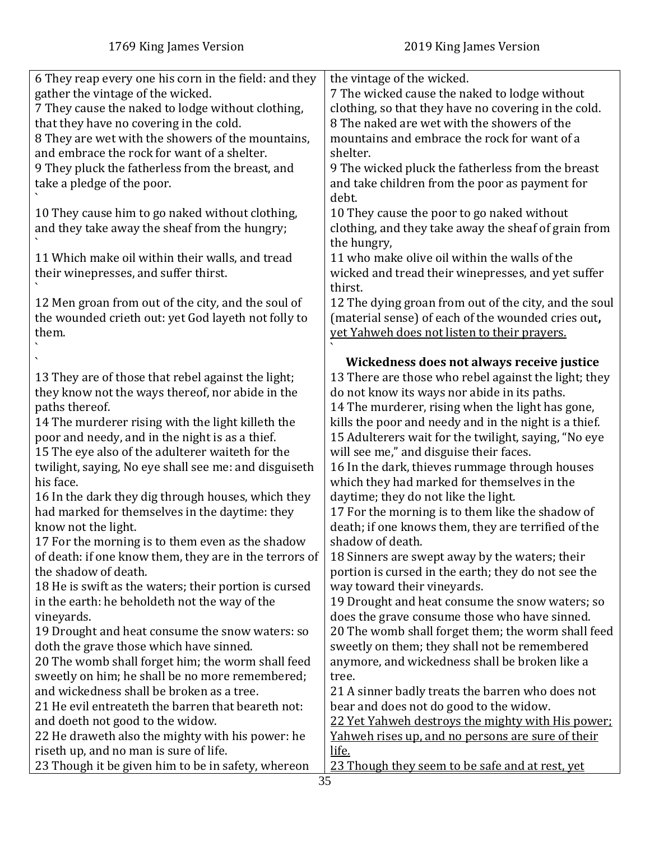| 6 They reap every one his corn in the field: and they  | the vintage of the wicked.                            |
|--------------------------------------------------------|-------------------------------------------------------|
| gather the vintage of the wicked.                      | 7 The wicked cause the naked to lodge without         |
| 7 They cause the naked to lodge without clothing,      | clothing, so that they have no covering in the cold.  |
| that they have no covering in the cold.                | 8 The naked are wet with the showers of the           |
| 8 They are wet with the showers of the mountains,      | mountains and embrace the rock for want of a          |
| and embrace the rock for want of a shelter.            | shelter.                                              |
| 9 They pluck the fatherless from the breast, and       | 9 The wicked pluck the fatherless from the breast     |
| take a pledge of the poor.                             | and take children from the poor as payment for        |
|                                                        | debt.                                                 |
|                                                        |                                                       |
| 10 They cause him to go naked without clothing,        | 10 They cause the poor to go naked without            |
| and they take away the sheaf from the hungry;          | clothing, and they take away the sheaf of grain from  |
|                                                        | the hungry,                                           |
| 11 Which make oil within their walls, and tread        | 11 who make olive oil within the walls of the         |
| their winepresses, and suffer thirst.                  | wicked and tread their winepresses, and yet suffer    |
|                                                        | thirst.                                               |
| 12 Men groan from out of the city, and the soul of     | 12 The dying groan from out of the city, and the soul |
| the wounded crieth out: yet God layeth not folly to    | (material sense) of each of the wounded cries out,    |
| them.                                                  | yet Yahweh does not listen to their prayers.          |
|                                                        |                                                       |
|                                                        | Wickedness does not always receive justice            |
| 13 They are of those that rebel against the light;     | 13 There are those who rebel against the light; they  |
| they know not the ways thereof, nor abide in the       | do not know its ways nor abide in its paths.          |
| paths thereof.                                         | 14 The murderer, rising when the light has gone,      |
| 14 The murderer rising with the light killeth the      | kills the poor and needy and in the night is a thief. |
| poor and needy, and in the night is as a thief.        | 15 Adulterers wait for the twilight, saying, "No eye  |
| 15 The eye also of the adulterer waiteth for the       | will see me," and disguise their faces.               |
|                                                        |                                                       |
| twilight, saying, No eye shall see me: and disguiseth  | 16 In the dark, thieves rummage through houses        |
| his face.                                              | which they had marked for themselves in the           |
| 16 In the dark they dig through houses, which they     | daytime; they do not like the light.                  |
| had marked for themselves in the daytime: they         | 17 For the morning is to them like the shadow of      |
| know not the light.                                    | death; if one knows them, they are terrified of the   |
| 17 For the morning is to them even as the shadow       | shadow of death.                                      |
| of death: if one know them, they are in the terrors of | 18 Sinners are swept away by the waters; their        |
| the shadow of death.                                   | portion is cursed in the earth; they do not see the   |
| 18 He is swift as the waters; their portion is cursed  | way toward their vineyards.                           |
| in the earth: he beholdeth not the way of the          | 19 Drought and heat consume the snow waters; so       |
| vineyards.                                             | does the grave consume those who have sinned.         |
| 19 Drought and heat consume the snow waters: so        | 20 The womb shall forget them; the worm shall feed    |
| doth the grave those which have sinned.                | sweetly on them; they shall not be remembered         |
| 20 The womb shall forget him; the worm shall feed      | anymore, and wickedness shall be broken like a        |
| sweetly on him; he shall be no more remembered;        | tree.                                                 |
| and wickedness shall be broken as a tree.              | 21 A sinner badly treats the barren who does not      |
| 21 He evil entreateth the barren that beareth not:     | bear and does not do good to the widow.               |
| and doeth not good to the widow.                       | 22 Yet Yahweh destroys the mighty with His power:     |
|                                                        |                                                       |
| 22 He draweth also the mighty with his power: he       | Yahweh rises up, and no persons are sure of their     |
| riseth up, and no man is sure of life.                 | life.                                                 |
| 23 Though it be given him to be in safety, whereon     | 23 Though they seem to be safe and at rest, yet       |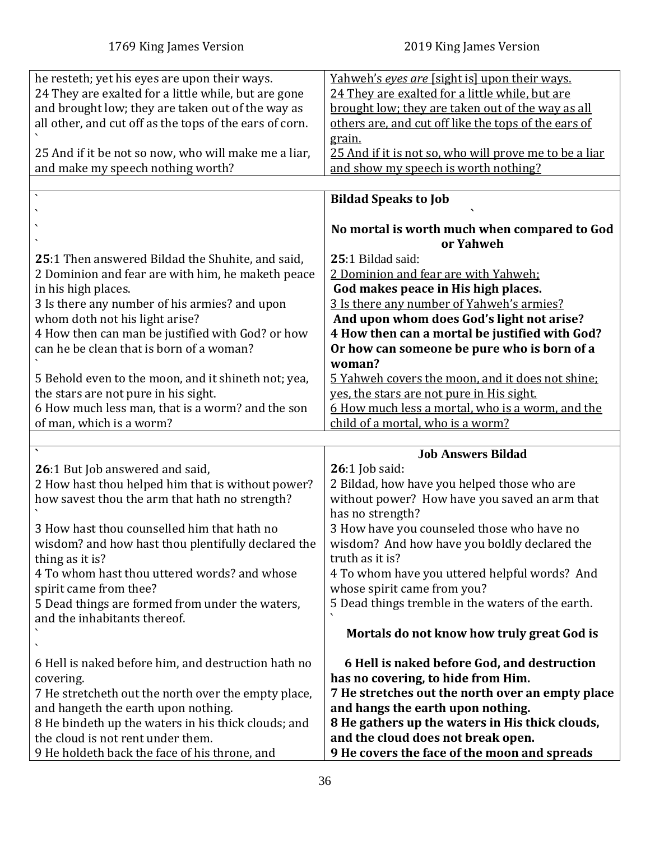<span id="page-35-1"></span><span id="page-35-0"></span>

| he resteth; yet his eyes are upon their ways.<br>24 They are exalted for a little while, but are gone<br>and brought low; they are taken out of the way as<br>all other, and cut off as the tops of the ears of corn.<br>25 And if it be not so now, who will make me a liar,<br>and make my speech nothing worth?                                                                                                                                                                             | Yahweh's eyes are [sight is] upon their ways.<br>24 They are exalted for a little while, but are<br>brought low; they are taken out of the way as all<br>others are, and cut off like the tops of the ears of<br>grain.<br>25 And if it is not so, who will prove me to be a liar<br>and show my speech is worth nothing?                                                                                                                                                                       |
|------------------------------------------------------------------------------------------------------------------------------------------------------------------------------------------------------------------------------------------------------------------------------------------------------------------------------------------------------------------------------------------------------------------------------------------------------------------------------------------------|-------------------------------------------------------------------------------------------------------------------------------------------------------------------------------------------------------------------------------------------------------------------------------------------------------------------------------------------------------------------------------------------------------------------------------------------------------------------------------------------------|
|                                                                                                                                                                                                                                                                                                                                                                                                                                                                                                | <b>Bildad Speaks to Job</b>                                                                                                                                                                                                                                                                                                                                                                                                                                                                     |
|                                                                                                                                                                                                                                                                                                                                                                                                                                                                                                |                                                                                                                                                                                                                                                                                                                                                                                                                                                                                                 |
|                                                                                                                                                                                                                                                                                                                                                                                                                                                                                                | No mortal is worth much when compared to God<br>or Yahweh                                                                                                                                                                                                                                                                                                                                                                                                                                       |
| 25:1 Then answered Bildad the Shuhite, and said,<br>2 Dominion and fear are with him, he maketh peace<br>in his high places.<br>3 Is there any number of his armies? and upon<br>whom doth not his light arise?<br>4 How then can man be justified with God? or how<br>can he be clean that is born of a woman?<br>5 Behold even to the moon, and it shineth not; yea,<br>the stars are not pure in his sight.<br>6 How much less man, that is a worm? and the son<br>of man, which is a worm? | 25:1 Bildad said:<br>2 Dominion and fear are with Yahweh:<br>God makes peace in His high places.<br>3 Is there any number of Yahweh's armies?<br>And upon whom does God's light not arise?<br>4 How then can a mortal be justified with God?<br>Or how can someone be pure who is born of a<br>woman?<br>5 Yahweh covers the moon, and it does not shine;<br>yes, the stars are not pure in His sight.<br>6 How much less a mortal, who is a worm, and the<br>child of a mortal, who is a worm? |
|                                                                                                                                                                                                                                                                                                                                                                                                                                                                                                |                                                                                                                                                                                                                                                                                                                                                                                                                                                                                                 |
| 26:1 But Job answered and said,                                                                                                                                                                                                                                                                                                                                                                                                                                                                | <b>Job Answers Bildad</b><br>$26:1$ Job said:                                                                                                                                                                                                                                                                                                                                                                                                                                                   |
| 2 How hast thou helped him that is without power?<br>how savest thou the arm that hath no strength?                                                                                                                                                                                                                                                                                                                                                                                            | 2 Bildad, how have you helped those who are<br>without power? How have you saved an arm that<br>has no strength?                                                                                                                                                                                                                                                                                                                                                                                |
| 3 How hast thou counselled him that hath no<br>wisdom? and how hast thou plentifully declared the<br>thing as it is?<br>4 To whom hast thou uttered words? and whose<br>spirit came from thee?                                                                                                                                                                                                                                                                                                 | 3 How have you counseled those who have no<br>wisdom? And how have you boldly declared the<br>truth as it is?<br>4 To whom have you uttered helpful words? And<br>whose spirit came from you?                                                                                                                                                                                                                                                                                                   |
| 5 Dead things are formed from under the waters,<br>and the inhabitants thereof.                                                                                                                                                                                                                                                                                                                                                                                                                | 5 Dead things tremble in the waters of the earth.<br>Mortals do not know how truly great God is                                                                                                                                                                                                                                                                                                                                                                                                 |
|                                                                                                                                                                                                                                                                                                                                                                                                                                                                                                |                                                                                                                                                                                                                                                                                                                                                                                                                                                                                                 |
| 6 Hell is naked before him, and destruction hath no<br>covering.<br>7 He stretcheth out the north over the empty place,<br>and hangeth the earth upon nothing.<br>8 He bindeth up the waters in his thick clouds; and<br>the cloud is not rent under them.<br>9 He holdeth back the face of his throne, and                                                                                                                                                                                    | 6 Hell is naked before God, and destruction<br>has no covering, to hide from Him.<br>7 He stretches out the north over an empty place<br>and hangs the earth upon nothing.<br>8 He gathers up the waters in His thick clouds,<br>and the cloud does not break open.<br>9 He covers the face of the moon and spreads                                                                                                                                                                             |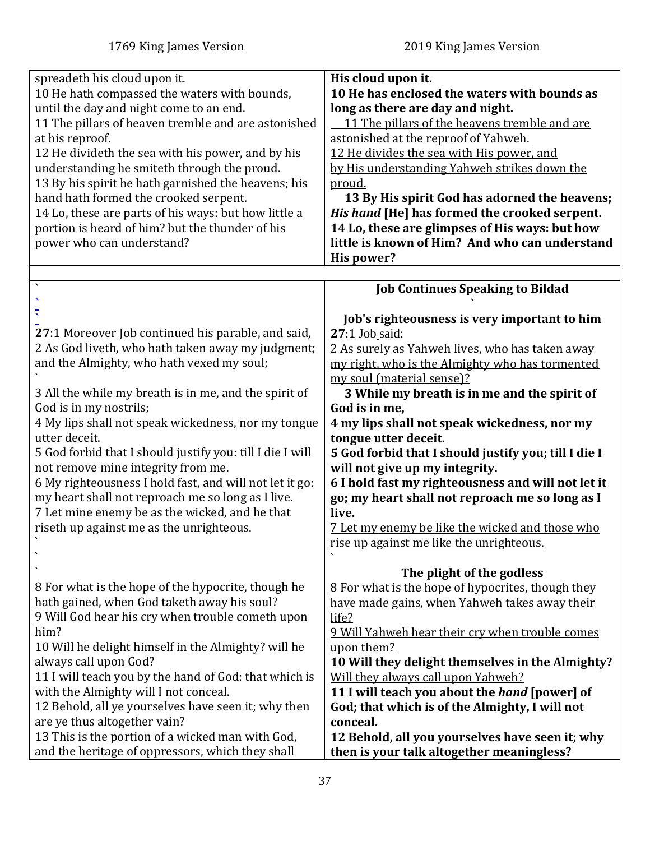<span id="page-36-0"></span>

| spreadeth his cloud upon it.                              | His cloud upon it.                                   |
|-----------------------------------------------------------|------------------------------------------------------|
| 10 He hath compassed the waters with bounds,              | 10 He has enclosed the waters with bounds as         |
| until the day and night come to an end.                   | long as there are day and night.                     |
| 11 The pillars of heaven tremble and are astonished       | 11 The pillars of the heavens tremble and are        |
|                                                           |                                                      |
| at his reproof.                                           | astonished at the reproof of Yahweh.                 |
| 12 He divideth the sea with his power, and by his         | 12 He divides the sea with His power, and            |
| understanding he smiteth through the proud.               | by His understanding Yahweh strikes down the         |
| 13 By his spirit he hath garnished the heavens; his       | proud.                                               |
| hand hath formed the crooked serpent.                     | 13 By His spirit God has adorned the heavens;        |
| 14 Lo, these are parts of his ways: but how little a      | His hand [He] has formed the crooked serpent.        |
| portion is heard of him? but the thunder of his           | 14 Lo, these are glimpses of His ways: but how       |
| power who can understand?                                 | little is known of Him? And who can understand       |
|                                                           | His power?                                           |
|                                                           |                                                      |
|                                                           | <b>Job Continues Speaking to Bildad</b>              |
|                                                           |                                                      |
|                                                           | Job's righteousness is very important to him         |
| 27:1 Moreover Job continued his parable, and said,        | 27:1 Job_said:                                       |
| 2 As God liveth, who hath taken away my judgment;         | 2 As surely as Yahweh lives, who has taken away      |
| and the Almighty, who hath vexed my soul;                 | my right, who is the Almighty who has tormented      |
|                                                           | my soul (material sense)?                            |
|                                                           |                                                      |
| 3 All the while my breath is in me, and the spirit of     | 3 While my breath is in me and the spirit of         |
| God is in my nostrils;                                    | God is in me,                                        |
| 4 My lips shall not speak wickedness, nor my tongue       | 4 my lips shall not speak wickedness, nor my         |
| utter deceit.                                             | tongue utter deceit.                                 |
| 5 God forbid that I should justify you: till I die I will | 5 God forbid that I should justify you; till I die I |
| not remove mine integrity from me.                        | will not give up my integrity.                       |
| 6 My righteousness I hold fast, and will not let it go:   | 6 I hold fast my righteousness and will not let it   |
| my heart shall not reproach me so long as I live.         | go; my heart shall not reproach me so long as I      |
| 7 Let mine enemy be as the wicked, and he that            | live.                                                |
| riseth up against me as the unrighteous.                  | 7 Let my enemy be like the wicked and those who      |
|                                                           | rise up against me like the unrighteous.             |
|                                                           |                                                      |
|                                                           | The plight of the godless                            |
| 8 For what is the hope of the hypocrite, though he        | 8 For what is the hope of hypocrites, though they    |
| hath gained, when God taketh away his soul?               | have made gains, when Yahweh takes away their        |
| 9 Will God hear his cry when trouble cometh upon          | life?                                                |
| him?                                                      | 9 Will Yahweh hear their cry when trouble comes      |
|                                                           |                                                      |
| 10 Will he delight himself in the Almighty? will he       | upon them?                                           |
| always call upon God?                                     | 10 Will they delight themselves in the Almighty?     |
| 11 I will teach you by the hand of God: that which is     | Will they always call upon Yahweh?                   |
| with the Almighty will I not conceal.                     | 11 I will teach you about the <i>hand</i> [power] of |
| 12 Behold, all ye yourselves have seen it; why then       | God; that which is of the Almighty, I will not       |
| are ye thus altogether vain?                              | conceal.                                             |
| 13 This is the portion of a wicked man with God,          | 12 Behold, all you yourselves have seen it; why      |
| and the heritage of oppressors, which they shall          | then is your talk altogether meaningless?            |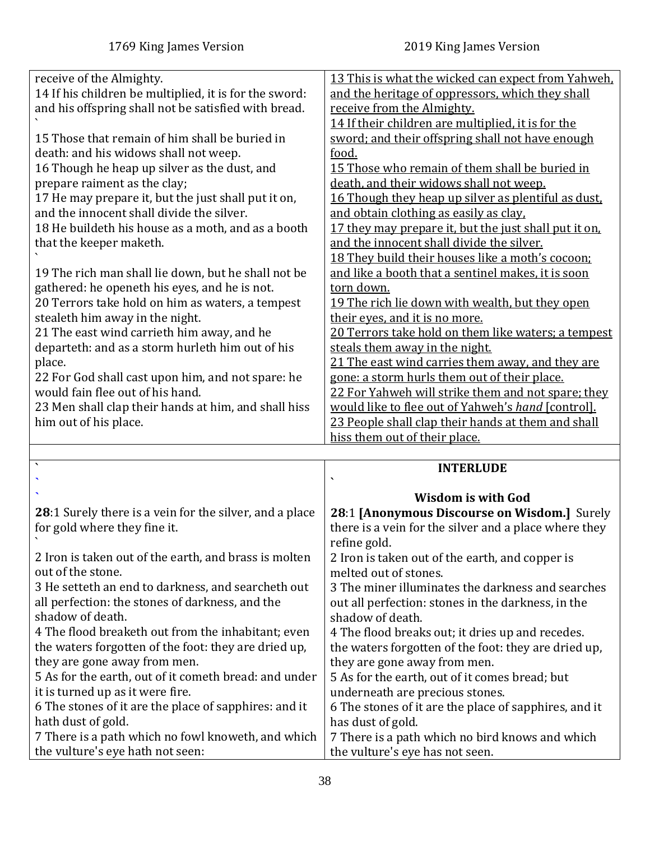<span id="page-37-0"></span>

| receive of the Almighty.                                                               | 13 This is what the wicked can expect from Yahweh.                                 |
|----------------------------------------------------------------------------------------|------------------------------------------------------------------------------------|
| 14 If his children be multiplied, it is for the sword:                                 | and the heritage of oppressors, which they shall                                   |
| and his offspring shall not be satisfied with bread.                                   | receive from the Almighty.                                                         |
|                                                                                        | 14 If their children are multiplied, it is for the                                 |
| 15 Those that remain of him shall be buried in                                         | sword; and their offspring shall not have enough                                   |
| death: and his widows shall not weep.                                                  | food.                                                                              |
| 16 Though he heap up silver as the dust, and                                           | 15 Those who remain of them shall be buried in                                     |
| prepare raiment as the clay;                                                           |                                                                                    |
|                                                                                        | death, and their widows shall not weep.                                            |
| 17 He may prepare it, but the just shall put it on,                                    | 16 Though they heap up silver as plentiful as dust,                                |
| and the innocent shall divide the silver.                                              | and obtain clothing as easily as clay.                                             |
| 18 He buildeth his house as a moth, and as a booth                                     | 17 they may prepare it, but the just shall put it on,                              |
| that the keeper maketh.                                                                | and the innocent shall divide the silver.                                          |
|                                                                                        | 18 They build their houses like a moth's cocoon;                                   |
| 19 The rich man shall lie down, but he shall not be                                    | and like a booth that a sentinel makes, it is soon                                 |
| gathered: he openeth his eyes, and he is not.                                          | torn down.                                                                         |
| 20 Terrors take hold on him as waters, a tempest                                       | 19 The rich lie down with wealth, but they open                                    |
| stealeth him away in the night.                                                        | their eyes, and it is no more.                                                     |
| 21 The east wind carrieth him away, and he                                             | 20 Terrors take hold on them like waters; a tempest                                |
| departeth: and as a storm hurleth him out of his                                       | steals them away in the night.                                                     |
| place.                                                                                 | 21 The east wind carries them away, and they are                                   |
| 22 For God shall cast upon him, and not spare: he                                      | gone: a storm hurls them out of their place.                                       |
| would fain flee out of his hand.                                                       | 22 For Yahweh will strike them and not spare; they                                 |
| 23 Men shall clap their hands at him, and shall hiss                                   | would like to flee out of Yahweh's hand [control].                                 |
|                                                                                        |                                                                                    |
|                                                                                        |                                                                                    |
| him out of his place.                                                                  | 23 People shall clap their hands at them and shall                                 |
|                                                                                        | hiss them out of their place.                                                      |
|                                                                                        |                                                                                    |
| $\overline{\phantom{a}}$                                                               | <b>INTERLUDE</b>                                                                   |
|                                                                                        |                                                                                    |
|                                                                                        | <b>Wisdom is with God</b>                                                          |
| 28:1 Surely there is a vein for the silver, and a place                                | 28:1 [Anonymous Discourse on Wisdom.] Surely                                       |
| for gold where they fine it.                                                           | there is a vein for the silver and a place where they                              |
|                                                                                        | refine gold.                                                                       |
| 2 Iron is taken out of the earth, and brass is molten                                  |                                                                                    |
| out of the stone.                                                                      | 2 Iron is taken out of the earth, and copper is<br>melted out of stones.           |
|                                                                                        | 3 The miner illuminates the darkness and searches                                  |
| 3 He setteth an end to darkness, and searcheth out                                     |                                                                                    |
| all perfection: the stones of darkness, and the                                        | out all perfection: stones in the darkness, in the                                 |
| shadow of death.                                                                       | shadow of death.                                                                   |
| 4 The flood breaketh out from the inhabitant; even                                     | 4 The flood breaks out; it dries up and recedes.                                   |
| the waters forgotten of the foot: they are dried up,                                   | the waters forgotten of the foot: they are dried up,                               |
| they are gone away from men.                                                           | they are gone away from men.                                                       |
| 5 As for the earth, out of it cometh bread: and under                                  | 5 As for the earth, out of it comes bread; but                                     |
| it is turned up as it were fire.                                                       | underneath are precious stones.                                                    |
| 6 The stones of it are the place of sapphires: and it                                  | 6 The stones of it are the place of sapphires, and it                              |
| hath dust of gold.                                                                     | has dust of gold.                                                                  |
| 7 There is a path which no fowl knoweth, and which<br>the vulture's eye hath not seen: | 7 There is a path which no bird knows and which<br>the vulture's eye has not seen. |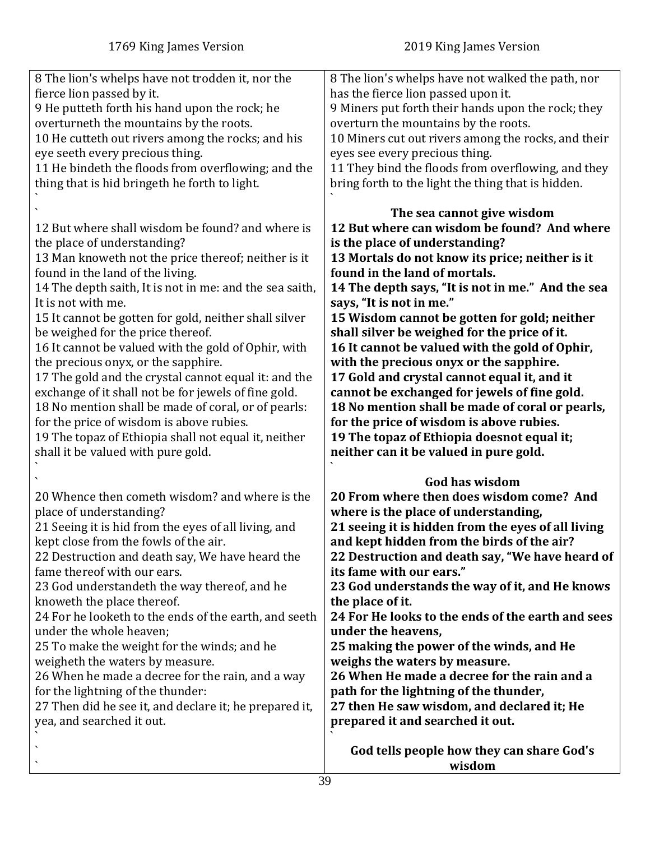`

| 8 The lion's whelps have not trodden it, nor the<br>fierce lion passed by it.<br>9 He putteth forth his hand upon the rock; he<br>overturneth the mountains by the roots.<br>10 He cutteth out rivers among the rocks; and his<br>eye seeth every precious thing.<br>11 He bindeth the floods from overflowing; and the<br>thing that is hid bringeth he forth to light.                                                                                                                                                                                                                                                                                                                                                                                                 | 8 The lion's whelps have not walked the path, nor<br>has the fierce lion passed upon it.<br>9 Miners put forth their hands upon the rock; they<br>overturn the mountains by the roots.<br>10 Miners cut out rivers among the rocks, and their<br>eyes see every precious thing.<br>11 They bind the floods from overflowing, and they<br>bring forth to the light the thing that is hidden.                                                                                                                                                                                                                                                                                                                                                                         |
|--------------------------------------------------------------------------------------------------------------------------------------------------------------------------------------------------------------------------------------------------------------------------------------------------------------------------------------------------------------------------------------------------------------------------------------------------------------------------------------------------------------------------------------------------------------------------------------------------------------------------------------------------------------------------------------------------------------------------------------------------------------------------|---------------------------------------------------------------------------------------------------------------------------------------------------------------------------------------------------------------------------------------------------------------------------------------------------------------------------------------------------------------------------------------------------------------------------------------------------------------------------------------------------------------------------------------------------------------------------------------------------------------------------------------------------------------------------------------------------------------------------------------------------------------------|
| 12 But where shall wisdom be found? and where is<br>the place of understanding?<br>13 Man knoweth not the price thereof; neither is it<br>found in the land of the living.<br>14 The depth saith, It is not in me: and the sea saith,<br>It is not with me.<br>15 It cannot be gotten for gold, neither shall silver<br>be weighed for the price thereof.<br>16 It cannot be valued with the gold of Ophir, with<br>the precious onyx, or the sapphire.<br>17 The gold and the crystal cannot equal it: and the<br>exchange of it shall not be for jewels of fine gold.<br>18 No mention shall be made of coral, or of pearls:<br>for the price of wisdom is above rubies.<br>19 The topaz of Ethiopia shall not equal it, neither<br>shall it be valued with pure gold. | The sea cannot give wisdom<br>12 But where can wisdom be found? And where<br>is the place of understanding?<br>13 Mortals do not know its price; neither is it<br>found in the land of mortals.<br>14 The depth says, "It is not in me." And the sea<br>says, "It is not in me."<br>15 Wisdom cannot be gotten for gold; neither<br>shall silver be weighed for the price of it.<br>16 It cannot be valued with the gold of Ophir,<br>with the precious onyx or the sapphire.<br>17 Gold and crystal cannot equal it, and it<br>cannot be exchanged for jewels of fine gold.<br>18 No mention shall be made of coral or pearls,<br>for the price of wisdom is above rubies.<br>19 The topaz of Ethiopia doesnot equal it;<br>neither can it be valued in pure gold. |
| 20 Whence then cometh wisdom? and where is the<br>place of understanding?<br>21 Seeing it is hid from the eyes of all living, and<br>kept close from the fowls of the air.<br>22 Destruction and death say, We have heard the<br>fame thereof with our ears.<br>23 God understandeth the way thereof, and he<br>knoweth the place thereof.<br>24 For he looketh to the ends of the earth, and seeth<br>under the whole heaven;<br>25 To make the weight for the winds; and he<br>weigheth the waters by measure.<br>26 When he made a decree for the rain, and a way<br>for the lightning of the thunder:<br>27 Then did he see it, and declare it; he prepared it,<br>yea, and searched it out.                                                                         | <b>God has wisdom</b><br>20 From where then does wisdom come? And<br>where is the place of understanding,<br>21 seeing it is hidden from the eyes of all living<br>and kept hidden from the birds of the air?<br>22 Destruction and death say, "We have heard of<br>its fame with our ears."<br>23 God understands the way of it, and He knows<br>the place of it.<br>24 For He looks to the ends of the earth and sees<br>under the heavens,<br>25 making the power of the winds, and He<br>weighs the waters by measure.<br>26 When He made a decree for the rain and a<br>path for the lightning of the thunder,<br>27 then He saw wisdom, and declared it; He<br>prepared it and searched it out.<br>God tells people how they can share God's                  |

39

**wisdom**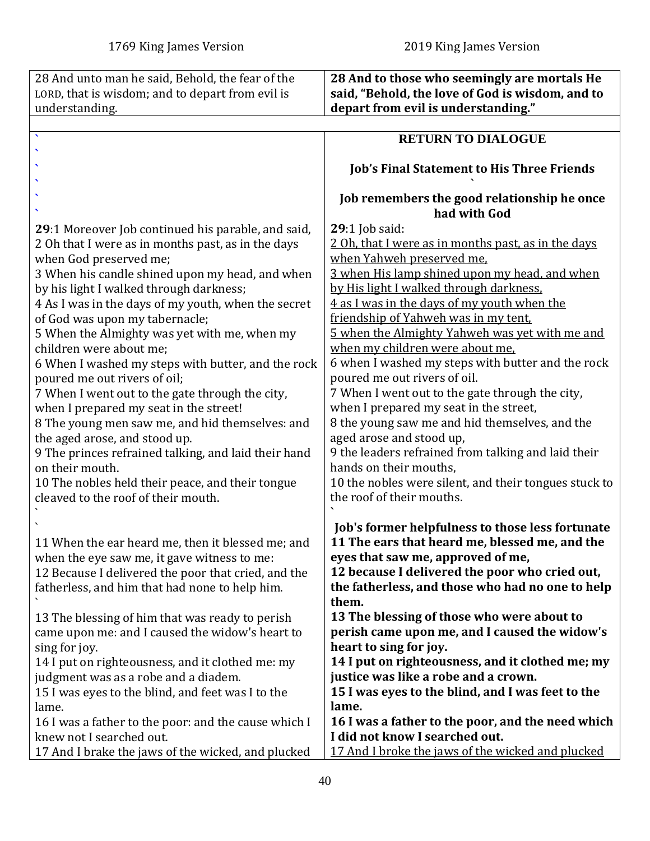<span id="page-39-0"></span>

| 28 And unto man he said, Behold, the fear of the                                 | 28 And to those who seemingly are mortals He          |
|----------------------------------------------------------------------------------|-------------------------------------------------------|
| LORD, that is wisdom; and to depart from evil is                                 | said, "Behold, the love of God is wisdom, and to      |
| understanding.                                                                   | depart from evil is understanding."                   |
|                                                                                  |                                                       |
|                                                                                  | <b>RETURN TO DIALOGUE</b>                             |
|                                                                                  |                                                       |
|                                                                                  | <b>Job's Final Statement to His Three Friends</b>     |
|                                                                                  |                                                       |
|                                                                                  | Job remembers the good relationship he once           |
|                                                                                  | had with God                                          |
| <b>29</b> :1 Moreover Job continued his parable, and said,                       | $29:1$ Job said:                                      |
| 2 Oh that I were as in months past, as in the days                               | 2 Oh, that I were as in months past, as in the days   |
| when God preserved me;                                                           | when Yahweh preserved me.                             |
| 3 When his candle shined upon my head, and when                                  | 3 when His lamp shined upon my head, and when         |
| by his light I walked through darkness;                                          | by His light I walked through darkness.               |
| 4 As I was in the days of my youth, when the secret                              | 4 as I was in the days of my youth when the           |
| of God was upon my tabernacle;                                                   | friendship of Yahweh was in my tent,                  |
| 5 When the Almighty was yet with me, when my                                     | 5 when the Almighty Yahweh was yet with me and        |
| children were about me;                                                          | when my children were about me.                       |
| 6 When I washed my steps with butter, and the rock                               | 6 when I washed my steps with butter and the rock     |
| poured me out rivers of oil;                                                     | poured me out rivers of oil.                          |
| 7 When I went out to the gate through the city,                                  | 7 When I went out to the gate through the city,       |
| when I prepared my seat in the street!                                           | when I prepared my seat in the street,                |
| 8 The young men saw me, and hid themselves: and                                  | 8 the young saw me and hid themselves, and the        |
| the aged arose, and stood up.                                                    | aged arose and stood up,                              |
| 9 The princes refrained talking, and laid their hand                             | 9 the leaders refrained from talking and laid their   |
| on their mouth.                                                                  | hands on their mouths,                                |
| 10 The nobles held their peace, and their tongue                                 | 10 the nobles were silent, and their tongues stuck to |
| cleaved to the roof of their mouth.                                              | the roof of their mouths.                             |
|                                                                                  |                                                       |
|                                                                                  | Job's former helpfulness to those less fortunate      |
| 11 When the ear heard me, then it blessed me; and                                | 11 The ears that heard me, blessed me, and the        |
| when the eye saw me, it gave witness to me:                                      | eyes that saw me, approved of me,                     |
| 12 Because I delivered the poor that cried, and the                              | 12 because I delivered the poor who cried out,        |
| fatherless, and him that had none to help him.                                   | the fatherless, and those who had no one to help      |
|                                                                                  | them.                                                 |
| 13 The blessing of him that was ready to perish                                  | 13 The blessing of those who were about to            |
| came upon me: and I caused the widow's heart to                                  | perish came upon me, and I caused the widow's         |
| sing for joy.                                                                    | heart to sing for joy.                                |
| 14 I put on righteousness, and it clothed me: my                                 | 14 I put on righteousness, and it clothed me; my      |
| judgment was as a robe and a diadem.                                             | justice was like a robe and a crown.                  |
| 15 I was eyes to the blind, and feet was I to the                                | 15 I was eyes to the blind, and I was feet to the     |
| lame.                                                                            | lame.                                                 |
|                                                                                  | 16 I was a father to the poor, and the need which     |
| 16 I was a father to the poor: and the cause which I<br>knew not I searched out. | I did not know I searched out.                        |
| 17 And I brake the jaws of the wicked, and plucked                               | 17 And I broke the jaws of the wicked and plucked     |
|                                                                                  |                                                       |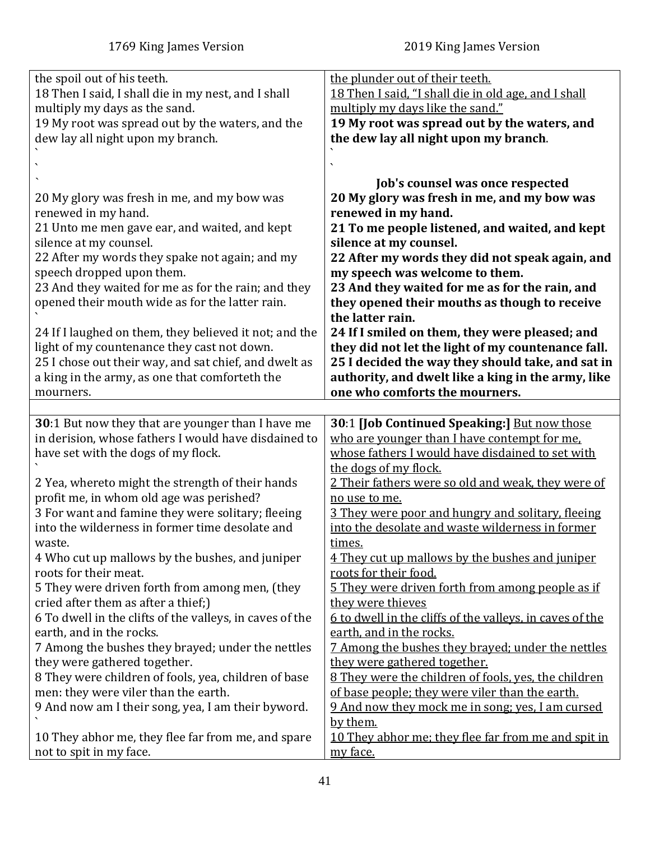<span id="page-40-0"></span>

| the spoil out of his teeth.                                                   | the plunder out of their teeth.                                 |
|-------------------------------------------------------------------------------|-----------------------------------------------------------------|
| 18 Then I said, I shall die in my nest, and I shall                           | 18 Then I said, "I shall die in old age, and I shall            |
| multiply my days as the sand.                                                 | multiply my days like the sand."                                |
| 19 My root was spread out by the waters, and the                              | 19 My root was spread out by the waters, and                    |
| dew lay all night upon my branch.                                             | the dew lay all night upon my branch.                           |
|                                                                               |                                                                 |
|                                                                               |                                                                 |
|                                                                               | Job's counsel was once respected                                |
| 20 My glory was fresh in me, and my bow was                                   | 20 My glory was fresh in me, and my bow was                     |
| renewed in my hand.                                                           | renewed in my hand.                                             |
| 21 Unto me men gave ear, and waited, and kept                                 | 21 To me people listened, and waited, and kept                  |
| silence at my counsel.                                                        | silence at my counsel.                                          |
| 22 After my words they spake not again; and my                                | 22 After my words they did not speak again, and                 |
| speech dropped upon them.                                                     | my speech was welcome to them.                                  |
| 23 And they waited for me as for the rain; and they                           | 23 And they waited for me as for the rain, and                  |
| opened their mouth wide as for the latter rain.                               | they opened their mouths as though to receive                   |
|                                                                               | the latter rain.                                                |
| 24 If I laughed on them, they believed it not; and the                        | 24 If I smiled on them, they were pleased; and                  |
| light of my countenance they cast not down.                                   | they did not let the light of my countenance fall.              |
| 25 I chose out their way, and sat chief, and dwelt as                         |                                                                 |
|                                                                               | 25 I decided the way they should take, and sat in               |
| a king in the army, as one that comforteth the                                | authority, and dwelt like a king in the army, like              |
| mourners.                                                                     | one who comforts the mourners.                                  |
|                                                                               |                                                                 |
|                                                                               |                                                                 |
| 30:1 But now they that are younger than I have me                             | 30:1 [Job Continued Speaking:] But now those                    |
| in derision, whose fathers I would have disdained to                          | who are younger than I have contempt for me.                    |
| have set with the dogs of my flock.                                           | whose fathers I would have disdained to set with                |
|                                                                               | the dogs of my flock.                                           |
| 2 Yea, whereto might the strength of their hands                              | 2 Their fathers were so old and weak, they were of              |
| profit me, in whom old age was perished?                                      | no use to me.                                                   |
| 3 For want and famine they were solitary; fleeing                             | 3 They were poor and hungry and solitary, fleeing               |
| into the wilderness in former time desolate and                               | into the desolate and waste wilderness in former                |
| waste.                                                                        | times.                                                          |
| 4 Who cut up mallows by the bushes, and juniper                               | 4 They cut up mallows by the bushes and juniper                 |
| roots for their meat.                                                         | roots for their food.                                           |
| 5 They were driven forth from among men, (they                                | 5 They were driven forth from among people as if                |
| cried after them as after a thief;)                                           | they were thieves                                               |
| 6 To dwell in the clifts of the valleys, in caves of the                      | 6 to dwell in the cliffs of the valleys, in caves of the        |
| earth, and in the rocks.                                                      | earth, and in the rocks.                                        |
| 7 Among the bushes they brayed; under the nettles                             | 7 Among the bushes they brayed; under the nettles               |
| they were gathered together.                                                  | they were gathered together.                                    |
|                                                                               | 8 They were the children of fools, yes, the children            |
| 8 They were children of fools, yea, children of base                          |                                                                 |
| men: they were viler than the earth.                                          | of base people; they were viler than the earth.                 |
| 9 And now am I their song, yea, I am their byword.                            | 9 And now they mock me in song; yes, I am cursed                |
|                                                                               | by them.                                                        |
| 10 They abhor me, they flee far from me, and spare<br>not to spit in my face. | 10 They abhor me; they flee far from me and spit in<br>my face. |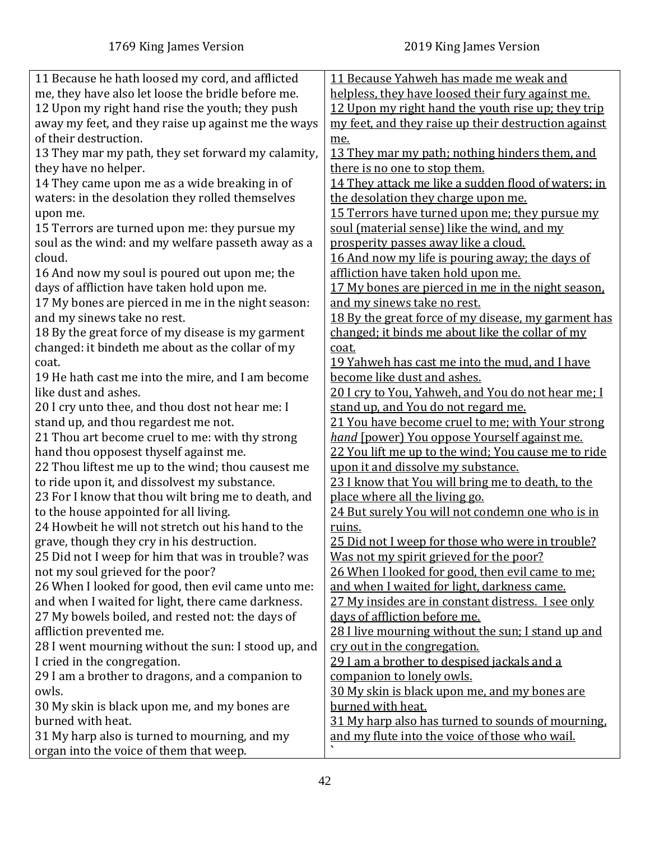| 11 Because he hath loosed my cord, and afflicted    | 11 Because Yahweh has made me weak and                    |
|-----------------------------------------------------|-----------------------------------------------------------|
| me, they have also let loose the bridle before me.  | helpless, they have loosed their fury against me.         |
| 12 Upon my right hand rise the youth; they push     | 12 Upon my right hand the youth rise up; they trip        |
| away my feet, and they raise up against me the ways | my feet, and they raise up their destruction against      |
| of their destruction.                               | me.                                                       |
| 13 They mar my path, they set forward my calamity,  | 13 They mar my path; nothing hinders them, and            |
|                                                     | there is no one to stop them.                             |
| they have no helper.                                |                                                           |
| 14 They came upon me as a wide breaking in of       | 14 They attack me like a sudden flood of waters; in       |
| waters: in the desolation they rolled themselves    | the desolation they charge upon me.                       |
| upon me.                                            | 15 Terrors have turned upon me; they pursue my            |
| 15 Terrors are turned upon me: they pursue my       | soul (material sense) like the wind, and my               |
| soul as the wind: and my welfare passeth away as a  | prosperity passes away like a cloud.                      |
| cloud.                                              | 16 And now my life is pouring away; the days of           |
| 16 And now my soul is poured out upon me; the       | affliction have taken hold upon me.                       |
| days of affliction have taken hold upon me.         | <u>17 My bones are pierced in me in the night season.</u> |
| 17 My bones are pierced in me in the night season:  | and my sinews take no rest.                               |
| and my sinews take no rest.                         | 18 By the great force of my disease, my garment has       |
| 18 By the great force of my disease is my garment   | changed; it binds me about like the collar of my          |
| changed: it bindeth me about as the collar of my    | coat.                                                     |
| coat.                                               | <u>19 Yahweh has cast me into the mud, and I have</u>     |
| 19 He hath cast me into the mire, and I am become   | become like dust and ashes.                               |
| like dust and ashes.                                | 20 I cry to You, Yahweh, and You do not hear me; I        |
| 20 I cry unto thee, and thou dost not hear me: I    | stand up, and You do not regard me.                       |
| stand up, and thou regardest me not.                | 21 You have become cruel to me; with Your strong          |
| 21 Thou art become cruel to me: with thy strong     | hand [power] You oppose Yourself against me.              |
| hand thou opposest thyself against me.              | 22 You lift me up to the wind; You cause me to ride       |
| 22 Thou liftest me up to the wind; thou causest me  | upon it and dissolve my substance.                        |
| to ride upon it, and dissolvest my substance.       | 23 I know that You will bring me to death, to the         |
| 23 For I know that thou wilt bring me to death, and | place where all the living go.                            |
| to the house appointed for all living.              | 24 But surely You will not condemn one who is in          |
| 24 Howbeit he will not stretch out his hand to the  | ruins.                                                    |
| grave, though they cry in his destruction.          | 25 Did not I weep for those who were in trouble?          |
| 25 Did not I weep for him that was in trouble? was  | Was not my spirit grieved for the poor?                   |
| not my soul grieved for the poor?                   | 26 When I looked for good, then evil came to me:          |
| 26 When I looked for good, then evil came unto me:  | and when I waited for light, darkness came.               |
| and when I waited for light, there came darkness.   | 27 My insides are in constant distress. I see only        |
| 27 My bowels boiled, and rested not: the days of    | days of affliction before me.                             |
| affliction prevented me.                            | 28 I live mourning without the sun; I stand up and        |
| 28 I went mourning without the sun: I stood up, and | cry out in the congregation.                              |
| I cried in the congregation.                        | 29 I am a brother to despised jackals and a               |
| 29 I am a brother to dragons, and a companion to    | companion to lonely owls.                                 |
| owls.                                               | 30 My skin is black upon me, and my bones are             |
| 30 My skin is black upon me, and my bones are       | burned with heat.                                         |
| burned with heat.                                   | 31 My harp also has turned to sounds of mourning.         |
| 31 My harp also is turned to mourning, and my       | and my flute into the voice of those who wail.            |
| organ into the voice of them that weep.             |                                                           |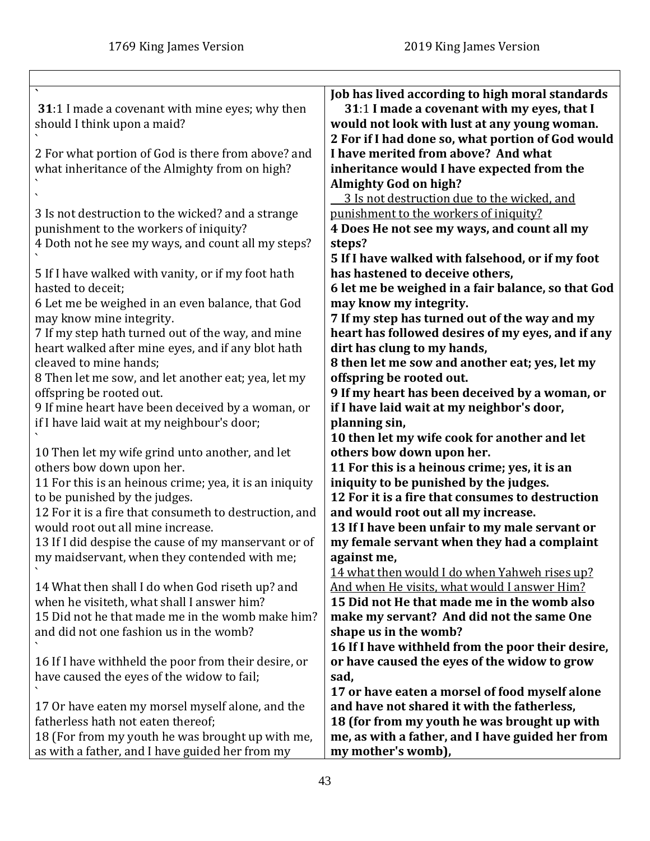<span id="page-42-0"></span>

| <b>31</b> :1 I made a covenant with mine eyes; why then<br>should I think upon a maid?               | Job has lived according to high moral standards<br>31:1 I made a covenant with my eyes, that I<br>would not look with lust at any young woman.<br>2 For if I had done so, what portion of God would |
|------------------------------------------------------------------------------------------------------|-----------------------------------------------------------------------------------------------------------------------------------------------------------------------------------------------------|
| 2 For what portion of God is there from above? and<br>what inheritance of the Almighty from on high? | I have merited from above? And what<br>inheritance would I have expected from the<br><b>Almighty God on high?</b><br>3 Is not destruction due to the wicked, and                                    |
| 3 Is not destruction to the wicked? and a strange                                                    | punishment to the workers of iniquity?                                                                                                                                                              |
| punishment to the workers of iniquity?                                                               | 4 Does He not see my ways, and count all my                                                                                                                                                         |
| 4 Doth not he see my ways, and count all my steps?                                                   | steps?                                                                                                                                                                                              |
|                                                                                                      | 5 If I have walked with falsehood, or if my foot                                                                                                                                                    |
| 5 If I have walked with vanity, or if my foot hath                                                   | has hastened to deceive others,                                                                                                                                                                     |
| hasted to deceit;                                                                                    | 6 let me be weighed in a fair balance, so that God                                                                                                                                                  |
| 6 Let me be weighed in an even balance, that God                                                     | may know my integrity.                                                                                                                                                                              |
| may know mine integrity.                                                                             | 7 If my step has turned out of the way and my                                                                                                                                                       |
| 7 If my step hath turned out of the way, and mine                                                    | heart has followed desires of my eyes, and if any                                                                                                                                                   |
| heart walked after mine eyes, and if any blot hath                                                   | dirt has clung to my hands,                                                                                                                                                                         |
| cleaved to mine hands;                                                                               | 8 then let me sow and another eat; yes, let my                                                                                                                                                      |
| 8 Then let me sow, and let another eat; yea, let my                                                  | offspring be rooted out.                                                                                                                                                                            |
| offspring be rooted out.                                                                             | 9 If my heart has been deceived by a woman, or                                                                                                                                                      |
| 9 If mine heart have been deceived by a woman, or                                                    | if I have laid wait at my neighbor's door,                                                                                                                                                          |
| if I have laid wait at my neighbour's door;                                                          | planning sin,                                                                                                                                                                                       |
|                                                                                                      | 10 then let my wife cook for another and let                                                                                                                                                        |
| 10 Then let my wife grind unto another, and let<br>others bow down upon her.                         | others bow down upon her.<br>11 For this is a heinous crime; yes, it is an                                                                                                                          |
| 11 For this is an heinous crime; yea, it is an iniquity                                              | iniquity to be punished by the judges.                                                                                                                                                              |
| to be punished by the judges.                                                                        | 12 For it is a fire that consumes to destruction                                                                                                                                                    |
| 12 For it is a fire that consumeth to destruction, and                                               | and would root out all my increase.                                                                                                                                                                 |
| would root out all mine increase.                                                                    | 13 If I have been unfair to my male servant or                                                                                                                                                      |
| 13 If I did despise the cause of my manservant or of                                                 | my female servant when they had a complaint                                                                                                                                                         |
| my maidservant, when they contended with me;                                                         | against me,                                                                                                                                                                                         |
|                                                                                                      | 14 what then would I do when Yahweh rises up?                                                                                                                                                       |
| 14 What then shall I do when God riseth up? and                                                      | And when He visits, what would I answer Him?                                                                                                                                                        |
| when he visiteth, what shall I answer him?                                                           | 15 Did not He that made me in the womb also                                                                                                                                                         |
| 15 Did not he that made me in the womb make him?                                                     | make my servant? And did not the same One                                                                                                                                                           |
| and did not one fashion us in the womb?                                                              | shape us in the womb?                                                                                                                                                                               |
|                                                                                                      | 16 If I have withheld from the poor their desire,                                                                                                                                                   |
| 16 If I have withheld the poor from their desire, or                                                 | or have caused the eyes of the widow to grow                                                                                                                                                        |
| have caused the eyes of the widow to fail;                                                           | sad,                                                                                                                                                                                                |
|                                                                                                      | 17 or have eaten a morsel of food myself alone                                                                                                                                                      |
| 17 Or have eaten my morsel myself alone, and the<br>fatherless hath not eaten thereof;               | and have not shared it with the fatherless,                                                                                                                                                         |
| 18 (For from my youth he was brought up with me,                                                     | 18 (for from my youth he was brought up with<br>me, as with a father, and I have guided her from                                                                                                    |
| as with a father, and I have guided her from my                                                      | my mother's womb),                                                                                                                                                                                  |
|                                                                                                      |                                                                                                                                                                                                     |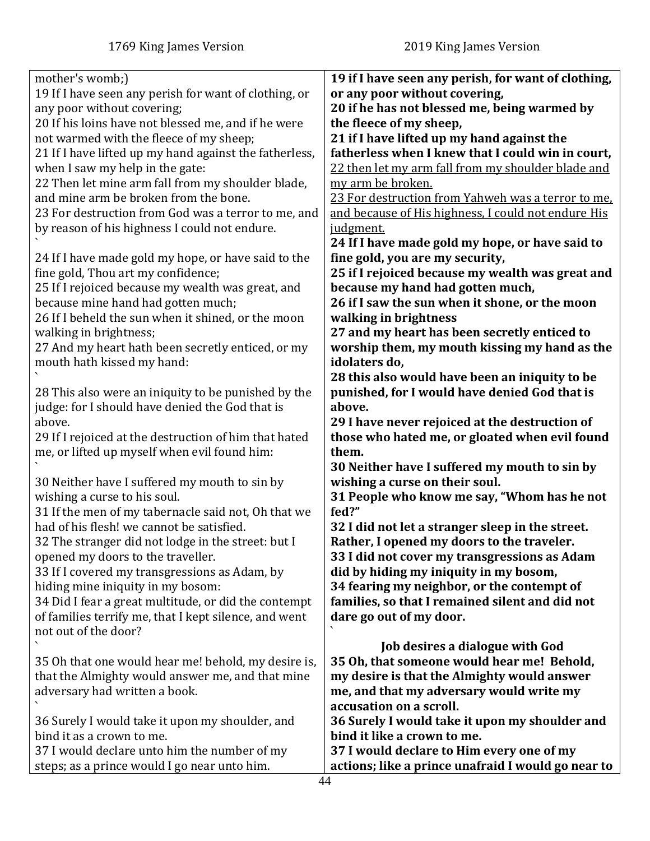| mother's womb;)                                                              | 19 if I have seen any perish, for want of clothing,                           |
|------------------------------------------------------------------------------|-------------------------------------------------------------------------------|
| 19 If I have seen any perish for want of clothing, or                        | or any poor without covering,                                                 |
| any poor without covering;                                                   | 20 if he has not blessed me, being warmed by                                  |
| 20 If his loins have not blessed me, and if he were                          | the fleece of my sheep,                                                       |
| not warmed with the fleece of my sheep;                                      | 21 if I have lifted up my hand against the                                    |
| 21 If I have lifted up my hand against the fatherless,                       | fatherless when I knew that I could win in court,                             |
| when I saw my help in the gate:                                              | 22 then let my arm fall from my shoulder blade and                            |
| 22 Then let mine arm fall from my shoulder blade,                            | my arm be broken.                                                             |
| and mine arm be broken from the bone.                                        | 23 For destruction from Yahweh was a terror to me.                            |
| 23 For destruction from God was a terror to me, and                          | and because of His highness, I could not endure His                           |
| by reason of his highness I could not endure.                                | <u>judgment.</u>                                                              |
|                                                                              | 24 If I have made gold my hope, or have said to                               |
| 24 If I have made gold my hope, or have said to the                          | fine gold, you are my security,                                               |
| fine gold, Thou art my confidence;                                           | 25 if I rejoiced because my wealth was great and                              |
| 25 If I rejoiced because my wealth was great, and                            | because my hand had gotten much,                                              |
| because mine hand had gotten much;                                           | 26 if I saw the sun when it shone, or the moon                                |
| 26 If I beheld the sun when it shined, or the moon                           | walking in brightness                                                         |
| walking in brightness;                                                       | 27 and my heart has been secretly enticed to                                  |
| 27 And my heart hath been secretly enticed, or my                            | worship them, my mouth kissing my hand as the                                 |
| mouth hath kissed my hand:                                                   | idolaters do,                                                                 |
|                                                                              | 28 this also would have been an iniquity to be                                |
| 28 This also were an iniquity to be punished by the                          | punished, for I would have denied God that is                                 |
| judge: for I should have denied the God that is                              | above.                                                                        |
| above.                                                                       | 29 I have never rejoiced at the destruction of                                |
| 29 If I rejoiced at the destruction of him that hated                        | those who hated me, or gloated when evil found                                |
| me, or lifted up myself when evil found him:                                 | them.                                                                         |
|                                                                              | 30 Neither have I suffered my mouth to sin by                                 |
| 30 Neither have I suffered my mouth to sin by                                | wishing a curse on their soul.                                                |
| wishing a curse to his soul.                                                 | 31 People who know me say, "Whom has he not                                   |
| 31 If the men of my tabernacle said not, Oh that we                          | fed?"                                                                         |
| had of his flesh! we cannot be satisfied.                                    | 32 I did not let a stranger sleep in the street.                              |
| 32 The stranger did not lodge in the street: but I                           | Rather, I opened my doors to the traveler.                                    |
| opened my doors to the traveller.                                            | 33 I did not cover my transgressions as Adam                                  |
| 33 If I covered my transgressions as Adam, by                                | did by hiding my iniquity in my bosom,                                        |
| hiding mine iniquity in my bosom:                                            | 34 fearing my neighbor, or the contempt of                                    |
| 34 Did I fear a great multitude, or did the contempt                         | families, so that I remained silent and did not                               |
| of families terrify me, that I kept silence, and went                        | dare go out of my door.                                                       |
| not out of the door?                                                         |                                                                               |
|                                                                              | Job desires a dialogue with God                                               |
| 35 Oh that one would hear me! behold, my desire is,                          | 35 Oh, that someone would hear me! Behold,                                    |
| that the Almighty would answer me, and that mine                             | my desire is that the Almighty would answer                                   |
| adversary had written a book.                                                | me, and that my adversary would write my<br>accusation on a scroll.           |
|                                                                              |                                                                               |
| 36 Surely I would take it upon my shoulder, and<br>bind it as a crown to me. | 36 Surely I would take it upon my shoulder and<br>bind it like a crown to me. |
|                                                                              | 37 I would declare to Him every one of my                                     |
| 37 I would declare unto him the number of my                                 |                                                                               |
| steps; as a prince would I go near unto him.                                 | actions; like a prince unafraid I would go near to                            |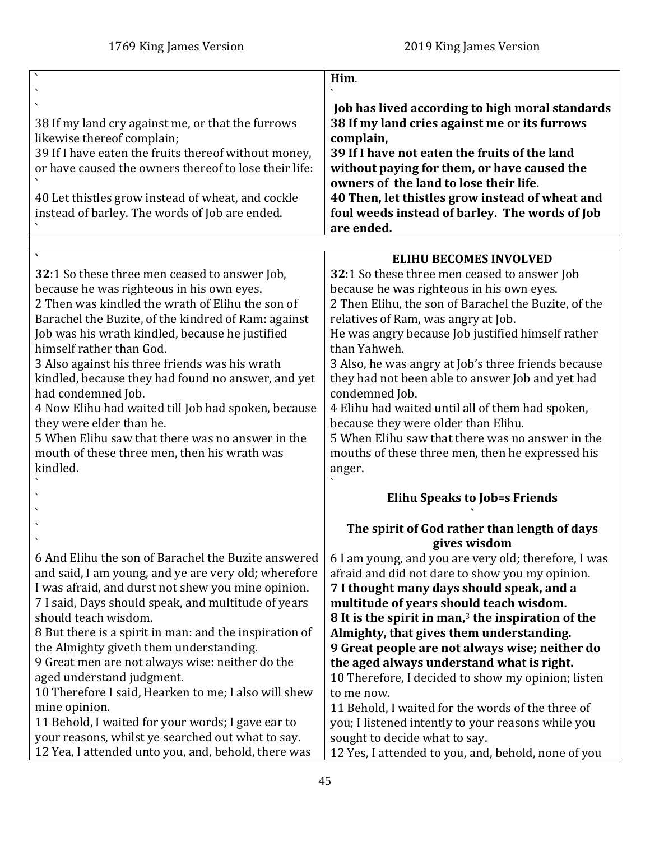<span id="page-44-0"></span>

| Him.                                                                                                                                                                                                                                                                                                                                                                                                                                                                                                                                                                                                                                                                       |
|----------------------------------------------------------------------------------------------------------------------------------------------------------------------------------------------------------------------------------------------------------------------------------------------------------------------------------------------------------------------------------------------------------------------------------------------------------------------------------------------------------------------------------------------------------------------------------------------------------------------------------------------------------------------------|
| Job has lived according to high moral standards<br>38 If my land cries against me or its furrows<br>complain,<br>39 If I have not eaten the fruits of the land<br>without paying for them, or have caused the<br>owners of the land to lose their life.<br>40 Then, let thistles grow instead of wheat and<br>foul weeds instead of barley. The words of Job<br>are ended.                                                                                                                                                                                                                                                                                                 |
|                                                                                                                                                                                                                                                                                                                                                                                                                                                                                                                                                                                                                                                                            |
| <b>ELIHU BECOMES INVOLVED</b><br>32:1 So these three men ceased to answer Job<br>because he was righteous in his own eyes.<br>2 Then Elihu, the son of Barachel the Buzite, of the<br>relatives of Ram, was angry at Job.<br>He was angry because Job justified himself rather<br>than Yahweh.<br>3 Also, he was angry at Job's three friends because<br>they had not been able to answer Job and yet had<br>condemned Job.<br>4 Elihu had waited until all of them had spoken,<br>because they were older than Elihu.<br>5 When Elihu saw that there was no answer in the<br>mouths of these three men, then he expressed his<br>anger.                                   |
| <b>Elihu Speaks to Job=s Friends</b>                                                                                                                                                                                                                                                                                                                                                                                                                                                                                                                                                                                                                                       |
| The spirit of God rather than length of days<br>gives wisdom                                                                                                                                                                                                                                                                                                                                                                                                                                                                                                                                                                                                               |
| 6 I am young, and you are very old; therefore, I was<br>afraid and did not dare to show you my opinion.<br>7 I thought many days should speak, and a<br>multitude of years should teach wisdom.<br>8 It is the spirit in man, $3$ the inspiration of the<br>Almighty, that gives them understanding.<br>9 Great people are not always wise; neither do<br>the aged always understand what is right.<br>10 Therefore, I decided to show my opinion; listen<br>to me now.<br>11 Behold, I waited for the words of the three of<br>you; I listened intently to your reasons while you<br>sought to decide what to say.<br>12 Yes, I attended to you, and, behold, none of you |
|                                                                                                                                                                                                                                                                                                                                                                                                                                                                                                                                                                                                                                                                            |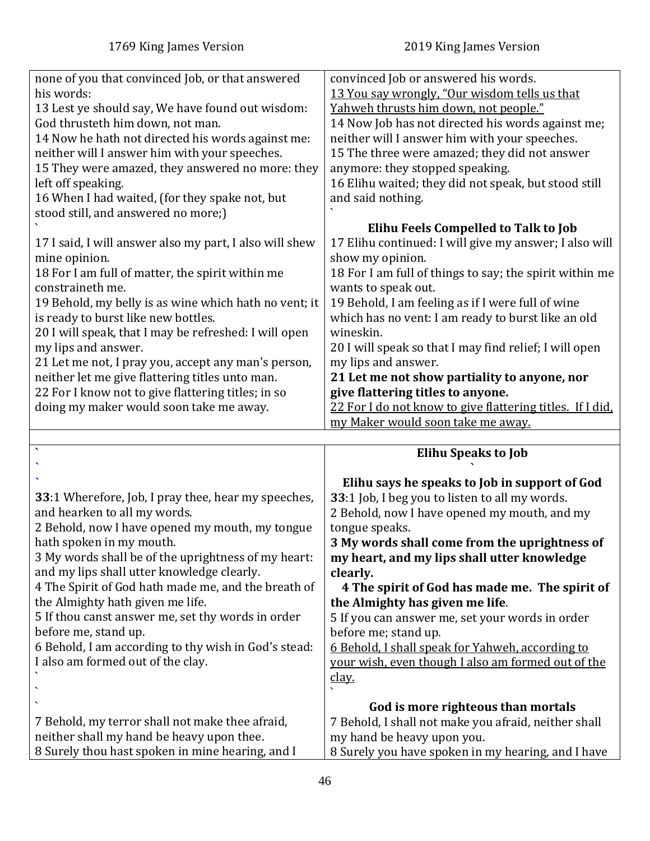<span id="page-45-0"></span> $\ddot{\phantom{0}}$ 

| none of you that convinced Job, or that answered<br>his words:<br>13 Lest ye should say, We have found out wisdom:<br>God thrusteth him down, not man.<br>14 Now he hath not directed his words against me:<br>neither will I answer him with your speeches.<br>15 They were amazed, they answered no more: they<br>left off speaking.<br>16 When I had waited, (for they spake not, but<br>stood still, and answered no more;)<br>17 I said, I will answer also my part, I also will shew<br>mine opinion.<br>18 For I am full of matter, the spirit within me<br>constraineth me.<br>19 Behold, my belly is as wine which hath no vent; it<br>is ready to burst like new bottles.<br>20 I will speak, that I may be refreshed: I will open<br>my lips and answer.<br>21 Let me not, I pray you, accept any man's person,<br>neither let me give flattering titles unto man.<br>22 For I know not to give flattering titles; in so<br>doing my maker would soon take me away. | convinced Job or answered his words.<br>13 You say wrongly, "Our wisdom tells us that<br>Yahweh thrusts him down, not people."<br>14 Now Job has not directed his words against me;<br>neither will I answer him with your speeches.<br>15 The three were amazed; they did not answer<br>anymore: they stopped speaking.<br>16 Elihu waited; they did not speak, but stood still<br>and said nothing.<br>Elihu Feels Compelled to Talk to Job<br>17 Elihu continued: I will give my answer; I also will<br>show my opinion.<br>18 For I am full of things to say; the spirit within me<br>wants to speak out.<br>19 Behold, I am feeling as if I were full of wine<br>which has no vent: I am ready to burst like an old<br>wineskin.<br>20 I will speak so that I may find relief; I will open<br>my lips and answer.<br>21 Let me not show partiality to anyone, nor<br>give flattering titles to anyone.<br>22 For I do not know to give flattering titles. If I did,<br>my Maker would soon take me away. |
|--------------------------------------------------------------------------------------------------------------------------------------------------------------------------------------------------------------------------------------------------------------------------------------------------------------------------------------------------------------------------------------------------------------------------------------------------------------------------------------------------------------------------------------------------------------------------------------------------------------------------------------------------------------------------------------------------------------------------------------------------------------------------------------------------------------------------------------------------------------------------------------------------------------------------------------------------------------------------------|---------------------------------------------------------------------------------------------------------------------------------------------------------------------------------------------------------------------------------------------------------------------------------------------------------------------------------------------------------------------------------------------------------------------------------------------------------------------------------------------------------------------------------------------------------------------------------------------------------------------------------------------------------------------------------------------------------------------------------------------------------------------------------------------------------------------------------------------------------------------------------------------------------------------------------------------------------------------------------------------------------------|
|                                                                                                                                                                                                                                                                                                                                                                                                                                                                                                                                                                                                                                                                                                                                                                                                                                                                                                                                                                                |                                                                                                                                                                                                                                                                                                                                                                                                                                                                                                                                                                                                                                                                                                                                                                                                                                                                                                                                                                                                               |
| $\sqrt{2}$                                                                                                                                                                                                                                                                                                                                                                                                                                                                                                                                                                                                                                                                                                                                                                                                                                                                                                                                                                     | <b>Elihu Speaks to Job</b>                                                                                                                                                                                                                                                                                                                                                                                                                                                                                                                                                                                                                                                                                                                                                                                                                                                                                                                                                                                    |
| 33:1 Wherefore, Job, I pray thee, hear my speeches,<br>and hearken to all my words.<br>2 Behold, now I have opened my mouth, my tongue<br>hath spoken in my mouth.<br>3 My words shall be of the uprightness of my heart:<br>and my lips shall utter knowledge clearly.<br>4 The Spirit of God hath made me, and the breath of<br>the Almighty hath given me life.<br>5 If thou canst answer me, set thy words in order<br>before me, stand up.<br>6 Behold, I am according to thy wish in God's stead:<br>I also am formed out of the clay.                                                                                                                                                                                                                                                                                                                                                                                                                                   | Elihu says he speaks to Job in support of God<br>33:1 Job, I beg you to listen to all my words.<br>2 Behold, now I have opened my mouth, and my<br>tongue speaks.<br>3 My words shall come from the uprightness of<br>my heart, and my lips shall utter knowledge<br>clearly.<br>4 The spirit of God has made me. The spirit of<br>the Almighty has given me life.<br>5 If you can answer me, set your words in order<br>before me; stand up.<br>6 Behold, I shall speak for Yahweh, according to<br>your wish, even though I also am formed out of the                                                                                                                                                                                                                                                                                                                                                                                                                                                       |

your wish, even though I also am formed out of the clay.

| $\frac{u}{u}$                                        |
|------------------------------------------------------|
| God is more righteous than mortals                   |
| 7 Behold, I shall not make you afraid, neither shall |
| my hand be heavy upon you.                           |
| 8 Surely you have spoken in my hearing, and I have   |
|                                                      |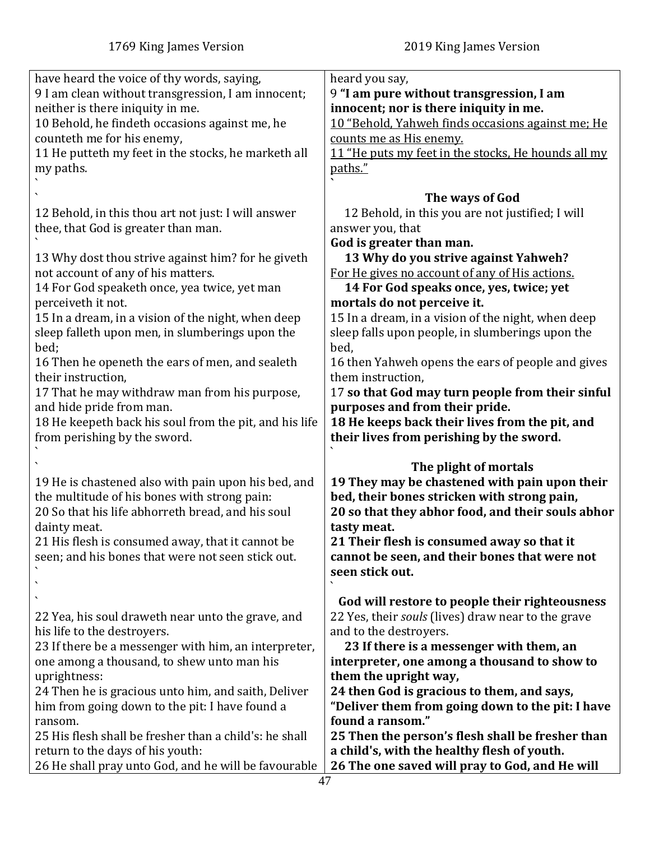| have heard the voice of thy words, saying,<br>9 I am clean without transgression, I am innocent;<br>neither is there iniquity in me.<br>10 Behold, he findeth occasions against me, he<br>counteth me for his enemy,<br>11 He putteth my feet in the stocks, he marketh all<br>my paths.                                                                                                                                                                                                                                        | heard you say,<br>9 "I am pure without transgression, I am<br>innocent; nor is there iniquity in me.<br>10 "Behold, Yahweh finds occasions against me; He<br>counts me as His enemy.<br>11 "He puts my feet in the stocks, He hounds all my<br>paths."                                                                                                                                                                                                                                                                                           |
|---------------------------------------------------------------------------------------------------------------------------------------------------------------------------------------------------------------------------------------------------------------------------------------------------------------------------------------------------------------------------------------------------------------------------------------------------------------------------------------------------------------------------------|--------------------------------------------------------------------------------------------------------------------------------------------------------------------------------------------------------------------------------------------------------------------------------------------------------------------------------------------------------------------------------------------------------------------------------------------------------------------------------------------------------------------------------------------------|
| 12 Behold, in this thou art not just: I will answer<br>thee, that God is greater than man.                                                                                                                                                                                                                                                                                                                                                                                                                                      | The ways of God<br>12 Behold, in this you are not justified; I will<br>answer you, that<br>God is greater than man.                                                                                                                                                                                                                                                                                                                                                                                                                              |
| 13 Why dost thou strive against him? for he giveth<br>not account of any of his matters.<br>14 For God speaketh once, yea twice, yet man<br>perceiveth it not.<br>15 In a dream, in a vision of the night, when deep<br>sleep falleth upon men, in slumberings upon the<br>bed;<br>16 Then he openeth the ears of men, and sealeth<br>their instruction,<br>17 That he may withdraw man from his purpose,<br>and hide pride from man.<br>18 He keepeth back his soul from the pit, and his life<br>from perishing by the sword. | 13 Why do you strive against Yahweh?<br>For He gives no account of any of His actions.<br>14 For God speaks once, yes, twice; yet<br>mortals do not perceive it.<br>15 In a dream, in a vision of the night, when deep<br>sleep falls upon people, in slumberings upon the<br>bed,<br>16 then Yahweh opens the ears of people and gives<br>them instruction,<br>17 so that God may turn people from their sinful<br>purposes and from their pride.<br>18 He keeps back their lives from the pit, and<br>their lives from perishing by the sword. |
| 19 He is chastened also with pain upon his bed, and<br>the multitude of his bones with strong pain:<br>20 So that his life abhorreth bread, and his soul<br>dainty meat.<br>21 His flesh is consumed away, that it cannot be<br>seen; and his bones that were not seen stick out.                                                                                                                                                                                                                                               | The plight of mortals<br>19 They may be chastened with pain upon their<br>bed, their bones stricken with strong pain,<br>20 so that they abhor food, and their souls abhor<br>tasty meat.<br>21 Their flesh is consumed away so that it<br>cannot be seen, and their bones that were not<br>seen stick out.                                                                                                                                                                                                                                      |
| 22 Yea, his soul draweth near unto the grave, and<br>his life to the destroyers.<br>23 If there be a messenger with him, an interpreter,<br>one among a thousand, to shew unto man his<br>uprightness:<br>24 Then he is gracious unto him, and saith, Deliver<br>him from going down to the pit: I have found a<br>ransom.<br>25 His flesh shall be fresher than a child's: he shall<br>return to the days of his youth:<br>26 He shall pray unto God, and he will be favourable                                                | God will restore to people their righteousness<br>22 Yes, their souls (lives) draw near to the grave<br>and to the destroyers.<br>23 If there is a messenger with them, an<br>interpreter, one among a thousand to show to<br>them the upright way,<br>24 then God is gracious to them, and says,<br>"Deliver them from going down to the pit: I have<br>found a ransom."<br>25 Then the person's flesh shall be fresher than<br>a child's, with the healthy flesh of youth.<br>26 The one saved will pray to God, and He will                   |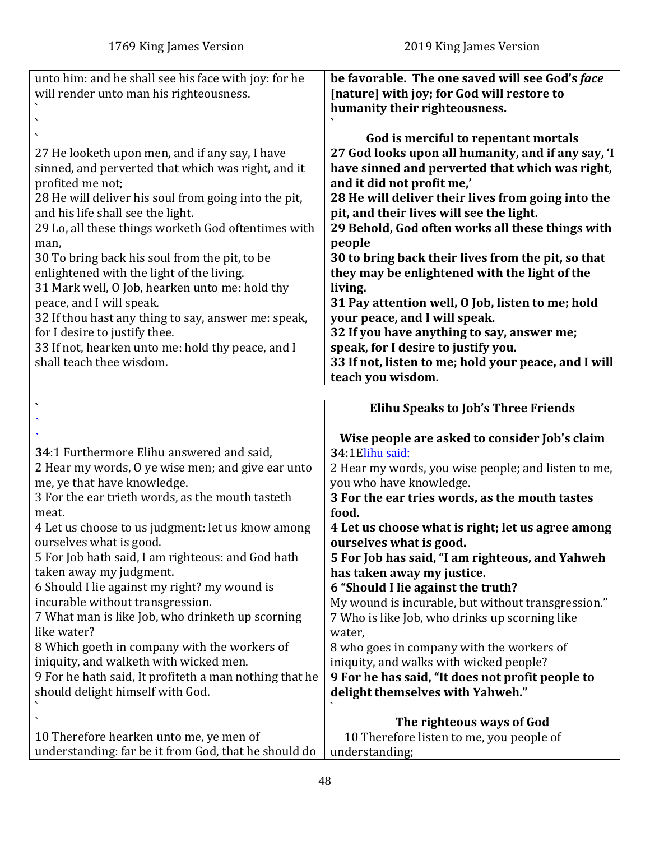<span id="page-47-0"></span>

| unto him: and he shall see his face with joy: for he                                            | be favorable. The one saved will see God's face                                   |
|-------------------------------------------------------------------------------------------------|-----------------------------------------------------------------------------------|
| will render unto man his righteousness.                                                         | [nature] with joy; for God will restore to<br>humanity their righteousness.       |
|                                                                                                 |                                                                                   |
|                                                                                                 | God is merciful to repentant mortals                                              |
| 27 He looketh upon men, and if any say, I have                                                  | 27 God looks upon all humanity, and if any say, 'I                                |
| sinned, and perverted that which was right, and it                                              | have sinned and perverted that which was right,                                   |
| profited me not;                                                                                | and it did not profit me,'                                                        |
| 28 He will deliver his soul from going into the pit,                                            | 28 He will deliver their lives from going into the                                |
| and his life shall see the light.                                                               | pit, and their lives will see the light.                                          |
| 29 Lo, all these things worketh God oftentimes with                                             | 29 Behold, God often works all these things with                                  |
| man,                                                                                            | people                                                                            |
| 30 To bring back his soul from the pit, to be                                                   | 30 to bring back their lives from the pit, so that                                |
| enlightened with the light of the living.                                                       | they may be enlightened with the light of the                                     |
| 31 Mark well, O Job, hearken unto me: hold thy                                                  | living.                                                                           |
| peace, and I will speak.                                                                        | 31 Pay attention well, O Job, listen to me; hold                                  |
| 32 If thou hast any thing to say, answer me: speak,                                             | your peace, and I will speak.                                                     |
| for I desire to justify thee.<br>33 If not, hearken unto me: hold thy peace, and I              | 32 If you have anything to say, answer me;<br>speak, for I desire to justify you. |
| shall teach thee wisdom.                                                                        | 33 If not, listen to me; hold your peace, and I will                              |
|                                                                                                 | teach you wisdom.                                                                 |
|                                                                                                 |                                                                                   |
| $\overline{\phantom{a}}$                                                                        | <b>Elihu Speaks to Job's Three Friends</b>                                        |
|                                                                                                 |                                                                                   |
|                                                                                                 | Wise people are asked to consider Job's claim                                     |
| 34:1 Furthermore Elihu answered and said,                                                       | 34:1Elihu said:                                                                   |
| 2 Hear my words, O ye wise men; and give ear unto                                               | 2 Hear my words, you wise people; and listen to me,                               |
| me, ye that have knowledge.                                                                     | you who have knowledge.                                                           |
| 3 For the ear trieth words, as the mouth tasteth                                                | 3 For the ear tries words, as the mouth tastes                                    |
| meat.                                                                                           | food.                                                                             |
| 4 Let us choose to us judgment: let us know among                                               | 4 Let us choose what is right; let us agree among                                 |
| ourselves what is good.<br>5 For Job hath said, I am righteous: and God hath                    | ourselves what is good.<br>5 For Job has said, "I am righteous, and Yahweh        |
| taken away my judgment.                                                                         | has taken away my justice.                                                        |
| 6 Should I lie against my right? my wound is                                                    | 6 "Should I lie against the truth?                                                |
| incurable without transgression.                                                                | My wound is incurable, but without transgression."                                |
| 7 What man is like Job, who drinketh up scorning                                                | 7 Who is like Job, who drinks up scorning like                                    |
| like water?                                                                                     | water,                                                                            |
| 8 Which goeth in company with the workers of                                                    | 8 who goes in company with the workers of                                         |
| iniquity, and walketh with wicked men.                                                          | iniquity, and walks with wicked people?                                           |
| 9 For he hath said, It profiteth a man nothing that he                                          | 9 For he has said, "It does not profit people to                                  |
| should delight himself with God.                                                                | delight themselves with Yahweh."                                                  |
|                                                                                                 |                                                                                   |
|                                                                                                 |                                                                                   |
|                                                                                                 | The righteous ways of God                                                         |
| 10 Therefore hearken unto me, ye men of<br>understanding: far be it from God, that he should do | 10 Therefore listen to me, you people of<br>understanding;                        |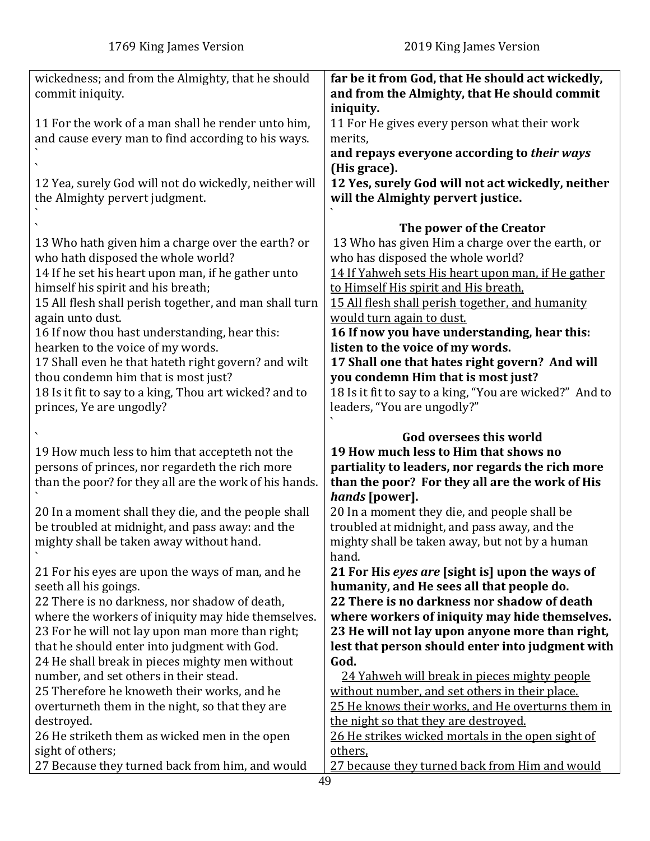| wickedness; and from the Almighty, that he should                                                 | far be it from God, that He should act wickedly,          |
|---------------------------------------------------------------------------------------------------|-----------------------------------------------------------|
| commit iniquity.                                                                                  | and from the Almighty, that He should commit              |
|                                                                                                   | iniquity.                                                 |
| 11 For the work of a man shall he render unto him,                                                | 11 For He gives every person what their work              |
| and cause every man to find according to his ways.                                                | merits,                                                   |
|                                                                                                   | and repays everyone according to their ways               |
|                                                                                                   | (His grace).                                              |
| 12 Yea, surely God will not do wickedly, neither will                                             | 12 Yes, surely God will not act wickedly, neither         |
| the Almighty pervert judgment.                                                                    | will the Almighty pervert justice.                        |
|                                                                                                   |                                                           |
|                                                                                                   | The power of the Creator                                  |
| 13 Who hath given him a charge over the earth? or                                                 | 13 Who has given Him a charge over the earth, or          |
| who hath disposed the whole world?                                                                | who has disposed the whole world?                         |
| 14 If he set his heart upon man, if he gather unto                                                | 14 If Yahweh sets His heart upon man, if He gather        |
| himself his spirit and his breath;                                                                | to Himself His spirit and His breath.                     |
| 15 All flesh shall perish together, and man shall turn                                            | 15 All flesh shall perish together, and humanity          |
| again unto dust.                                                                                  | would turn again to dust.                                 |
| 16 If now thou hast understanding, hear this:                                                     | 16 If now you have understanding, hear this:              |
| hearken to the voice of my words.                                                                 | listen to the voice of my words.                          |
| 17 Shall even he that hateth right govern? and wilt                                               | 17 Shall one that hates right govern? And will            |
| thou condemn him that is most just?                                                               | you condemn Him that is most just?                        |
| 18 Is it fit to say to a king, Thou art wicked? and to                                            | 18 Is it fit to say to a king, "You are wicked?" And to   |
| princes, Ye are ungodly?                                                                          | leaders, "You are ungodly?"                               |
|                                                                                                   |                                                           |
|                                                                                                   |                                                           |
|                                                                                                   | <b>God oversees this world</b>                            |
|                                                                                                   | 19 How much less to Him that shows no                     |
| 19 How much less to him that accepteth not the<br>persons of princes, nor regardeth the rich more | partiality to leaders, nor regards the rich more          |
| than the poor? for they all are the work of his hands.                                            | than the poor? For they all are the work of His           |
|                                                                                                   | hands [power].                                            |
| 20 In a moment shall they die, and the people shall                                               | 20 In a moment they die, and people shall be              |
| be troubled at midnight, and pass away: and the                                                   | troubled at midnight, and pass away, and the              |
| mighty shall be taken away without hand.                                                          | mighty shall be taken away, but not by a human            |
|                                                                                                   | hand.                                                     |
| 21 For his eyes are upon the ways of man, and he                                                  | 21 For His eyes are [sight is] upon the ways of           |
| seeth all his goings.                                                                             | humanity, and He sees all that people do.                 |
| 22 There is no darkness, nor shadow of death,                                                     | 22 There is no darkness nor shadow of death               |
| where the workers of iniquity may hide themselves.                                                | where workers of iniquity may hide themselves.            |
| 23 For he will not lay upon man more than right;                                                  | 23 He will not lay upon anyone more than right,           |
| that he should enter into judgment with God.                                                      | lest that person should enter into judgment with          |
| 24 He shall break in pieces mighty men without                                                    | God.                                                      |
| number, and set others in their stead.                                                            | 24 Yahweh will break in pieces mighty people              |
| 25 Therefore he knoweth their works, and he                                                       | without number, and set others in their place.            |
| overturneth them in the night, so that they are                                                   | 25 He knows their works, and He overturns them in         |
| destroyed.                                                                                        | the night so that they are destroyed.                     |
| 26 He striketh them as wicked men in the open                                                     | 26 He strikes wicked mortals in the open sight of         |
| sight of others;<br>27 Because they turned back from him, and would                               | others,<br>27 because they turned back from Him and would |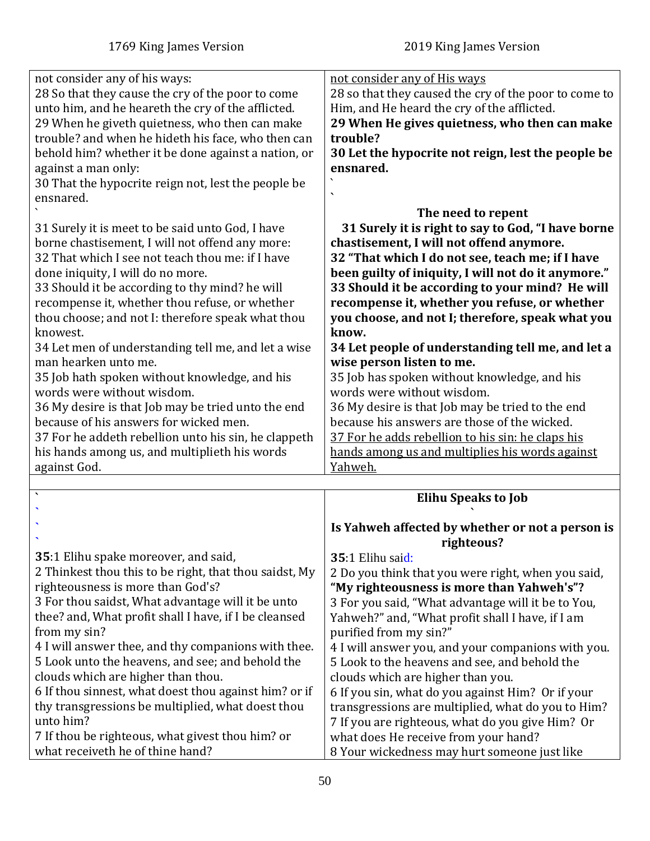<span id="page-49-0"></span>

| not consider any of his ways:<br>28 So that they cause the cry of the poor to come<br>unto him, and he heareth the cry of the afflicted.<br>29 When he giveth quietness, who then can make<br>trouble? and when he hideth his face, who then can<br>behold him? whether it be done against a nation, or<br>against a man only:<br>30 That the hypocrite reign not, lest the people be<br>ensnared.                                                                                                                                                                                                                                                                                                                                                       | not consider any of His ways<br>28 so that they caused the cry of the poor to come to<br>Him, and He heard the cry of the afflicted.<br>29 When He gives quietness, who then can make<br>trouble?<br>30 Let the hypocrite not reign, lest the people be<br>ensnared.<br>The need to repent                                                                                                                                                                                                                                                                                                                                                                                                                                                                        |
|----------------------------------------------------------------------------------------------------------------------------------------------------------------------------------------------------------------------------------------------------------------------------------------------------------------------------------------------------------------------------------------------------------------------------------------------------------------------------------------------------------------------------------------------------------------------------------------------------------------------------------------------------------------------------------------------------------------------------------------------------------|-------------------------------------------------------------------------------------------------------------------------------------------------------------------------------------------------------------------------------------------------------------------------------------------------------------------------------------------------------------------------------------------------------------------------------------------------------------------------------------------------------------------------------------------------------------------------------------------------------------------------------------------------------------------------------------------------------------------------------------------------------------------|
| 31 Surely it is meet to be said unto God, I have<br>borne chastisement, I will not offend any more:<br>32 That which I see not teach thou me: if I have<br>done iniquity, I will do no more.<br>33 Should it be according to thy mind? he will<br>recompense it, whether thou refuse, or whether<br>thou choose; and not I: therefore speak what thou<br>knowest.<br>34 Let men of understanding tell me, and let a wise<br>man hearken unto me.<br>35 Job hath spoken without knowledge, and his<br>words were without wisdom.<br>36 My desire is that Job may be tried unto the end<br>because of his answers for wicked men.<br>37 For he addeth rebellion unto his sin, he clappeth<br>his hands among us, and multiplieth his words<br>against God. | 31 Surely it is right to say to God, "I have borne<br>chastisement, I will not offend anymore.<br>32 "That which I do not see, teach me; if I have<br>been guilty of iniquity, I will not do it anymore."<br>33 Should it be according to your mind? He will<br>recompense it, whether you refuse, or whether<br>you choose, and not I; therefore, speak what you<br>know.<br>34 Let people of understanding tell me, and let a<br>wise person listen to me.<br>35 Job has spoken without knowledge, and his<br>words were without wisdom.<br>36 My desire is that Job may be tried to the end<br>because his answers are those of the wicked.<br>37 For he adds rebellion to his sin: he claps his<br>hands among us and multiplies his words against<br>Yahweh. |
| $\lambda$                                                                                                                                                                                                                                                                                                                                                                                                                                                                                                                                                                                                                                                                                                                                                |                                                                                                                                                                                                                                                                                                                                                                                                                                                                                                                                                                                                                                                                                                                                                                   |
|                                                                                                                                                                                                                                                                                                                                                                                                                                                                                                                                                                                                                                                                                                                                                          | <b>Elihu Speaks to Job</b>                                                                                                                                                                                                                                                                                                                                                                                                                                                                                                                                                                                                                                                                                                                                        |
|                                                                                                                                                                                                                                                                                                                                                                                                                                                                                                                                                                                                                                                                                                                                                          | Is Yahweh affected by whether or not a person is<br>righteous?                                                                                                                                                                                                                                                                                                                                                                                                                                                                                                                                                                                                                                                                                                    |
| 35:1 Elihu spake moreover, and said,<br>2 Thinkest thou this to be right, that thou saidst, My<br>righteousness is more than God's?<br>3 For thou saidst, What advantage will it be unto<br>thee? and, What profit shall I have, if I be cleansed<br>from my sin?<br>4 I will answer thee, and thy companions with thee.<br>5 Look unto the heavens, and see; and behold the<br>clouds which are higher than thou.<br>6 If thou sinnest, what doest thou against him? or if<br>thy transgressions be multiplied, what doest thou<br>unto him?<br>7 If thou be righteous, what givest thou him? or<br>what receiveth he of thine hand?                                                                                                                    | 35:1 Elihu said:<br>2 Do you think that you were right, when you said,<br>"My righteousness is more than Yahweh's"?<br>3 For you said, "What advantage will it be to You,<br>Yahweh?" and, "What profit shall I have, if I am<br>purified from my sin?"<br>4 I will answer you, and your companions with you.<br>5 Look to the heavens and see, and behold the<br>clouds which are higher than you.<br>6 If you sin, what do you against Him? Or if your<br>transgressions are multiplied, what do you to Him?<br>7 If you are righteous, what do you give Him? Or<br>what does He receive from your hand?<br>8 Your wickedness may hurt someone just like                                                                                                        |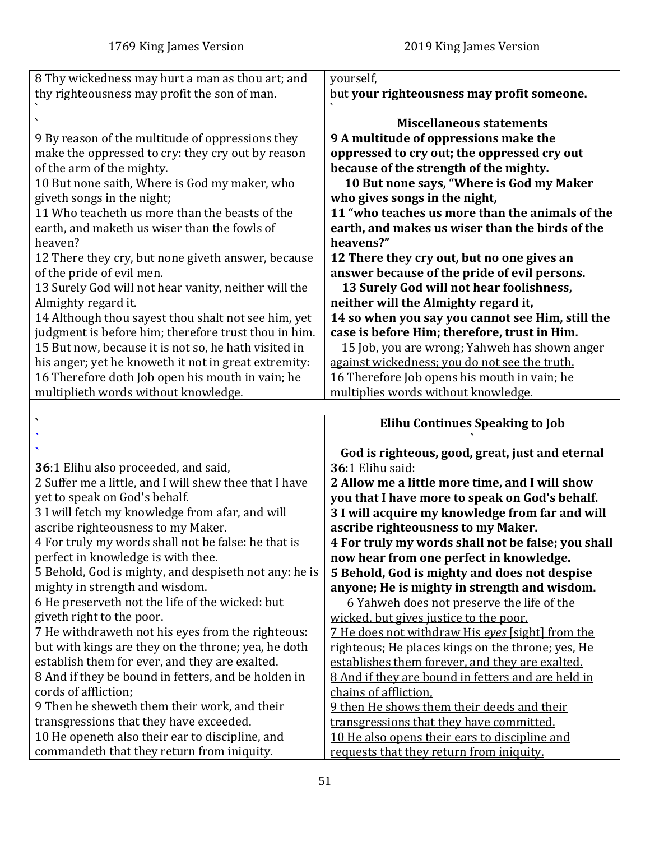<span id="page-50-0"></span>

| 8 Thy wickedness may hurt a man as thou art; and                                              | yourself,                                                                                 |
|-----------------------------------------------------------------------------------------------|-------------------------------------------------------------------------------------------|
| thy righteousness may profit the son of man.                                                  | but your righteousness may profit someone.                                                |
|                                                                                               |                                                                                           |
|                                                                                               | <b>Miscellaneous statements</b>                                                           |
| 9 By reason of the multitude of oppressions they                                              | 9 A multitude of oppressions make the                                                     |
|                                                                                               |                                                                                           |
| make the oppressed to cry: they cry out by reason                                             | oppressed to cry out; the oppressed cry out                                               |
| of the arm of the mighty.                                                                     | because of the strength of the mighty.                                                    |
| 10 But none saith, Where is God my maker, who                                                 | 10 But none says, "Where is God my Maker                                                  |
| giveth songs in the night;                                                                    | who gives songs in the night,                                                             |
| 11 Who teacheth us more than the beasts of the                                                | 11 "who teaches us more than the animals of the                                           |
| earth, and maketh us wiser than the fowls of                                                  | earth, and makes us wiser than the birds of the                                           |
| heaven?                                                                                       | heavens?"                                                                                 |
| 12 There they cry, but none giveth answer, because                                            | 12 There they cry out, but no one gives an                                                |
| of the pride of evil men.                                                                     | answer because of the pride of evil persons.                                              |
| 13 Surely God will not hear vanity, neither will the                                          | 13 Surely God will not hear foolishness,                                                  |
| Almighty regard it.                                                                           | neither will the Almighty regard it,                                                      |
| 14 Although thou sayest thou shalt not see him, yet                                           | 14 so when you say you cannot see Him, still the                                          |
|                                                                                               |                                                                                           |
| judgment is before him; therefore trust thou in him.                                          | case is before Him; therefore, trust in Him.                                              |
| 15 But now, because it is not so, he hath visited in                                          | 15 Job, you are wrong; Yahweh has shown anger                                             |
| his anger; yet he knoweth it not in great extremity:                                          | against wickedness; you do not see the truth.                                             |
| 16 Therefore doth Job open his mouth in vain; he                                              | 16 Therefore Job opens his mouth in vain; he                                              |
| multiplieth words without knowledge.                                                          | multiplies words without knowledge.                                                       |
|                                                                                               |                                                                                           |
|                                                                                               |                                                                                           |
| $\boldsymbol{\lambda}$                                                                        | <b>Elihu Continues Speaking to Job</b>                                                    |
|                                                                                               |                                                                                           |
|                                                                                               | God is righteous, good, great, just and eternal                                           |
|                                                                                               | 36:1 Elihu said:                                                                          |
| 36:1 Elihu also proceeded, and said,                                                          |                                                                                           |
| 2 Suffer me a little, and I will shew thee that I have                                        | 2 Allow me a little more time, and I will show                                            |
| yet to speak on God's behalf.                                                                 | you that I have more to speak on God's behalf.                                            |
| 3 I will fetch my knowledge from afar, and will                                               | 3 I will acquire my knowledge from far and will                                           |
| ascribe righteousness to my Maker.                                                            | ascribe righteousness to my Maker.                                                        |
| 4 For truly my words shall not be false: he that is                                           | 4 For truly my words shall not be false; you shall                                        |
| perfect in knowledge is with thee.                                                            | now hear from one perfect in knowledge.                                                   |
| 5 Behold, God is mighty, and despiseth not any: he is                                         | 5 Behold, God is mighty and does not despise                                              |
| mighty in strength and wisdom.                                                                | anyone; He is mighty in strength and wisdom.                                              |
| 6 He preserveth not the life of the wicked: but                                               | 6 Yahweh does not preserve the life of the                                                |
| giveth right to the poor.                                                                     | wicked, but gives justice to the poor.                                                    |
| 7 He withdraweth not his eyes from the righteous:                                             | 7 He does not withdraw His eyes [sight] from the                                          |
| but with kings are they on the throne; yea, he doth                                           | righteous; He places kings on the throne; yes, He                                         |
| establish them for ever, and they are exalted.                                                | establishes them forever, and they are exalted.                                           |
| 8 And if they be bound in fetters, and be holden in                                           |                                                                                           |
| cords of affliction;                                                                          | 8 And if they are bound in fetters and are held in                                        |
|                                                                                               | chains of affliction.                                                                     |
| 9 Then he sheweth them their work, and their                                                  | 9 then He shows them their deeds and their                                                |
| transgressions that they have exceeded.                                                       | transgressions that they have committed.                                                  |
| 10 He openeth also their ear to discipline, and<br>commandeth that they return from iniquity. | 10 He also opens their ears to discipline and<br>requests that they return from iniquity. |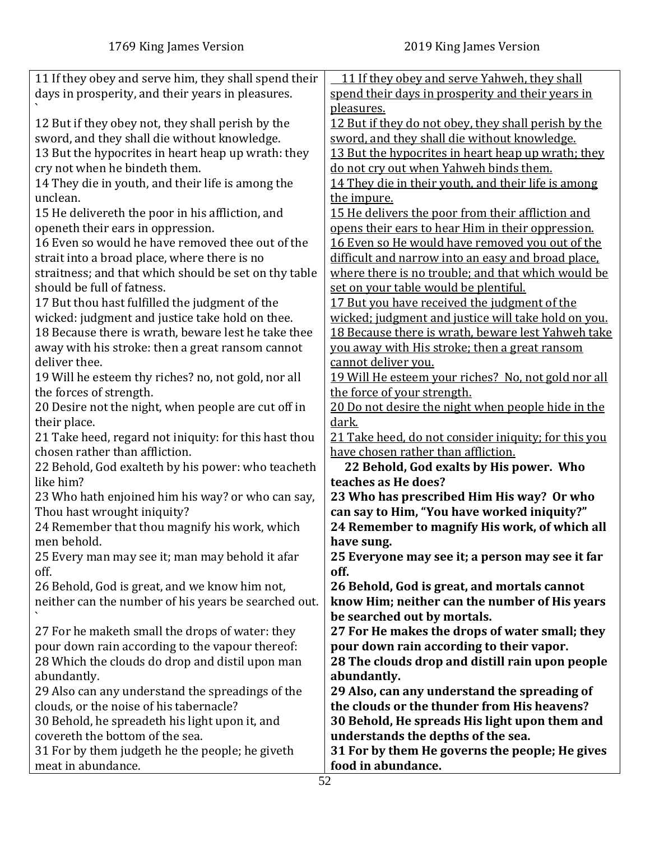| 11 If they obey and serve him, they shall spend their                                                 | 11 If they obey and serve Yahweh, they shall                                                 |
|-------------------------------------------------------------------------------------------------------|----------------------------------------------------------------------------------------------|
| days in prosperity, and their years in pleasures.                                                     | spend their days in prosperity and their years in                                            |
|                                                                                                       | pleasures.                                                                                   |
| 12 But if they obey not, they shall perish by the                                                     | 12 But if they do not obey, they shall perish by the                                         |
| sword, and they shall die without knowledge.                                                          | sword, and they shall die without knowledge.                                                 |
| 13 But the hypocrites in heart heap up wrath: they                                                    | 13 But the hypocrites in heart heap up wrath; they                                           |
| cry not when he bindeth them.                                                                         | do not cry out when Yahweh binds them.                                                       |
| 14 They die in youth, and their life is among the                                                     | 14 They die in their youth, and their life is among                                          |
| unclean.                                                                                              | the impure.                                                                                  |
| 15 He delivereth the poor in his affliction, and                                                      | 15 He delivers the poor from their affliction and                                            |
| openeth their ears in oppression.                                                                     | opens their ears to hear Him in their oppression.                                            |
| 16 Even so would he have removed thee out of the                                                      | 16 Even so He would have removed you out of the                                              |
| strait into a broad place, where there is no                                                          | difficult and narrow into an easy and broad place.                                           |
| straitness; and that which should be set on thy table                                                 | where there is no trouble; and that which would be                                           |
| should be full of fatness.                                                                            | set on your table would be plentiful.                                                        |
| 17 But thou hast fulfilled the judgment of the                                                        | 17 But you have received the judgment of the                                                 |
| wicked: judgment and justice take hold on thee.                                                       | wicked; judgment and justice will take hold on you.                                          |
| 18 Because there is wrath, beware lest he take thee                                                   | 18 Because there is wrath, beware lest Yahweh take                                           |
| away with his stroke: then a great ransom cannot                                                      | you away with His stroke; then a great ransom                                                |
| deliver thee.                                                                                         | cannot deliver you.                                                                          |
| 19 Will he esteem thy riches? no, not gold, nor all                                                   | <u>19 Will He esteem your riches? No, not gold nor all</u>                                   |
| the forces of strength.                                                                               | the force of your strength.                                                                  |
| 20 Desire not the night, when people are cut off in                                                   | 20 Do not desire the night when people hide in the                                           |
| their place.                                                                                          | dark.                                                                                        |
| 21 Take heed, regard not iniquity: for this hast thou                                                 | 21 Take heed, do not consider iniquity; for this you                                         |
| chosen rather than affliction.                                                                        | have chosen rather than affliction.                                                          |
| 22 Behold, God exalteth by his power: who teacheth                                                    | 22 Behold, God exalts by His power. Who                                                      |
| like him?                                                                                             | teaches as He does?                                                                          |
| 23 Who hath enjoined him his way? or who can say,                                                     | 23 Who has prescribed Him His way? Or who                                                    |
| Thou hast wrought iniquity?                                                                           | can say to Him, "You have worked iniquity?"                                                  |
| 24 Remember that thou magnify his work, which                                                         | 24 Remember to magnify His work, of which all                                                |
| men behold.                                                                                           | have sung.                                                                                   |
| 25 Every man may see it; man may behold it afar<br>off.                                               | 25 Everyone may see it; a person may see it far<br>off.                                      |
|                                                                                                       |                                                                                              |
| 26 Behold, God is great, and we know him not,<br>neither can the number of his years be searched out. | 26 Behold, God is great, and mortals cannot<br>know Him; neither can the number of His years |
|                                                                                                       | be searched out by mortals.                                                                  |
| 27 For he maketh small the drops of water: they                                                       | 27 For He makes the drops of water small; they                                               |
| pour down rain according to the vapour thereof:                                                       | pour down rain according to their vapor.                                                     |
| 28 Which the clouds do drop and distil upon man                                                       | 28 The clouds drop and distill rain upon people                                              |
| abundantly.                                                                                           | abundantly.                                                                                  |
| 29 Also can any understand the spreadings of the                                                      | 29 Also, can any understand the spreading of                                                 |
| clouds, or the noise of his tabernacle?                                                               | the clouds or the thunder from His heavens?                                                  |
| 30 Behold, he spreadeth his light upon it, and                                                        | 30 Behold, He spreads His light upon them and                                                |
| covereth the bottom of the sea.                                                                       | understands the depths of the sea.                                                           |
| 31 For by them judgeth he the people; he giveth                                                       | 31 For by them He governs the people; He gives                                               |
| meat in abundance.                                                                                    | food in abundance.                                                                           |
|                                                                                                       |                                                                                              |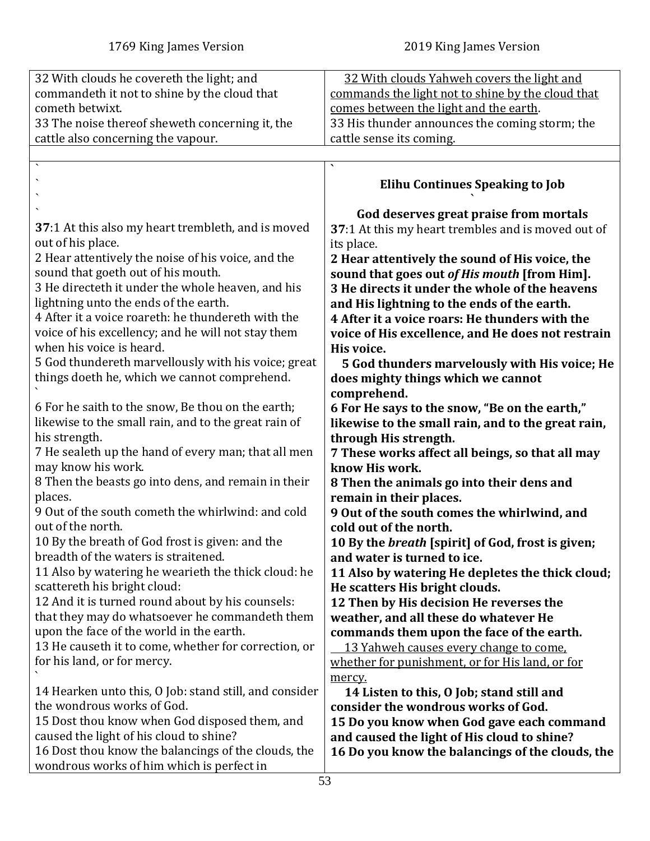<span id="page-52-0"></span>

| 32 With clouds he covereth the light; and                  | 32 With clouds Yahweh covers the light and               |
|------------------------------------------------------------|----------------------------------------------------------|
| commandeth it not to shine by the cloud that               | commands the light not to shine by the cloud that        |
| cometh betwixt.                                            | comes between the light and the earth.                   |
|                                                            |                                                          |
| 33 The noise thereof sheweth concerning it, the            | 33 His thunder announces the coming storm; the           |
| cattle also concerning the vapour.                         | cattle sense its coming.                                 |
|                                                            |                                                          |
|                                                            | $\overline{\phantom{0}}$                                 |
|                                                            |                                                          |
|                                                            | <b>Elihu Continues Speaking to Job</b>                   |
|                                                            |                                                          |
|                                                            | God deserves great praise from mortals                   |
| <b>37</b> :1 At this also my heart trembleth, and is moved | 37:1 At this my heart trembles and is moved out of       |
| out of his place.                                          | its place.                                               |
| 2 Hear attentively the noise of his voice, and the         | 2 Hear attentively the sound of His voice, the           |
|                                                            |                                                          |
| sound that goeth out of his mouth.                         | sound that goes out of His mouth [from Him].             |
| 3 He directeth it under the whole heaven, and his          | 3 He directs it under the whole of the heavens           |
| lightning unto the ends of the earth.                      | and His lightning to the ends of the earth.              |
| 4 After it a voice roareth: he thundereth with the         | 4 After it a voice roars: He thunders with the           |
| voice of his excellency; and he will not stay them         | voice of His excellence, and He does not restrain        |
| when his voice is heard.                                   |                                                          |
|                                                            | His voice.                                               |
| 5 God thundereth marvellously with his voice; great        | 5 God thunders marvelously with His voice; He            |
| things doeth he, which we cannot comprehend.               | does mighty things which we cannot                       |
|                                                            | comprehend.                                              |
| 6 For he saith to the snow, Be thou on the earth;          | 6 For He says to the snow, "Be on the earth,"            |
|                                                            |                                                          |
| likewise to the small rain, and to the great rain of       | likewise to the small rain, and to the great rain,       |
| his strength.                                              | through His strength.                                    |
| 7 He sealeth up the hand of every man; that all men        | 7 These works affect all beings, so that all may         |
| may know his work.                                         | know His work.                                           |
| 8 Then the beasts go into dens, and remain in their        | 8 Then the animals go into their dens and                |
| places.                                                    | remain in their places.                                  |
| 9 Out of the south cometh the whirlwind: and cold          | 9 Out of the south comes the whirlwind, and              |
| out of the north.                                          |                                                          |
|                                                            | cold out of the north.                                   |
| 10 By the breath of God frost is given: and the            | 10 By the <i>breath</i> [spirit] of God, frost is given; |
| breadth of the waters is straitened.                       | and water is turned to ice.                              |
| 11 Also by watering he wearieth the thick cloud: he        | 11 Also by watering He depletes the thick cloud;         |
| scattereth his bright cloud:                               | He scatters His bright clouds.                           |
| 12 And it is turned round about by his counsels:           | 12 Then by His decision He reverses the                  |
| that they may do whatsoever he commandeth them             | weather, and all these do whatever He                    |
|                                                            |                                                          |
| upon the face of the world in the earth.                   | commands them upon the face of the earth.                |
| 13 He causeth it to come, whether for correction, or       | <u>13 Yahweh causes every change to come.</u>            |
| for his land, or for mercy.                                | whether for punishment, or for His land, or for          |
|                                                            | mercy.                                                   |
| 14 Hearken unto this, O Job: stand still, and consider     | 14 Listen to this, O Job; stand still and                |
| the wondrous works of God.                                 | consider the wondrous works of God.                      |
|                                                            |                                                          |
| 15 Dost thou know when God disposed them, and              | 15 Do you know when God gave each command                |
| caused the light of his cloud to shine?                    | and caused the light of His cloud to shine?              |
| 16 Dost thou know the balancings of the clouds, the        | 16 Do you know the balancings of the clouds, the         |
| wondrous works of him which is perfect in                  |                                                          |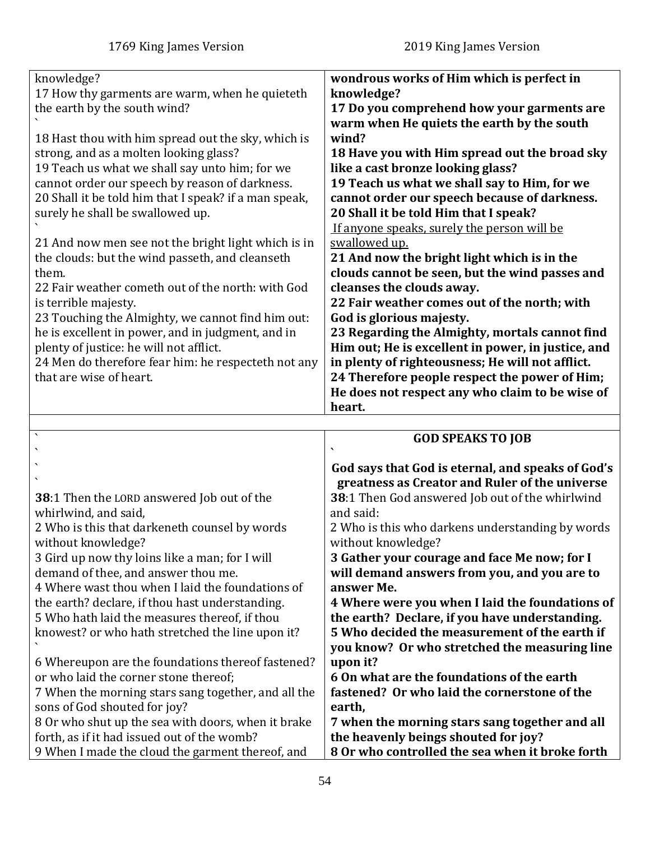| knowledge?                                            | wondrous works of Him which is perfect in          |
|-------------------------------------------------------|----------------------------------------------------|
| 17 How thy garments are warm, when he quieteth        | knowledge?                                         |
| the earth by the south wind?                          | 17 Do you comprehend how your garments are         |
|                                                       | warm when He quiets the earth by the south         |
| 18 Hast thou with him spread out the sky, which is    | wind?                                              |
| strong, and as a molten looking glass?                | 18 Have you with Him spread out the broad sky      |
| 19 Teach us what we shall say unto him; for we        | like a cast bronze looking glass?                  |
| cannot order our speech by reason of darkness.        | 19 Teach us what we shall say to Him, for we       |
| 20 Shall it be told him that I speak? if a man speak, | cannot order our speech because of darkness.       |
| surely he shall be swallowed up.                      | 20 Shall it be told Him that I speak?              |
|                                                       | If anyone speaks, surely the person will be        |
| 21 And now men see not the bright light which is in   | swallowed up.                                      |
| the clouds: but the wind passeth, and cleanseth       | 21 And now the bright light which is in the        |
| them.                                                 | clouds cannot be seen, but the wind passes and     |
| 22 Fair weather cometh out of the north: with God     | cleanses the clouds away.                          |
| is terrible majesty.                                  | 22 Fair weather comes out of the north; with       |
| 23 Touching the Almighty, we cannot find him out:     | God is glorious majesty.                           |
| he is excellent in power, and in judgment, and in     | 23 Regarding the Almighty, mortals cannot find     |
| plenty of justice: he will not afflict.               | Him out; He is excellent in power, in justice, and |
| 24 Men do therefore fear him: he respecteth not any   | in plenty of righteousness; He will not afflict.   |
| that are wise of heart.                               | 24 Therefore people respect the power of Him;      |
|                                                       | He does not respect any who claim to be wise of    |
|                                                       | heart.                                             |
|                                                       |                                                    |
|                                                       | <b>GOD SPEAKS TO JOR</b>                           |

<span id="page-53-0"></span>

|                                                                                                                              | <b>GOD SPEAKS TO JOB</b>                                                                                                                         |
|------------------------------------------------------------------------------------------------------------------------------|--------------------------------------------------------------------------------------------------------------------------------------------------|
|                                                                                                                              | God says that God is eternal, and speaks of God's<br>greatness as Creator and Ruler of the universe                                              |
| <b>38:1 Then the LORD answered Job out of the</b><br>whirlwind, and said,                                                    | 38:1 Then God answered Job out of the whirlwind<br>and said:                                                                                     |
| 2 Who is this that darkeneth counsel by words<br>without knowledge?                                                          | 2 Who is this who darkens understanding by words<br>without knowledge?                                                                           |
| 3 Gird up now thy loins like a man; for I will<br>demand of thee, and answer thou me.                                        | 3 Gather your courage and face Me now; for I<br>will demand answers from you, and you are to                                                     |
| 4 Where wast thou when I laid the foundations of                                                                             | answer Me.                                                                                                                                       |
| the earth? declare, if thou hast understanding.<br>5 Who hath laid the measures thereof, if thou                             | 4 Where were you when I laid the foundations of                                                                                                  |
| knowest? or who hath stretched the line upon it?                                                                             | the earth? Declare, if you have understanding.<br>5 Who decided the measurement of the earth if<br>you know? Or who stretched the measuring line |
| 6 Whereupon are the foundations thereof fastened?                                                                            | upon it?                                                                                                                                         |
| or who laid the corner stone thereof;<br>7 When the morning stars sang together, and all the<br>sons of God shouted for joy? | 6 On what are the foundations of the earth<br>fastened? Or who laid the cornerstone of the<br>earth,                                             |
| 8 Or who shut up the sea with doors, when it brake<br>forth, as if it had issued out of the womb?                            | 7 when the morning stars sang together and all<br>the heavenly beings shouted for joy?                                                           |
| 9 When I made the cloud the garment thereof, and                                                                             | 8 Or who controlled the sea when it broke forth                                                                                                  |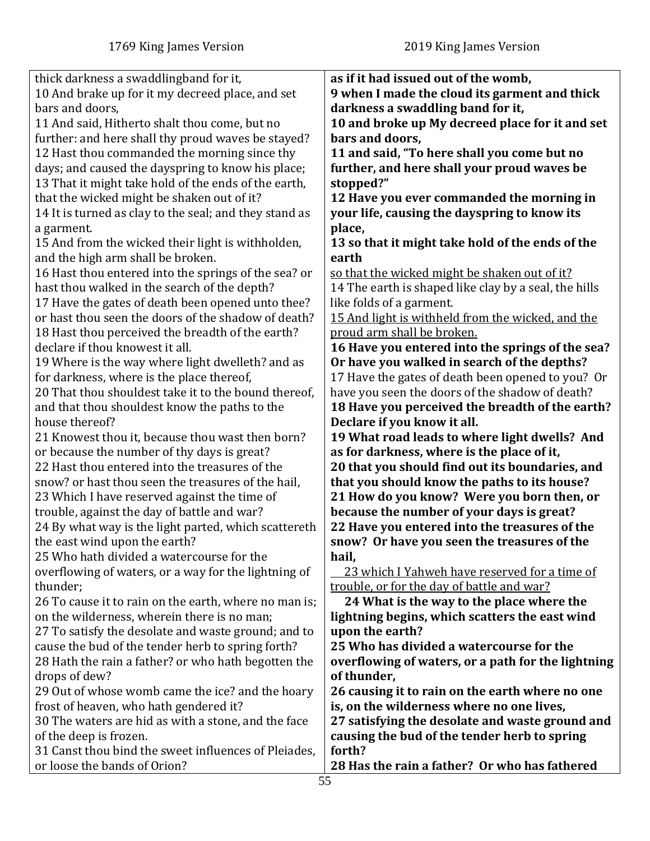| thick darkness a swaddlingband for it,                 | as if it had issued out of the womb,                  |
|--------------------------------------------------------|-------------------------------------------------------|
| 10 And brake up for it my decreed place, and set       | 9 when I made the cloud its garment and thick         |
| bars and doors,                                        | darkness a swaddling band for it,                     |
|                                                        |                                                       |
| 11 And said, Hitherto shalt thou come, but no          | 10 and broke up My decreed place for it and set       |
| further: and here shall thy proud waves be stayed?     | bars and doors,                                       |
| 12 Hast thou commanded the morning since thy           | 11 and said, "To here shall you come but no           |
| days; and caused the dayspring to know his place;      | further, and here shall your proud waves be           |
| 13 That it might take hold of the ends of the earth,   | stopped?"                                             |
|                                                        |                                                       |
| that the wicked might be shaken out of it?             | 12 Have you ever commanded the morning in             |
| 14 It is turned as clay to the seal; and they stand as | your life, causing the dayspring to know its          |
| a garment.                                             | place,                                                |
| 15 And from the wicked their light is withholden,      | 13 so that it might take hold of the ends of the      |
| and the high arm shall be broken.                      | earth                                                 |
|                                                        | so that the wicked might be shaken out of it?         |
| 16 Hast thou entered into the springs of the sea? or   |                                                       |
| hast thou walked in the search of the depth?           | 14 The earth is shaped like clay by a seal, the hills |
| 17 Have the gates of death been opened unto thee?      | like folds of a garment.                              |
| or hast thou seen the doors of the shadow of death?    | 15 And light is withheld from the wicked, and the     |
| 18 Hast thou perceived the breadth of the earth?       | proud arm shall be broken.                            |
| declare if thou knowest it all.                        | 16 Have you entered into the springs of the sea?      |
| 19 Where is the way where light dwelleth? and as       | Or have you walked in search of the depths?           |
|                                                        |                                                       |
| for darkness, where is the place thereof,              | 17 Have the gates of death been opened to you? Or     |
| 20 That thou shouldest take it to the bound thereof,   | have you seen the doors of the shadow of death?       |
| and that thou shouldest know the paths to the          | 18 Have you perceived the breadth of the earth?       |
| house thereof?                                         | Declare if you know it all.                           |
| 21 Knowest thou it, because thou wast then born?       | 19 What road leads to where light dwells? And         |
| or because the number of thy days is great?            | as for darkness, where is the place of it,            |
| 22 Hast thou entered into the treasures of the         |                                                       |
|                                                        | 20 that you should find out its boundaries, and       |
| snow? or hast thou seen the treasures of the hail,     | that you should know the paths to its house?          |
| 23 Which I have reserved against the time of           | 21 How do you know? Were you born then, or            |
| trouble, against the day of battle and war?            | because the number of your days is great?             |
| 24 By what way is the light parted, which scattereth   | 22 Have you entered into the treasures of the         |
| the east wind upon the earth?                          | snow? Or have you seen the treasures of the           |
| 25 Who hath divided a watercourse for the              | hail,                                                 |
|                                                        |                                                       |
| overflowing of waters, or a way for the lightning of   | 23 which I Yahweh have reserved for a time of         |
| thunder;                                               | trouble, or for the day of battle and war?            |
| 26 To cause it to rain on the earth, where no man is;  | 24 What is the way to the place where the             |
| on the wilderness, wherein there is no man;            | lightning begins, which scatters the east wind        |
| 27 To satisfy the desolate and waste ground; and to    | upon the earth?                                       |
| cause the bud of the tender herb to spring forth?      | 25 Who has divided a watercourse for the              |
|                                                        | overflowing of waters, or a path for the lightning    |
| 28 Hath the rain a father? or who hath begotten the    |                                                       |
| drops of dew?                                          | of thunder,                                           |
| 29 Out of whose womb came the ice? and the hoary       | 26 causing it to rain on the earth where no one       |
| frost of heaven, who hath gendered it?                 | is, on the wilderness where no one lives,             |
| 30 The waters are hid as with a stone, and the face    | 27 satisfying the desolate and waste ground and       |
| of the deep is frozen.                                 | causing the bud of the tender herb to spring          |
| 31 Canst thou bind the sweet influences of Pleiades,   | forth?                                                |
|                                                        |                                                       |
| or loose the bands of Orion?                           | 28 Has the rain a father? Or who has fathered         |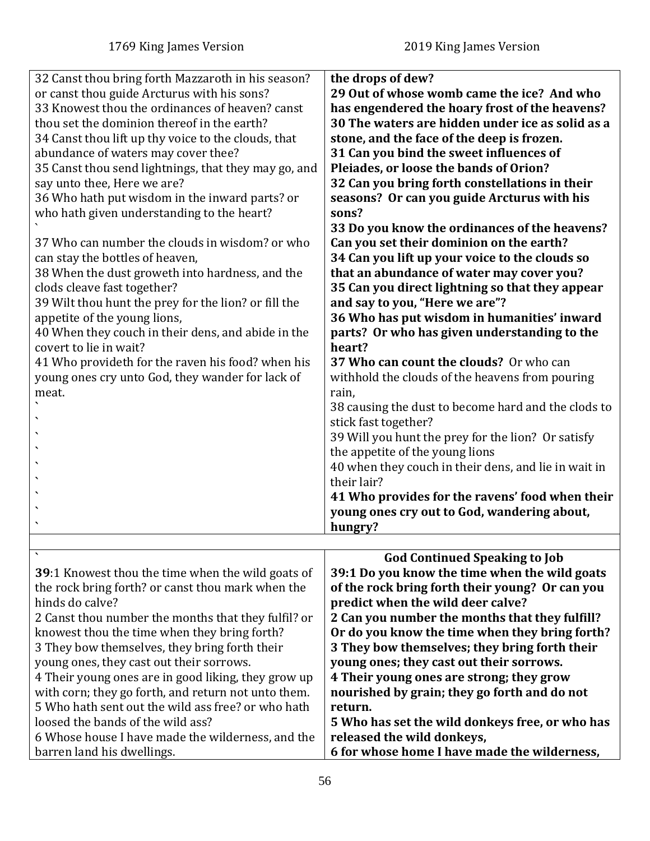<span id="page-55-0"></span>

| 32 Canst thou bring forth Mazzaroth in his season?<br>or canst thou guide Arcturus with his sons?<br>33 Knowest thou the ordinances of heaven? canst<br>thou set the dominion thereof in the earth?<br>34 Canst thou lift up thy voice to the clouds, that<br>abundance of waters may cover thee?<br>35 Canst thou send lightnings, that they may go, and<br>say unto thee, Here we are?<br>36 Who hath put wisdom in the inward parts? or<br>who hath given understanding to the heart?<br>37 Who can number the clouds in wisdom? or who<br>can stay the bottles of heaven,<br>38 When the dust groweth into hardness, and the<br>clods cleave fast together?<br>39 Wilt thou hunt the prey for the lion? or fill the<br>appetite of the young lions,<br>40 When they couch in their dens, and abide in the<br>covert to lie in wait?<br>41 Who provideth for the raven his food? when his<br>young ones cry unto God, they wander for lack of<br>meat. | the drops of dew?<br>29 Out of whose womb came the ice? And who<br>has engendered the hoary frost of the heavens?<br>30 The waters are hidden under ice as solid as a<br>stone, and the face of the deep is frozen.<br>31 Can you bind the sweet influences of<br>Pleiades, or loose the bands of Orion?<br>32 Can you bring forth constellations in their<br>seasons? Or can you guide Arcturus with his<br>sons?<br>33 Do you know the ordinances of the heavens?<br>Can you set their dominion on the earth?<br>34 Can you lift up your voice to the clouds so<br>that an abundance of water may cover you?<br>35 Can you direct lightning so that they appear<br>and say to you, "Here we are"?<br>36 Who has put wisdom in humanities' inward<br>parts? Or who has given understanding to the<br>heart?<br>37 Who can count the clouds? Or who can<br>withhold the clouds of the heavens from pouring<br>rain,<br>38 causing the dust to become hard and the clods to<br>stick fast together?<br>39 Will you hunt the prey for the lion? Or satisfy<br>the appetite of the young lions<br>40 when they couch in their dens, and lie in wait in<br>their lair?<br>41 Who provides for the ravens' food when their<br>young ones cry out to God, wandering about, |
|-----------------------------------------------------------------------------------------------------------------------------------------------------------------------------------------------------------------------------------------------------------------------------------------------------------------------------------------------------------------------------------------------------------------------------------------------------------------------------------------------------------------------------------------------------------------------------------------------------------------------------------------------------------------------------------------------------------------------------------------------------------------------------------------------------------------------------------------------------------------------------------------------------------------------------------------------------------|----------------------------------------------------------------------------------------------------------------------------------------------------------------------------------------------------------------------------------------------------------------------------------------------------------------------------------------------------------------------------------------------------------------------------------------------------------------------------------------------------------------------------------------------------------------------------------------------------------------------------------------------------------------------------------------------------------------------------------------------------------------------------------------------------------------------------------------------------------------------------------------------------------------------------------------------------------------------------------------------------------------------------------------------------------------------------------------------------------------------------------------------------------------------------------------------------------------------------------------------------------------------|
|                                                                                                                                                                                                                                                                                                                                                                                                                                                                                                                                                                                                                                                                                                                                                                                                                                                                                                                                                           | hungry?                                                                                                                                                                                                                                                                                                                                                                                                                                                                                                                                                                                                                                                                                                                                                                                                                                                                                                                                                                                                                                                                                                                                                                                                                                                              |
|                                                                                                                                                                                                                                                                                                                                                                                                                                                                                                                                                                                                                                                                                                                                                                                                                                                                                                                                                           |                                                                                                                                                                                                                                                                                                                                                                                                                                                                                                                                                                                                                                                                                                                                                                                                                                                                                                                                                                                                                                                                                                                                                                                                                                                                      |
| 39:1 Knowest thou the time when the wild goats of<br>the rock bring forth? or canst thou mark when the<br>hinds do calve?<br>2 Canst thou number the months that they fulfil? or<br>knowest thou the time when they bring forth?<br>3 They bow themselves, they bring forth their<br>young ones, they cast out their sorrows.<br>4 Their young ones are in good liking, they grow up<br>with corn; they go forth, and return not unto them.<br>5 Who hath sent out the wild ass free? or who hath<br>loosed the bands of the wild ass?<br>6 Whose house I have made the wilderness, and the                                                                                                                                                                                                                                                                                                                                                               | <b>God Continued Speaking to Job</b><br>39:1 Do you know the time when the wild goats<br>of the rock bring forth their young? Or can you<br>predict when the wild deer calve?<br>2 Can you number the months that they fulfill?<br>Or do you know the time when they bring forth?<br>3 They bow themselves; they bring forth their<br>young ones; they cast out their sorrows.<br>4 Their young ones are strong; they grow<br>nourished by grain; they go forth and do not<br>return.<br>5 Who has set the wild donkeys free, or who has<br>released the wild donkeys,                                                                                                                                                                                                                                                                                                                                                                                                                                                                                                                                                                                                                                                                                               |
| barren land his dwellings.                                                                                                                                                                                                                                                                                                                                                                                                                                                                                                                                                                                                                                                                                                                                                                                                                                                                                                                                | 6 for whose home I have made the wilderness,                                                                                                                                                                                                                                                                                                                                                                                                                                                                                                                                                                                                                                                                                                                                                                                                                                                                                                                                                                                                                                                                                                                                                                                                                         |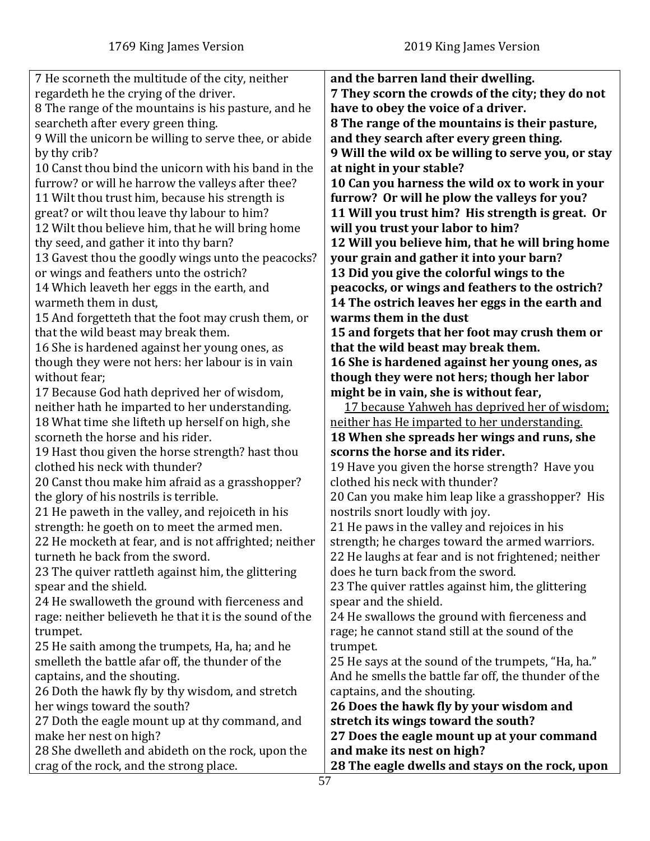| 7 He scorneth the multitude of the city, neither       | and the barren land their dwelling.                  |
|--------------------------------------------------------|------------------------------------------------------|
| regardeth he the crying of the driver.                 | 7 They scorn the crowds of the city; they do not     |
| 8 The range of the mountains is his pasture, and he    | have to obey the voice of a driver.                  |
| searcheth after every green thing.                     | 8 The range of the mountains is their pasture,       |
| 9 Will the unicorn be willing to serve thee, or abide  | and they search after every green thing.             |
| by thy crib?                                           | 9 Will the wild ox be willing to serve you, or stay  |
| 10 Canst thou bind the unicorn with his band in the    | at night in your stable?                             |
| furrow? or will he harrow the valleys after thee?      | 10 Can you harness the wild ox to work in your       |
| 11 Wilt thou trust him, because his strength is        | furrow? Or will he plow the valleys for you?         |
| great? or wilt thou leave thy labour to him?           | 11 Will you trust him? His strength is great. Or     |
| 12 Wilt thou believe him, that he will bring home      | will you trust your labor to him?                    |
| thy seed, and gather it into thy barn?                 | 12 Will you believe him, that he will bring home     |
|                                                        |                                                      |
| 13 Gavest thou the goodly wings unto the peacocks?     | your grain and gather it into your barn?             |
| or wings and feathers unto the ostrich?                | 13 Did you give the colorful wings to the            |
| 14 Which leaveth her eggs in the earth, and            | peacocks, or wings and feathers to the ostrich?      |
| warmeth them in dust,                                  | 14 The ostrich leaves her eggs in the earth and      |
| 15 And forgetteth that the foot may crush them, or     | warms them in the dust                               |
| that the wild beast may break them.                    | 15 and forgets that her foot may crush them or       |
| 16 She is hardened against her young ones, as          | that the wild beast may break them.                  |
| though they were not hers: her labour is in vain       | 16 She is hardened against her young ones, as        |
| without fear;                                          | though they were not hers; though her labor          |
| 17 Because God hath deprived her of wisdom,            | might be in vain, she is without fear,               |
| neither hath he imparted to her understanding.         | 17 because Yahweh has deprived her of wisdom;        |
| 18 What time she lifteth up herself on high, she       | neither has He imparted to her understanding.        |
| scorneth the horse and his rider.                      | 18 When she spreads her wings and runs, she          |
| 19 Hast thou given the horse strength? hast thou       | scorns the horse and its rider.                      |
| clothed his neck with thunder?                         | 19 Have you given the horse strength? Have you       |
| 20 Canst thou make him afraid as a grasshopper?        | clothed his neck with thunder?                       |
| the glory of his nostrils is terrible.                 | 20 Can you make him leap like a grasshopper? His     |
| 21 He paweth in the valley, and rejoiceth in his       | nostrils snort loudly with joy.                      |
| strength: he goeth on to meet the armed men.           | 21 He paws in the valley and rejoices in his         |
| 22 He mocketh at fear, and is not affrighted; neither  | strength; he charges toward the armed warriors.      |
| turneth he back from the sword.                        | 22 He laughs at fear and is not frightened; neither  |
| 23 The quiver rattleth against him, the glittering     | does he turn back from the sword.                    |
| spear and the shield.                                  | 23 The quiver rattles against him, the glittering    |
| 24 He swalloweth the ground with fierceness and        | spear and the shield.                                |
| rage: neither believeth he that it is the sound of the | 24 He swallows the ground with fierceness and        |
| trumpet.                                               | rage; he cannot stand still at the sound of the      |
| 25 He saith among the trumpets, Ha, ha; and he         | trumpet.                                             |
| smelleth the battle afar off, the thunder of the       | 25 He says at the sound of the trumpets, "Ha, ha."   |
| captains, and the shouting.                            | And he smells the battle far off, the thunder of the |
| 26 Doth the hawk fly by thy wisdom, and stretch        | captains, and the shouting.                          |
| her wings toward the south?                            | 26 Does the hawk fly by your wisdom and              |
| 27 Doth the eagle mount up at thy command, and         | stretch its wings toward the south?                  |
| make her nest on high?                                 | 27 Does the eagle mount up at your command           |
| 28 She dwelleth and abideth on the rock, upon the      | and make its nest on high?                           |
| crag of the rock, and the strong place.                | 28 The eagle dwells and stays on the rock, upon      |
|                                                        |                                                      |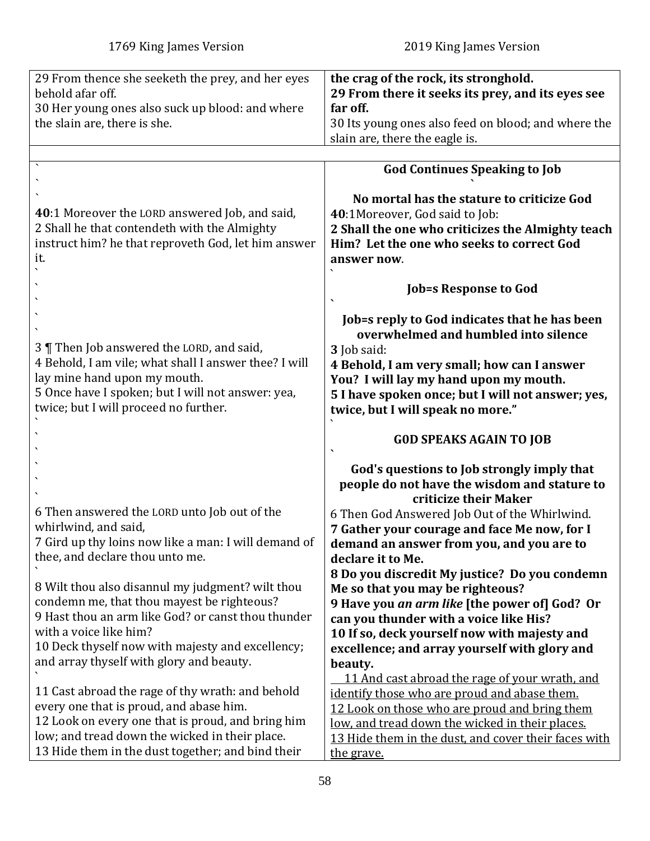<span id="page-57-0"></span>

| 29 From thence she seeketh the prey, and her eyes<br>behold afar off. | the crag of the rock, its stronghold.<br>29 From there it seeks its prey, and its eyes see |
|-----------------------------------------------------------------------|--------------------------------------------------------------------------------------------|
| 30 Her young ones also suck up blood: and where                       | far off.                                                                                   |
| the slain are, there is she.                                          | 30 Its young ones also feed on blood; and where the                                        |
|                                                                       | slain are, there the eagle is.                                                             |
|                                                                       |                                                                                            |
|                                                                       | <b>God Continues Speaking to Job</b>                                                       |
|                                                                       |                                                                                            |
|                                                                       | No mortal has the stature to criticize God                                                 |
| <b>40</b> :1 Moreover the LORD answered Job, and said,                | 40:1Moreover, God said to Job:                                                             |
| 2 Shall he that contendeth with the Almighty                          | 2 Shall the one who criticizes the Almighty teach                                          |
| instruct him? he that reproveth God, let him answer                   | Him? Let the one who seeks to correct God                                                  |
| it.                                                                   |                                                                                            |
|                                                                       | answer now.                                                                                |
|                                                                       |                                                                                            |
|                                                                       | <b>Job=s Response to God</b>                                                               |
|                                                                       |                                                                                            |
|                                                                       | Job=s reply to God indicates that he has been                                              |
|                                                                       | overwhelmed and humbled into silence                                                       |
| 3   Then Job answered the LORD, and said,                             | 3 Job said:                                                                                |
| 4 Behold, I am vile; what shall I answer thee? I will                 | 4 Behold, I am very small; how can I answer                                                |
| lay mine hand upon my mouth.                                          | You? I will lay my hand upon my mouth.                                                     |
| 5 Once have I spoken; but I will not answer: yea,                     | 5 I have spoken once; but I will not answer; yes,                                          |
| twice; but I will proceed no further.                                 | twice, but I will speak no more."                                                          |
|                                                                       |                                                                                            |
|                                                                       | <b>GOD SPEAKS AGAIN TO JOB</b>                                                             |
|                                                                       |                                                                                            |
|                                                                       | God's questions to Job strongly imply that                                                 |
|                                                                       | people do not have the wisdom and stature to                                               |
|                                                                       | criticize their Maker                                                                      |
| 6 Then answered the LORD unto Job out of the                          | 6 Then God Answered Job Out of the Whirlwind.                                              |
| whirlwind, and said,                                                  | 7 Gather your courage and face Me now, for I                                               |
| 7 Gird up thy loins now like a man: I will demand of                  | demand an answer from you, and you are to                                                  |
| thee, and declare thou unto me.                                       | declare it to Me.                                                                          |
|                                                                       | 8 Do you discredit My justice? Do you condemn                                              |
| 8 Wilt thou also disannul my judgment? wilt thou                      | Me so that you may be righteous?                                                           |
| condemn me, that thou mayest be righteous?                            | 9 Have you an arm like [the power of] God? Or                                              |
| 9 Hast thou an arm like God? or canst thou thunder                    | can you thunder with a voice like His?                                                     |
| with a voice like him?                                                | 10 If so, deck yourself now with majesty and                                               |
| 10 Deck thyself now with majesty and excellency;                      | excellence; and array yourself with glory and                                              |
| and array thyself with glory and beauty.                              | beauty.                                                                                    |
|                                                                       | 11 And cast abroad the rage of your wrath, and                                             |
| 11 Cast abroad the rage of thy wrath: and behold                      | identify those who are proud and abase them.                                               |
| every one that is proud, and abase him.                               | 12 Look on those who are proud and bring them                                              |
| 12 Look on every one that is proud, and bring him                     | low, and tread down the wicked in their places.                                            |
| low; and tread down the wicked in their place.                        |                                                                                            |
| 13 Hide them in the dust together; and bind their                     | 13 Hide them in the dust, and cover their faces with                                       |
|                                                                       | the grave.                                                                                 |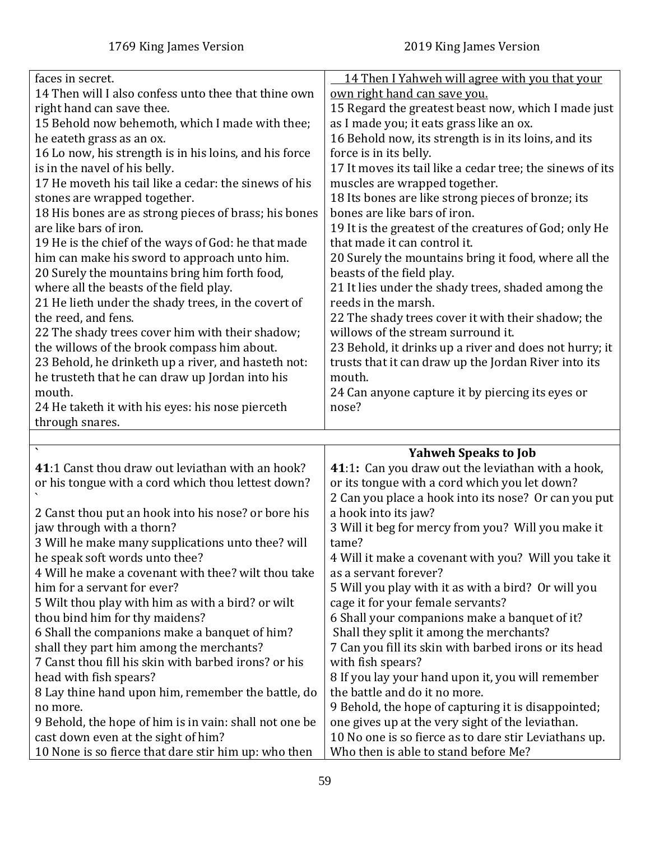<span id="page-58-0"></span>

| faces in secret.                                                                            | 14 Then I Yahweh will agree with you that your                                                |
|---------------------------------------------------------------------------------------------|-----------------------------------------------------------------------------------------------|
| 14 Then will I also confess unto thee that thine own                                        | own right hand can save you.                                                                  |
| right hand can save thee.                                                                   | 15 Regard the greatest beast now, which I made just                                           |
| 15 Behold now behemoth, which I made with thee;                                             | as I made you; it eats grass like an ox.                                                      |
| he eateth grass as an ox.                                                                   | 16 Behold now, its strength is in its loins, and its                                          |
| 16 Lo now, his strength is in his loins, and his force                                      | force is in its belly.                                                                        |
|                                                                                             |                                                                                               |
| is in the navel of his belly.                                                               | 17 It moves its tail like a cedar tree; the sinews of its                                     |
| 17 He moveth his tail like a cedar: the sinews of his                                       | muscles are wrapped together.                                                                 |
| stones are wrapped together.                                                                | 18 Its bones are like strong pieces of bronze; its                                            |
| 18 His bones are as strong pieces of brass; his bones                                       | bones are like bars of iron.                                                                  |
| are like bars of iron.                                                                      | 19 It is the greatest of the creatures of God; only He                                        |
| 19 He is the chief of the ways of God: he that made                                         | that made it can control it.                                                                  |
| him can make his sword to approach unto him.                                                | 20 Surely the mountains bring it food, where all the                                          |
| 20 Surely the mountains bring him forth food,                                               | beasts of the field play.                                                                     |
|                                                                                             |                                                                                               |
| where all the beasts of the field play.                                                     | 21 It lies under the shady trees, shaded among the                                            |
| 21 He lieth under the shady trees, in the covert of                                         | reeds in the marsh.                                                                           |
| the reed, and fens.                                                                         | 22 The shady trees cover it with their shadow; the                                            |
| 22 The shady trees cover him with their shadow;                                             | willows of the stream surround it.                                                            |
| the willows of the brook compass him about.                                                 | 23 Behold, it drinks up a river and does not hurry; it                                        |
| 23 Behold, he drinketh up a river, and hasteth not:                                         | trusts that it can draw up the Jordan River into its                                          |
| he trusteth that he can draw up Jordan into his                                             | mouth.                                                                                        |
| mouth.                                                                                      | 24 Can anyone capture it by piercing its eyes or                                              |
| 24 He taketh it with his eyes: his nose pierceth                                            | nose?                                                                                         |
|                                                                                             |                                                                                               |
|                                                                                             |                                                                                               |
| through snares.                                                                             |                                                                                               |
|                                                                                             |                                                                                               |
|                                                                                             | <b>Yahweh Speaks to Job</b>                                                                   |
| 41:1 Canst thou draw out leviathan with an hook?                                            | 41:1: Can you draw out the leviathan with a hook,                                             |
| or his tongue with a cord which thou lettest down?                                          | or its tongue with a cord which you let down?                                                 |
|                                                                                             | 2 Can you place a hook into its nose? Or can you put                                          |
| 2 Canst thou put an hook into his nose? or bore his                                         | a hook into its jaw?                                                                          |
| jaw through with a thorn?                                                                   | 3 Will it beg for mercy from you? Will you make it                                            |
|                                                                                             | tame?                                                                                         |
| 3 Will he make many supplications unto thee? will                                           |                                                                                               |
| he speak soft words unto thee?                                                              | 4 Will it make a covenant with you? Will you take it                                          |
| 4 Will he make a covenant with thee? wilt thou take                                         | as a servant forever?                                                                         |
| him for a servant for ever?                                                                 | 5 Will you play with it as with a bird? Or will you                                           |
| 5 Wilt thou play with him as with a bird? or wilt                                           | cage it for your female servants?                                                             |
| thou bind him for thy maidens?                                                              | 6 Shall your companions make a banquet of it?                                                 |
| 6 Shall the companions make a banquet of him?                                               | Shall they split it among the merchants?                                                      |
| shall they part him among the merchants?                                                    | 7 Can you fill its skin with barbed irons or its head                                         |
| 7 Canst thou fill his skin with barbed irons? or his                                        | with fish spears?                                                                             |
|                                                                                             |                                                                                               |
| head with fish spears?                                                                      | 8 If you lay your hand upon it, you will remember                                             |
| 8 Lay thine hand upon him, remember the battle, do                                          | the battle and do it no more.                                                                 |
| no more.                                                                                    | 9 Behold, the hope of capturing it is disappointed;                                           |
| 9 Behold, the hope of him is in vain: shall not one be                                      | one gives up at the very sight of the leviathan.                                              |
| cast down even at the sight of him?<br>10 None is so fierce that dare stir him up: who then | 10 No one is so fierce as to dare stir Leviathans up.<br>Who then is able to stand before Me? |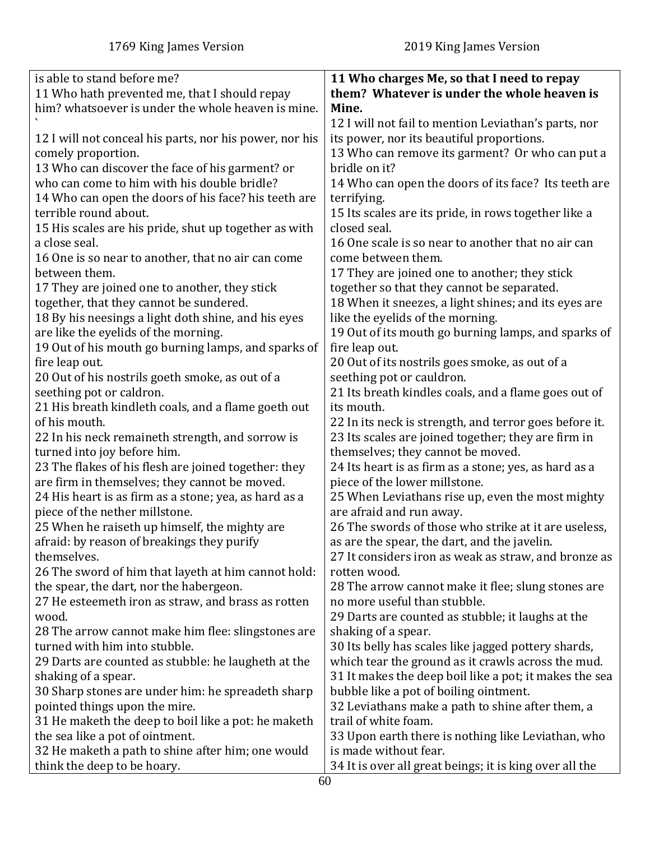| is able to stand before me?                             | 11 Who charges Me, so that I need to repay              |
|---------------------------------------------------------|---------------------------------------------------------|
| 11 Who hath prevented me, that I should repay           | them? Whatever is under the whole heaven is             |
| him? whatsoever is under the whole heaven is mine.      | Mine.                                                   |
|                                                         | 12 I will not fail to mention Leviathan's parts, nor    |
| 12 I will not conceal his parts, nor his power, nor his | its power, nor its beautiful proportions.               |
| comely proportion.                                      | 13 Who can remove its garment? Or who can put a         |
| 13 Who can discover the face of his garment? or         | bridle on it?                                           |
| who can come to him with his double bridle?             | 14 Who can open the doors of its face? Its teeth are    |
| 14 Who can open the doors of his face? his teeth are    | terrifying.                                             |
| terrible round about.                                   | 15 Its scales are its pride, in rows together like a    |
| 15 His scales are his pride, shut up together as with   | closed seal.                                            |
| a close seal.                                           | 16 One scale is so near to another that no air can      |
| 16 One is so near to another, that no air can come      | come between them.                                      |
| between them.                                           | 17 They are joined one to another; they stick           |
| 17 They are joined one to another, they stick           | together so that they cannot be separated.              |
| together, that they cannot be sundered.                 | 18 When it sneezes, a light shines; and its eyes are    |
| 18 By his neesings a light doth shine, and his eyes     | like the eyelids of the morning.                        |
| are like the eyelids of the morning.                    | 19 Out of its mouth go burning lamps, and sparks of     |
| 19 Out of his mouth go burning lamps, and sparks of     | fire leap out.                                          |
| fire leap out.                                          | 20 Out of its nostrils goes smoke, as out of a          |
| 20 Out of his nostrils goeth smoke, as out of a         | seething pot or cauldron.                               |
| seething pot or caldron.                                | 21 Its breath kindles coals, and a flame goes out of    |
| 21 His breath kindleth coals, and a flame goeth out     | its mouth.                                              |
| of his mouth.                                           | 22 In its neck is strength, and terror goes before it.  |
| 22 In his neck remaineth strength, and sorrow is        | 23 Its scales are joined together; they are firm in     |
| turned into joy before him.                             | themselves; they cannot be moved.                       |
| 23 The flakes of his flesh are joined together: they    | 24 Its heart is as firm as a stone; yes, as hard as a   |
| are firm in themselves; they cannot be moved.           | piece of the lower millstone.                           |
| 24 His heart is as firm as a stone; yea, as hard as a   | 25 When Leviathans rise up, even the most mighty        |
| piece of the nether millstone.                          | are afraid and run away.                                |
| 25 When he raiseth up himself, the mighty are           | 26 The swords of those who strike at it are useless,    |
| afraid: by reason of breakings they purify              | as are the spear, the dart, and the javelin.            |
| themselves.                                             | 27 It considers iron as weak as straw, and bronze as    |
| 26 The sword of him that layeth at him cannot hold:     | rotten wood.                                            |
| the spear, the dart, nor the habergeon.                 | 28 The arrow cannot make it flee; slung stones are      |
| 27 He esteemeth iron as straw, and brass as rotten      | no more useful than stubble.                            |
| wood.                                                   | 29 Darts are counted as stubble; it laughs at the       |
| 28 The arrow cannot make him flee: slingstones are      | shaking of a spear.                                     |
| turned with him into stubble.                           | 30 Its belly has scales like jagged pottery shards,     |
| 29 Darts are counted as stubble: he laugheth at the     | which tear the ground as it crawls across the mud.      |
| shaking of a spear.                                     | 31 It makes the deep boil like a pot; it makes the sea  |
| 30 Sharp stones are under him: he spreadeth sharp       | bubble like a pot of boiling ointment.                  |
| pointed things upon the mire.                           | 32 Leviathans make a path to shine after them, a        |
| 31 He maketh the deep to boil like a pot: he maketh     | trail of white foam.                                    |
| the sea like a pot of ointment.                         | 33 Upon earth there is nothing like Leviathan, who      |
| 32 He maketh a path to shine after him; one would       | is made without fear.                                   |
| think the deep to be hoary.                             | 34 It is over all great beings; it is king over all the |
|                                                         |                                                         |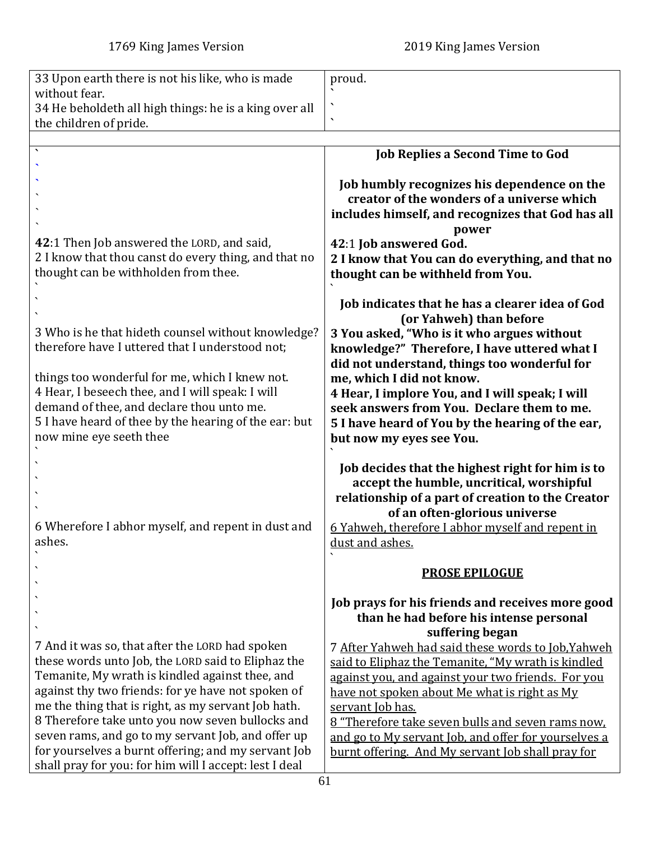<span id="page-60-0"></span>

| 33 Upon earth there is not his like, who is made                                                                                                                                                                                                                               | proud.                                                                                                                                                                             |
|--------------------------------------------------------------------------------------------------------------------------------------------------------------------------------------------------------------------------------------------------------------------------------|------------------------------------------------------------------------------------------------------------------------------------------------------------------------------------|
| without fear.                                                                                                                                                                                                                                                                  |                                                                                                                                                                                    |
| 34 He beholdeth all high things: he is a king over all                                                                                                                                                                                                                         | $\overline{\phantom{0}}$                                                                                                                                                           |
| the children of pride.                                                                                                                                                                                                                                                         |                                                                                                                                                                                    |
|                                                                                                                                                                                                                                                                                | <b>Job Replies a Second Time to God</b>                                                                                                                                            |
|                                                                                                                                                                                                                                                                                |                                                                                                                                                                                    |
|                                                                                                                                                                                                                                                                                | Job humbly recognizes his dependence on the                                                                                                                                        |
|                                                                                                                                                                                                                                                                                | creator of the wonders of a universe which                                                                                                                                         |
|                                                                                                                                                                                                                                                                                | includes himself, and recognizes that God has all                                                                                                                                  |
|                                                                                                                                                                                                                                                                                | power                                                                                                                                                                              |
| 42:1 Then Job answered the LORD, and said,                                                                                                                                                                                                                                     | 42:1 Job answered God.                                                                                                                                                             |
| 2 I know that thou canst do every thing, and that no                                                                                                                                                                                                                           | 2 I know that You can do everything, and that no                                                                                                                                   |
| thought can be withholden from thee.                                                                                                                                                                                                                                           | thought can be withheld from You.                                                                                                                                                  |
|                                                                                                                                                                                                                                                                                |                                                                                                                                                                                    |
|                                                                                                                                                                                                                                                                                | Job indicates that he has a clearer idea of God                                                                                                                                    |
|                                                                                                                                                                                                                                                                                | (or Yahweh) than before                                                                                                                                                            |
| 3 Who is he that hideth counsel without knowledge?<br>therefore have I uttered that I understood not;                                                                                                                                                                          | 3 You asked, "Who is it who argues without                                                                                                                                         |
|                                                                                                                                                                                                                                                                                | knowledge?" Therefore, I have uttered what I<br>did not understand, things too wonderful for                                                                                       |
| things too wonderful for me, which I knew not.                                                                                                                                                                                                                                 | me, which I did not know.                                                                                                                                                          |
| 4 Hear, I beseech thee, and I will speak: I will                                                                                                                                                                                                                               | 4 Hear, I implore You, and I will speak; I will                                                                                                                                    |
| demand of thee, and declare thou unto me.                                                                                                                                                                                                                                      | seek answers from You. Declare them to me.                                                                                                                                         |
| 5 I have heard of thee by the hearing of the ear: but                                                                                                                                                                                                                          | 5 I have heard of You by the hearing of the ear,                                                                                                                                   |
| now mine eye seeth thee                                                                                                                                                                                                                                                        | but now my eyes see You.                                                                                                                                                           |
|                                                                                                                                                                                                                                                                                |                                                                                                                                                                                    |
|                                                                                                                                                                                                                                                                                | Job decides that the highest right for him is to                                                                                                                                   |
|                                                                                                                                                                                                                                                                                | accept the humble, uncritical, worshipful                                                                                                                                          |
|                                                                                                                                                                                                                                                                                | relationship of a part of creation to the Creator                                                                                                                                  |
|                                                                                                                                                                                                                                                                                | of an often-glorious universe                                                                                                                                                      |
| 6 Wherefore I abhor myself, and repent in dust and                                                                                                                                                                                                                             | 6 Yahweh, therefore I abhor myself and repent in                                                                                                                                   |
| ashes.                                                                                                                                                                                                                                                                         | dust and ashes.                                                                                                                                                                    |
|                                                                                                                                                                                                                                                                                | <b>PROSE EPILOGUE</b>                                                                                                                                                              |
|                                                                                                                                                                                                                                                                                |                                                                                                                                                                                    |
|                                                                                                                                                                                                                                                                                | Job prays for his friends and receives more good                                                                                                                                   |
|                                                                                                                                                                                                                                                                                | than he had before his intense personal                                                                                                                                            |
|                                                                                                                                                                                                                                                                                | suffering began                                                                                                                                                                    |
| 7 And it was so, that after the LORD had spoken                                                                                                                                                                                                                                | 7 After Yahweh had said these words to Job, Yahweh                                                                                                                                 |
| these words unto Job, the LORD said to Eliphaz the                                                                                                                                                                                                                             | said to Eliphaz the Temanite, "My wrath is kindled                                                                                                                                 |
| Temanite, My wrath is kindled against thee, and                                                                                                                                                                                                                                | against you, and against your two friends. For you                                                                                                                                 |
| against thy two friends: for ye have not spoken of                                                                                                                                                                                                                             | have not spoken about Me what is right as My                                                                                                                                       |
|                                                                                                                                                                                                                                                                                |                                                                                                                                                                                    |
|                                                                                                                                                                                                                                                                                |                                                                                                                                                                                    |
|                                                                                                                                                                                                                                                                                |                                                                                                                                                                                    |
|                                                                                                                                                                                                                                                                                |                                                                                                                                                                                    |
| me the thing that is right, as my servant Job hath.<br>8 Therefore take unto you now seven bullocks and<br>seven rams, and go to my servant Job, and offer up<br>for yourselves a burnt offering; and my servant Job<br>shall pray for you: for him will I accept: lest I deal | servant Job has.<br>8 "Therefore take seven bulls and seven rams now.<br>and go to My servant Job, and offer for yourselves a<br>burnt offering. And My servant Job shall pray for |